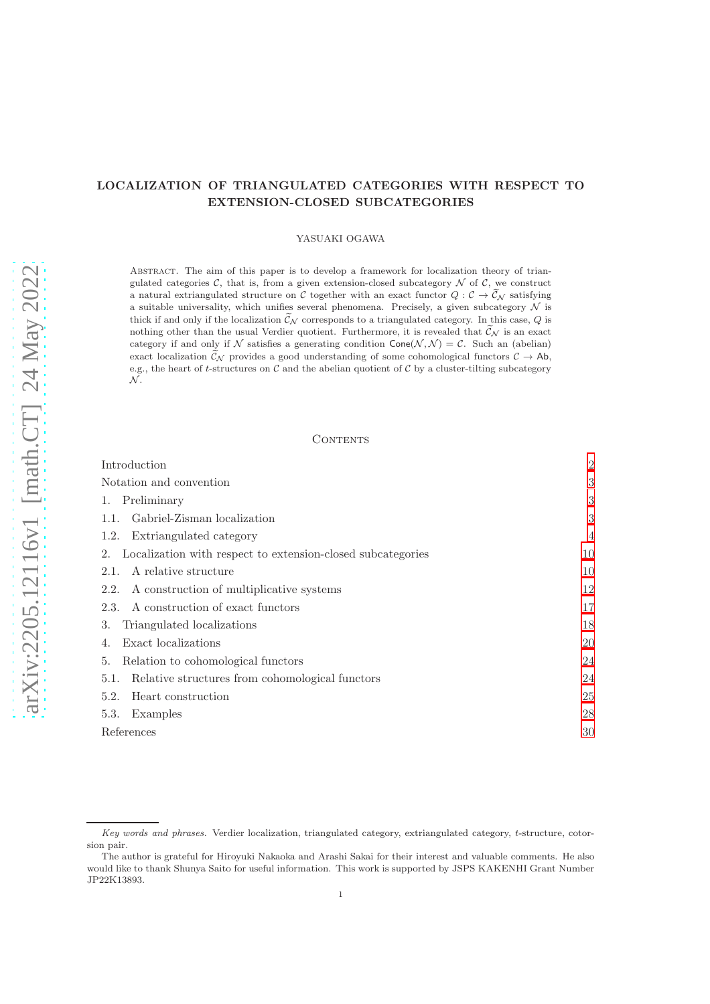# LOCALIZATION OF TRIANGULATED CATEGORIES WITH RESPECT TO EXTENSION-CLOSED SUBCATEGORIES

## YASUAKI OGAWA

Abstract. The aim of this paper is to develop a framework for localization theory of triangulated categories  $\mathcal{C}$ , that is, from a given extension-closed subcategory  $\mathcal{N}$  of  $\mathcal{C}$ , we construct a natural extriangulated structure on C together with an exact functor  $Q: \mathcal{C} \to \widetilde{\mathcal{C}}_{\mathcal{N}}$  satisfying a suitable universality, which unifies several phenomena. Precisely, a given subcategory  $\mathcal N$  is thick if and only if the localization  $\tilde{\mathcal{C}}_N$  corresponds to a triangulated category. In this case, Q is nothing other than the usual Verdier quotient. Furthermore, it is revealed that  $\tilde{\mathcal{C}}_{\mathcal{N}}$  is an exact category if and only if N satisfies a generating condition  $Cone(\mathcal{N}, \mathcal{N}) = \mathcal{C}$ . Such an (abelian) exact localization  $\widetilde{\mathcal{C}}_{\mathcal{N}}$  provides a good understanding of some cohomological functors  $\mathcal{C} \to Ab$ , e.g., the heart of t-structures on  $\mathcal C$  and the abelian quotient of  $\mathcal C$  by a cluster-tilting subcategory  $\mathcal N$  .

## **CONTENTS**

| Introduction                                                      | $\overline{2}$ |
|-------------------------------------------------------------------|----------------|
| Notation and convention                                           | 3              |
| Preliminary                                                       | 3              |
| Gabriel-Zisman localization<br>1.1.                               | 3              |
| Extriangulated category<br>1.2.                                   | $\overline{4}$ |
| Localization with respect to extension-closed subcategories<br>2. | 10             |
| A relative structure<br>2.1.                                      | 10             |
| A construction of multiplicative systems<br>2.2.                  | 12             |
| A construction of exact functors<br>2.3.                          | 17             |
| Triangulated localizations<br>3.                                  | 18             |
| Exact localizations                                               | 20             |
| Relation to cohomological functors<br>5.                          | 24             |
| Relative structures from cohomological functors<br>5.1.           | 24             |
| Heart construction<br>5.2.                                        | 25             |
| 5.3.<br>Examples                                                  | 28             |
| References                                                        | 30             |

*Key words and phrases.* Verdier localization, triangulated category, extriangulated category, t-structure, cotorsion pair.

The author is grateful for Hiroyuki Nakaoka and Arashi Sakai for their interest and valuable comments. He also would like to thank Shunya Saito for useful information. This work is supported by JSPS KAKENHI Grant Number JP22K13893.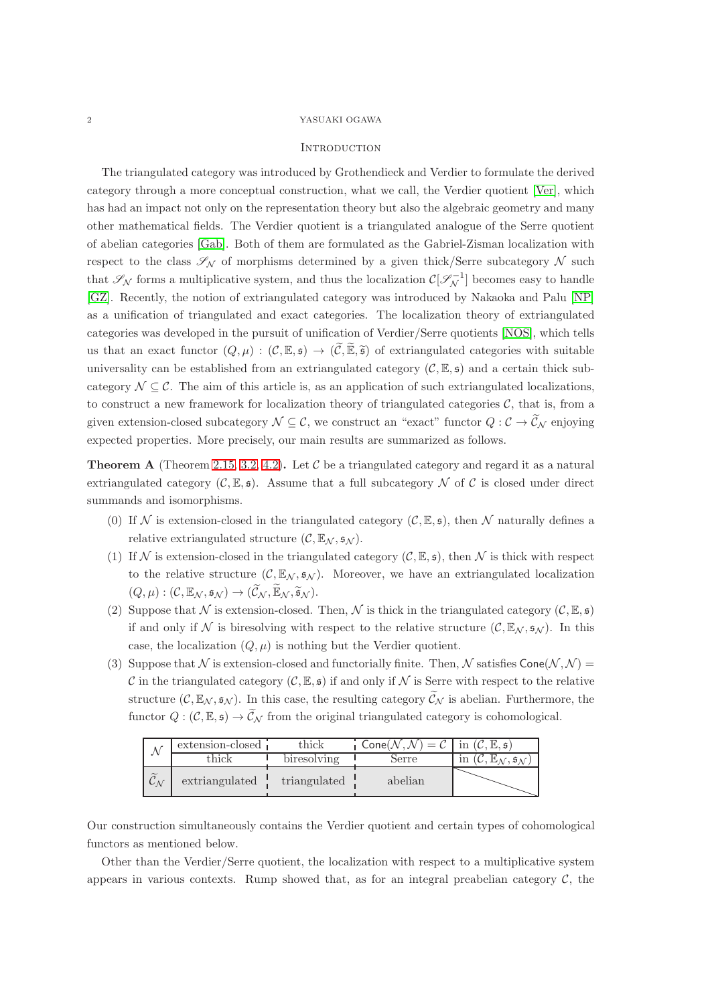## <span id="page-1-0"></span>**INTRODUCTION**

The triangulated category was introduced by Grothendieck and Verdier to formulate the derived category through a more conceptual construction, what we call, the Verdier quotient [\[Ver\]](#page-30-0), which has had an impact not only on the representation theory but also the algebraic geometry and many other mathematical fields. The Verdier quotient is a triangulated analogue of the Serre quotient of abelian categories [\[Gab\]](#page-30-1). Both of them are formulated as the Gabriel-Zisman localization with respect to the class  $\mathscr{S}_{N}$  of morphisms determined by a given thick/Serre subcategory N such that  $\mathscr{S}_{\mathcal{N}}$  forms a multiplicative system, and thus the localization  $\mathcal{C}[\mathscr{S}_{\mathcal{N}}^{-1}]$  becomes easy to handle [\[GZ\]](#page-30-2). Recently, the notion of extriangulated category was introduced by Nakaoka and Palu [\[NP\]](#page-30-3) as a unification of triangulated and exact categories. The localization theory of extriangulated categories was developed in the pursuit of unification of Verdier/Serre quotients [\[NOS\]](#page-30-4), which tells us that an exact functor  $(Q, \mu) : (\mathcal{C}, \mathbb{E}, \mathfrak{s}) \to (\widetilde{\mathcal{C}}, \widetilde{\mathbb{E}}, \widetilde{\mathfrak{s}})$  of extriangulated categories with suitable universality can be established from an extriangulated category  $(C, \mathbb{E}, \mathfrak{s})$  and a certain thick subcategory  $\mathcal{N} \subseteq \mathcal{C}$ . The aim of this article is, as an application of such extriangulated localizations, to construct a new framework for localization theory of triangulated categories  $\mathcal{C}$ , that is, from a given extension-closed subcategory  $\mathcal{N} \subseteq \mathcal{C}$ , we construct an "exact" functor  $Q: \mathcal{C} \to \mathcal{C}_{\mathcal{N}}$  enjoying expected properties. More precisely, our main results are summarized as follows.

**Theorem A** (Theorem [2.15,](#page-16-1) [3.2,](#page-18-0) [4.2\)](#page-19-1). Let C be a triangulated category and regard it as a natural extriangulated category  $(C, \mathbb{E}, \mathfrak{s})$ . Assume that a full subcategory N of C is closed under direct summands and isomorphisms.

- (0) If N is extension-closed in the triangulated category  $(C, \mathbb{E}, \mathfrak{s})$ , then N naturally defines a relative extriangulated structure  $(C, \mathbb{E}_N, \mathfrak{s}_N)$ .
- (1) If N is extension-closed in the triangulated category  $(C, \mathbb{E}, \mathfrak{s})$ , then N is thick with respect to the relative structure  $(C, \mathbb{E}_{\mathcal{N}}, \mathfrak{s}_{\mathcal{N}})$ . Moreover, we have an extriangulated localization  $(Q, \mu) : (\mathcal{C}, \mathbb{E}_{\mathcal{N}}, \mathfrak{s}_{\mathcal{N}}) \to (\widetilde{\mathcal{C}}_{\mathcal{N}}, \widetilde{\mathbb{E}}_{\mathcal{N}}, \widetilde{\mathfrak{s}}_{\mathcal{N}}).$
- (2) Suppose that N is extension-closed. Then, N is thick in the triangulated category  $(C, \mathbb{E}, \mathfrak{s})$ if and only if N is biresolving with respect to the relative structure  $(C, \mathbb{E}_N, \mathfrak{s}_N)$ . In this case, the localization  $(Q, \mu)$  is nothing but the Verdier quotient.
- (3) Suppose that N is extension-closed and functorially finite. Then, N satisfies  $Cone(N, N)$ C in the triangulated category  $(C, \mathbb{E}, \mathfrak{s})$  if and only if N is Serre with respect to the relative structure  $(C, \mathbb{E}_{\mathcal{N}}, \mathfrak{s}_{\mathcal{N}})$ . In this case, the resulting category  $\widetilde{C}_{\mathcal{N}}$  is abelian. Furthermore, the functor  $Q: (\mathcal{C}, \mathbb{E}, \mathfrak{s}) \to \widetilde{\mathcal{C}}_{\mathcal{N}}$  from the original triangulated category is cohomological.

|                                        | extension-closed | thick        | $=\mathcal{C}$<br>Cone( $\mathcal N\, ,\mathcal N\, '$ | in $(C, \mathbb{E}, \mathfrak{s})$ |
|----------------------------------------|------------------|--------------|--------------------------------------------------------|------------------------------------|
|                                        | chick            | biresolving  | Serre                                                  | ın                                 |
| $\tilde{a}$<br>$\mathcal{L}_{\Lambda}$ | extriangulated   | triangulated | abelian                                                |                                    |

Our construction simultaneously contains the Verdier quotient and certain types of cohomological functors as mentioned below.

Other than the Verdier/Serre quotient, the localization with respect to a multiplicative system appears in various contexts. Rump showed that, as for an integral preabelian category  $\mathcal{C}$ , the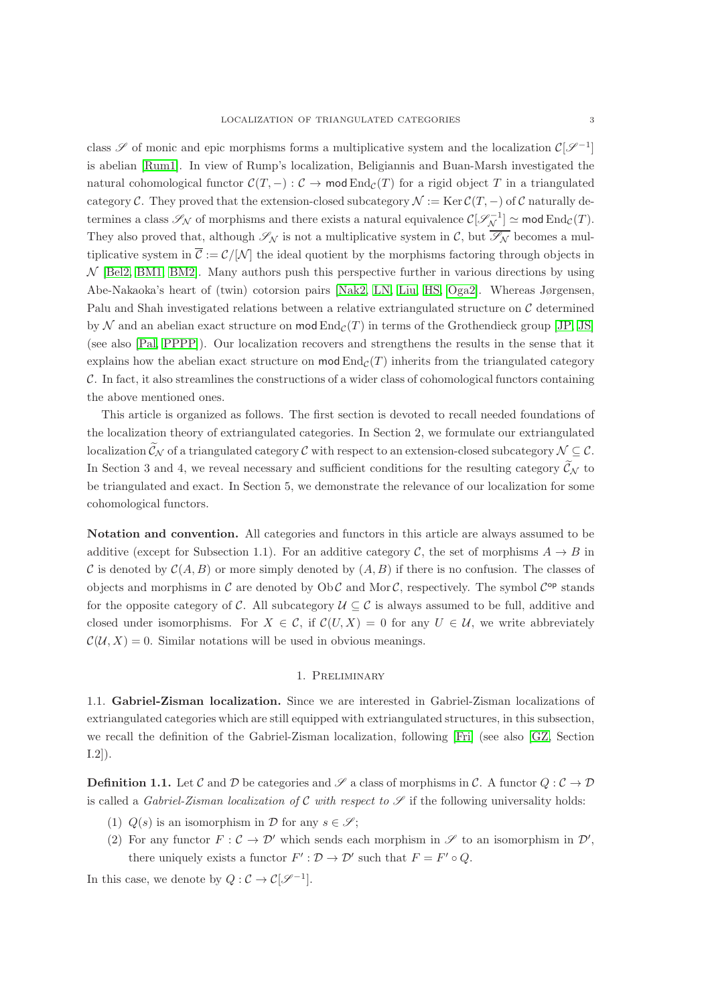class  $\mathscr S$  of monic and epic morphisms forms a multiplicative system and the localization  $\mathcal C[\mathscr S^{-1}]$ is abelian [\[Rum1\]](#page-30-5). In view of Rump's localization, Beligiannis and Buan-Marsh investigated the natural cohomological functor  $\mathcal{C}(T,-): \mathcal{C} \to \text{mod} \operatorname{End}_{\mathcal{C}}(T)$  for a rigid object T in a triangulated category C. They proved that the extension-closed subcategory  $\mathcal{N} := \text{Ker } \mathcal{C}(T, -)$  of C naturally determines a class  $\mathscr{S}_{\mathcal{N}}$  of morphisms and there exists a natural equivalence  $\mathcal{C}[\mathscr{S}_{\mathcal{N}}^{-1}] \simeq \text{mod} \operatorname{End}_{\mathcal{C}}(T)$ . They also proved that, although  $\mathscr{S}_{\mathcal{N}}$  is not a multiplicative system in C, but  $\overline{\mathscr{S}_{\mathcal{N}}}$  becomes a multiplicative system in  $\overline{C} := \mathcal{C}/|\mathcal{N}|$  the ideal quotient by the morphisms factoring through objects in  $\mathcal N$  [\[Bel2,](#page-29-1) [BM1,](#page-29-2) [BM2\]](#page-29-3). Many authors push this perspective further in various directions by using Abe-Nakaoka's heart of (twin) cotorsion pairs [\[Nak2,](#page-30-6) [LN,](#page-30-7) [Liu,](#page-30-8) [HS,](#page-30-9) [Oga2\]](#page-30-10). Whereas Jørgensen, Palu and Shah investigated relations between a relative extriangulated structure on  $\mathcal C$  determined by N and an abelian exact structure on mod  $\text{End}_{\mathcal{C}}(T)$  in terms of the Grothendieck group [\[JP,](#page-30-11) [JS\]](#page-30-12) (see also [\[Pal,](#page-30-13) [PPPP\]](#page-30-14)). Our localization recovers and strengthens the results in the sense that it explains how the abelian exact structure on  $mod$  End<sub>C</sub>(T) inherits from the triangulated category C. In fact, it also streamlines the constructions of a wider class of cohomological functors containing the above mentioned ones.

This article is organized as follows. The first section is devoted to recall needed foundations of the localization theory of extriangulated categories. In Section 2, we formulate our extriangulated localization  $\widetilde{\mathcal{C}}_{\mathcal{N}}$  of a triangulated category C with respect to an extension-closed subcategory  $\mathcal{N} \subset \mathcal{C}$ . In Section 3 and 4, we reveal necessary and sufficient conditions for the resulting category  $\widetilde{\mathcal{C}}_N$  to be triangulated and exact. In Section 5, we demonstrate the relevance of our localization for some cohomological functors.

<span id="page-2-0"></span>Notation and convention. All categories and functors in this article are always assumed to be additive (except for Subsection 1.1). For an additive category C, the set of morphisms  $A \to B$  in C is denoted by  $\mathcal{C}(A, B)$  or more simply denoted by  $(A, B)$  if there is no confusion. The classes of objects and morphisms in  $\mathcal C$  are denoted by Ob  $\mathcal C$  and Mor  $\mathcal C$ , respectively. The symbol  $\mathcal C^{op}$  stands for the opposite category of C. All subcategory  $\mathcal{U} \subset \mathcal{C}$  is always assumed to be full, additive and closed under isomorphisms. For  $X \in \mathcal{C}$ , if  $\mathcal{C}(U, X) = 0$  for any  $U \in \mathcal{U}$ , we write abbreviately  $\mathcal{C}(\mathcal{U}, X) = 0$ . Similar notations will be used in obvious meanings.

## 1. Preliminary

<span id="page-2-2"></span><span id="page-2-1"></span>1.1. Gabriel-Zisman localization. Since we are interested in Gabriel-Zisman localizations of extriangulated categories which are still equipped with extriangulated structures, in this subsection, we recall the definition of the Gabriel-Zisman localization, following [\[Fri\]](#page-30-15) (see also [\[GZ,](#page-30-2) Section I.2]).

**Definition 1.1.** Let C and D be categories and  $\mathscr{S}$  a class of morphisms in C. A functor  $Q: \mathcal{C} \to \mathcal{D}$ is called a *Gabriel-Zisman localization of*  $\mathcal C$  *with respect to*  $\mathcal S$  if the following universality holds:

- (1)  $Q(s)$  is an isomorphism in D for any  $s \in \mathscr{S}$ ;
- (2) For any functor  $F: \mathcal{C} \to \mathcal{D}'$  which sends each morphism in  $\mathcal{S}$  to an isomorphism in  $\mathcal{D}'$ , there uniquely exists a functor  $F': \mathcal{D} \to \mathcal{D}'$  such that  $F = F' \circ Q$ .

In this case, we denote by  $Q: \mathcal{C} \to \mathcal{C}[\mathcal{S}^{-1}].$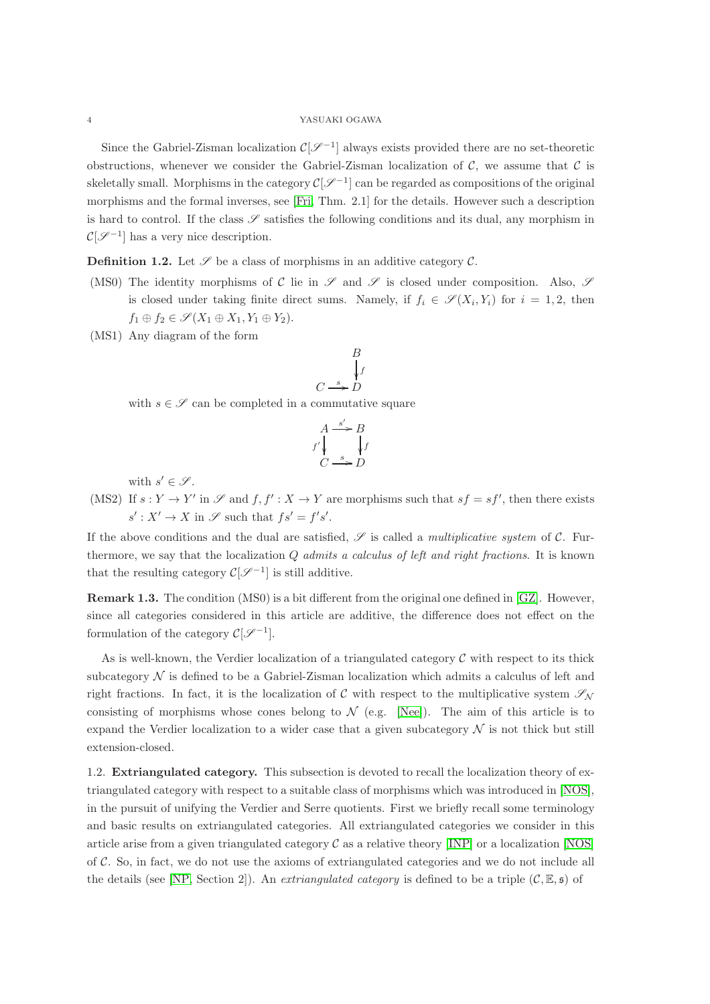Since the Gabriel-Zisman localization  $\mathcal{C}[\mathscr{S}^{-1}]$  always exists provided there are no set-theoretic obstructions, whenever we consider the Gabriel-Zisman localization of  $\mathcal{C}$ , we assume that  $\mathcal{C}$  is skeletally small. Morphisms in the category  $\mathcal{C}[\mathscr{S}^{-1}]$  can be regarded as compositions of the original morphisms and the formal inverses, see [\[Fri,](#page-30-15) Thm. 2.1] for the details. However such a description is hard to control. If the class  $\mathscr S$  satisfies the following conditions and its dual, any morphism in  $\mathcal{C}[\mathscr{S}^{-1}]$  has a very nice description.

**Definition 1.2.** Let  $\mathscr S$  be a class of morphisms in an additive category  $\mathscr C$ .

- (MS0) The identity morphisms of C lie in  $\mathscr S$  and  $\mathscr S$  is closed under composition. Also,  $\mathscr S$ is closed under taking finite direct sums. Namely, if  $f_i \in \mathscr{S}(X_i, Y_i)$  for  $i = 1, 2$ , then  $f_1 \oplus f_2 \in \mathscr{S}(X_1 \oplus X_1, Y_1 \oplus Y_2).$
- (MS1) Any diagram of the form

$$
\begin{array}{c}\n B \\
\downarrow f \\
\xrightarrow{s} D\n \end{array}
$$

 $\overline{C}$ 

with  $s \in \mathscr{S}$  can be completed in a commutative square

$$
A \xrightarrow{s'} B
$$
  

$$
f' \downarrow \qquad f
$$
  

$$
C \xrightarrow{s} D
$$

with  $s' \in \mathscr{S}$ .

(MS2) If  $s: Y \to Y'$  in  $\mathscr S$  and  $f, f': X \to Y$  are morphisms such that  $sf = sf'$ , then there exists  $s': X' \to X$  in  $\mathscr{S}$  such that  $fs' = f's'.$ 

If the above conditions and the dual are satisfied,  $\mathscr S$  is called a *multiplicative system* of  $\mathcal C$ . Furthermore, we say that the localization Q *admits a calculus of left and right fractions*. It is known that the resulting category  $\mathcal{C}[\mathscr{S}^{-1}]$  is still additive.

Remark 1.3. The condition (MS0) is a bit different from the original one defined in [\[GZ\]](#page-30-2). However, since all categories considered in this article are additive, the difference does not effect on the formulation of the category  $\mathcal{C}[\mathscr{S}^{-1}].$ 

As is well-known, the Verdier localization of a triangulated category  $\mathcal C$  with respect to its thick subcategory  $\mathcal N$  is defined to be a Gabriel-Zisman localization which admits a calculus of left and right fractions. In fact, it is the localization of C with respect to the multiplicative system  $\mathscr{S}_{\mathcal{N}}$ consisting of morphisms whose cones belong to  $\mathcal{N}$  (e.g. [\[Nee\]](#page-30-16)). The aim of this article is to expand the Verdier localization to a wider case that a given subcategory  $\mathcal N$  is not thick but still extension-closed.

<span id="page-3-0"></span>1.2. Extriangulated category. This subsection is devoted to recall the localization theory of extriangulated category with respect to a suitable class of morphisms which was introduced in [\[NOS\]](#page-30-4), in the pursuit of unifying the Verdier and Serre quotients. First we briefly recall some terminology and basic results on extriangulated categories. All extriangulated categories we consider in this article arise from a given triangulated category  $\mathcal C$  as a relative theory [\[INP\]](#page-30-17) or a localization [\[NOS\]](#page-30-4) of  $\mathcal{C}$ . So, in fact, we do not use the axioms of extriangulated categories and we do not include all the details (see [\[NP,](#page-30-3) Section 2]). An *extriangulated category* is defined to be a triple  $(C, \mathbb{E}, \mathfrak{s})$  of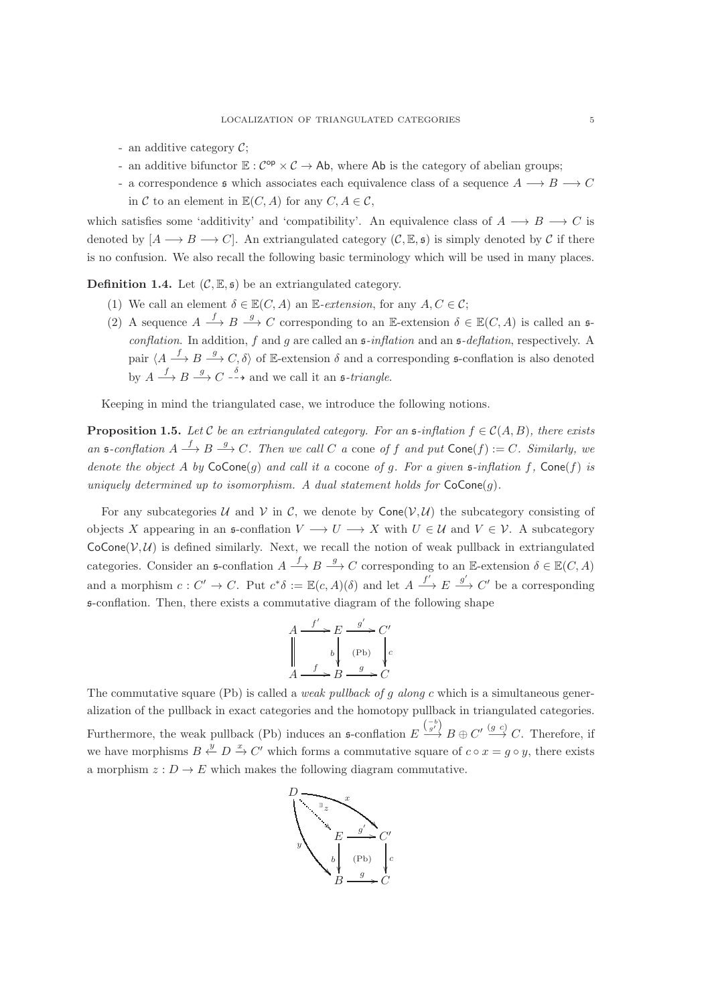- an additive category  $C$ ;
- an additive bifunctor  $\mathbb{E}: C^{op} \times C \to Ab$ , where Ab is the category of abelian groups;
- a correspondence  $\mathfrak s$  which associates each equivalence class of a sequence  $A \longrightarrow B \longrightarrow C$ in C to an element in  $\mathbb{E}(C, A)$  for any  $C, A \in \mathcal{C}$ ,

which satisfies some 'additivity' and 'compatibility'. An equivalence class of  $A \longrightarrow B \longrightarrow C$  is denoted by  $[A \longrightarrow B \longrightarrow C]$ . An extriangulated category  $(C, \mathbb{E}, \mathfrak{s})$  is simply denoted by C if there is no confusion. We also recall the following basic terminology which will be used in many places.

**Definition 1.4.** Let  $(C, \mathbb{E}, \mathfrak{s})$  be an extriangulated category.

- (1) We call an element  $\delta \in \mathbb{E}(C, A)$  an  $\mathbb{E}$ -extension, for any  $A, C \in \mathcal{C}$ ;
- (2) A sequence  $A \stackrel{f}{\longrightarrow} B \stackrel{g}{\longrightarrow} C$  corresponding to an E-extension  $\delta \in \mathbb{E}(C, A)$  is called an  $\mathfrak{s}$ *conflation*. In addition, f and g are called an  $\mathfrak{s}\text{-}inflation$  and an  $\mathfrak{s}\text{-}deflation$ , respectively. A pair  $\langle A \stackrel{f}{\longrightarrow} B \stackrel{g}{\longrightarrow} C, \delta \rangle$  of E-extension  $\delta$  and a corresponding s-conflation is also denoted by  $A \longrightarrow B \longrightarrow C \longrightarrow$  and we call it an  $\mathfrak{s}\text{-}triangle$ .

Keeping in mind the triangulated case, we introduce the following notions.

**Proposition 1.5.** *Let* C *be an extriangulated category. For an*  $\mathfrak{s}\text{-}$ *inflation*  $f \in \mathcal{C}(A, B)$ *, there exists* an  $\mathfrak{s}\text{-}$ *conflation*  $A \xrightarrow{f} B \xrightarrow{g} C$ *. Then we call* C *a* cone *of* f *and put*  $\text{Cone}(f) := C$ *. Similarly, we denote the object* A *by*  $\text{CoCone}(g)$  *and call it a* cocone *of* g. For a given  $\mathfrak{s}\text{-}inflation$  f,  $\text{Cone}(f)$  *is uniquely determined up to isomorphism. A dual statement holds for*  $CoCone(g)$ *.* 

For any subcategories U and V in C, we denote by  $Cone(\mathcal{V}, \mathcal{U})$  the subcategory consisting of objects X appearing in an  $\mathfrak{s}$ -conflation  $V \longrightarrow U \longrightarrow X$  with  $U \in \mathcal{U}$  and  $V \in \mathcal{V}$ . A subcategory  $CoCone(\mathcal{V}, \mathcal{U})$  is defined similarly. Next, we recall the notion of weak pullback in extriangulated categories. Consider an  $\mathfrak{s}$ -conflation  $A \stackrel{f}{\longrightarrow} B \stackrel{g}{\longrightarrow} C$  corresponding to an E-extension  $\delta \in \mathbb{E}(C, A)$ and a morphism  $c: C' \to C$ . Put  $c^* \delta := \mathbb{E}(c, A)(\delta)$  and let  $A \xrightarrow{f'} E \xrightarrow{g'} C'$  be a corresponding s-conflation. Then, there exists a commutative diagram of the following shape

$$
A \xrightarrow{f'} E \xrightarrow{g'} C'
$$
  
\n
$$
\parallel \qquad b \parallel \qquad (\text{Pb}) \qquad \parallel c
$$
  
\n
$$
A \xrightarrow{f} B \xrightarrow{g} C
$$

The commutative square (Pb) is called a *weak pullback of* g *along* c which is a simultaneous generalization of the pullback in exact categories and the homotopy pullback in triangulated categories. Furthermore, the weak pullback (Pb) induces an  $\mathfrak{s}$ -conflation  $E \stackrel{(-b)}{\longrightarrow} B \oplus C' \stackrel{(g-c)}{\longrightarrow} C$ . Therefore, if we have morphisms  $B \stackrel{y}{\leftarrow} D \stackrel{x}{\rightarrow} C'$  which forms a commutative square of  $c \circ x = g \circ y$ , there exists a morphism  $z: D \to E$  which makes the following diagram commutative.

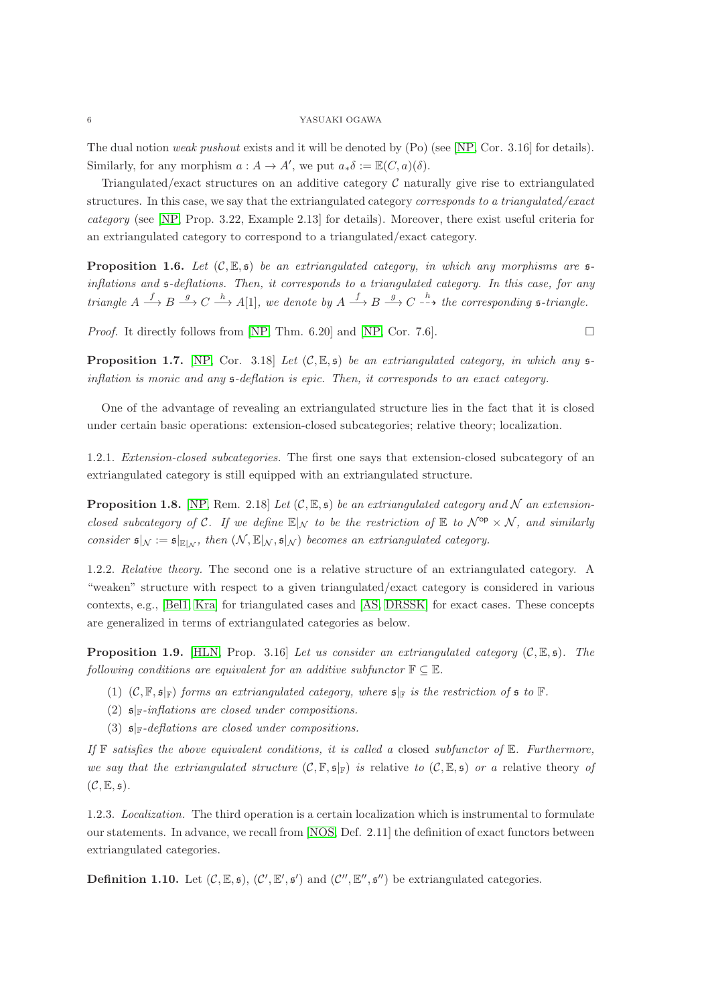The dual notion *weak pushout* exists and it will be denoted by (Po) (see [\[NP,](#page-30-3) Cor. 3.16] for details). Similarly, for any morphism  $a: A \to A'$ , we put  $a_*\delta := \mathbb{E}(C, a)(\delta)$ .

Triangulated/exact structures on an additive category  $\mathcal C$  naturally give rise to extriangulated structures. In this case, we say that the extriangulated category *corresponds to a triangulated/exact category* (see [\[NP,](#page-30-3) Prop. 3.22, Example 2.13] for details). Moreover, there exist useful criteria for an extriangulated category to correspond to a triangulated/exact category.

**Proposition 1.6.** Let  $(C, \mathbb{E}, \mathfrak{s})$  be an extriangulated category, in which any morphisms are  $\mathfrak{s}$ *inflations and* s*-deflations. Then, it corresponds to a triangulated category. In this case, for any triangle*  $A \xrightarrow{f} B \xrightarrow{g} C \xrightarrow{h} A[1]$ , we denote by  $A \xrightarrow{f} B \xrightarrow{g} C \xrightarrow{h}$  the corresponding  $\mathfrak{s}\text{-}triangle$ .

*Proof.* It directly follows from [\[NP,](#page-30-3) Thm. 6.20] and [NP, Cor. 7.6].

<span id="page-5-0"></span>**Proposition 1.7.** [\[NP,](#page-30-3) Cor. 3.18] *Let*  $(C, \mathbb{E}, \mathfrak{s})$  *be an extriangulated category, in which any*  $\mathfrak{s}$ *inflation is monic and any* s*-deflation is epic. Then, it corresponds to an exact category.*

One of the advantage of revealing an extriangulated structure lies in the fact that it is closed under certain basic operations: extension-closed subcategories; relative theory; localization.

1.2.1. *Extension-closed subcategories.* The first one says that extension-closed subcategory of an extriangulated category is still equipped with an extriangulated structure.

**Proposition 1.8.** [\[NP,](#page-30-3) Rem. 2.18] Let  $(C, \mathbb{E}, \mathfrak{s})$  be an extriangulated category and N an extension*closed subcategory of* C. If we define  $\mathbb{E}|_{\mathcal{N}}$  to be the restriction of  $\mathbb{E}$  to  $\mathcal{N}^{\mathsf{op}} \times \mathcal{N}$ , and similarly *consider*  $\mathfrak{s}|_{\mathcal{N}} := \mathfrak{s}|_{\mathbb{E}|_{\mathcal{N}}},$  *then*  $(\mathcal{N}, \mathbb{E}|_{\mathcal{N}}, \mathfrak{s}|_{\mathcal{N}})$  *becomes an extriangulated category.* 

1.2.2. *Relative theory.* The second one is a relative structure of an extriangulated category. A "weaken" structure with respect to a given triangulated/exact category is considered in various contexts, e.g., [\[Bel1,](#page-29-4) [Kra\]](#page-30-18) for triangulated cases and [\[AS,](#page-29-5) [DRSSK\]](#page-30-19) for exact cases. These concepts are generalized in terms of extriangulated categories as below.

Proposition 1.9. [\[HLN,](#page-30-20) Prop. 3.16] *Let us consider an extriangulated category* (C, E, s)*. The following conditions are equivalent for an additive subfunctor*  $\mathbb{F} \subseteq \mathbb{E}$ *.* 

- (1)  $(C, \mathbb{F}, \mathfrak{s}_{\mathbb{F}})$  *forms an extriangulated category, where*  $\mathfrak{s}_{\mathbb{F}}$  *is the restriction of*  $\mathfrak{s}$  *to*  $\mathbb{F}$ *.*
- (2) s|F*-inflations are closed under compositions.*
- (3) s|F*-deflations are closed under compositions.*

*If* F *satisfies the above equivalent conditions, it is called a* closed *subfunctor of* E*. Furthermore, we say that the extriangulated structure*  $(C, \mathbb{F}, \mathfrak{s} | \mathbb{F})$  *is relative to*  $(C, \mathbb{E}, \mathfrak{s})$  *or a relative theory of*  $(C, \mathbb{E}, \mathfrak{s})$ .

1.2.3. *Localization.* The third operation is a certain localization which is instrumental to formulate our statements. In advance, we recall from [\[NOS,](#page-30-4) Def. 2.11] the definition of exact functors between extriangulated categories.

**Definition 1.10.** Let  $(C, \mathbb{E}, \mathfrak{s})$ ,  $(C', \mathbb{E}', \mathfrak{s}')$  and  $(C'', \mathbb{E}'', \mathfrak{s}'')$  be extriangulated categories.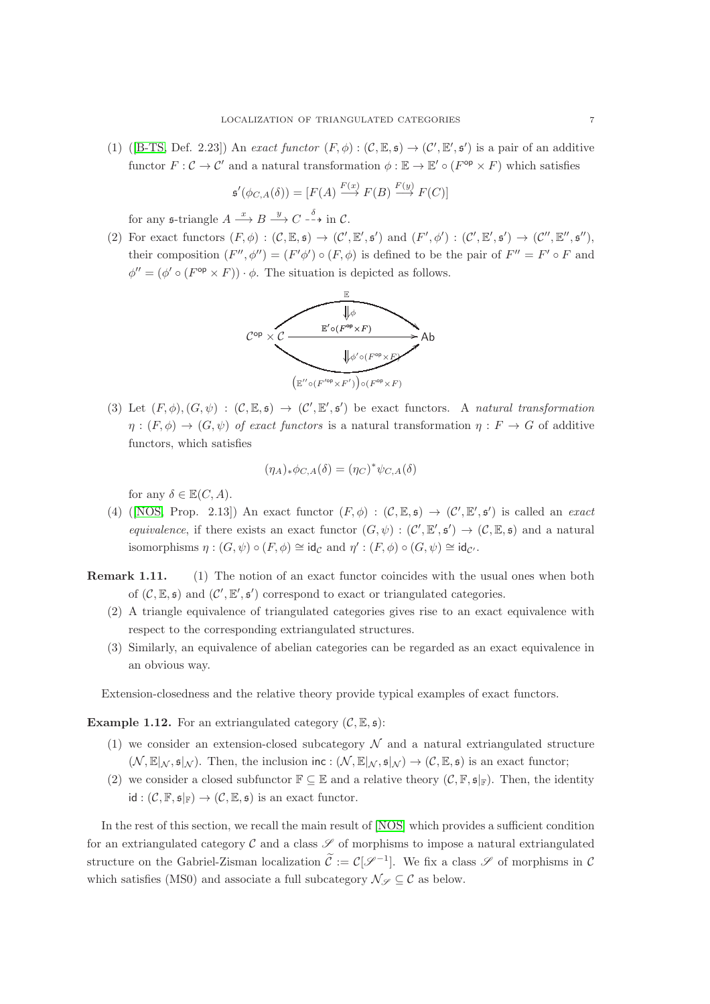(1) ([\[B-TS,](#page-29-6) Def. 2.23]) An *exact functor*  $(F, \phi) : (\mathcal{C}, \mathbb{E}, \mathfrak{s}) \to (\mathcal{C}', \mathbb{E}', \mathfrak{s}')$  is a pair of an additive functor  $F: \mathcal{C} \to \mathcal{C}'$  and a natural transformation  $\phi: \mathbb{E} \to \mathbb{E}' \circ (F^{\mathsf{op}} \times F)$  which satisfies

$$
\mathfrak{s}'(\phi_{C,A}(\delta)) = [F(A) \xrightarrow{F(x)} F(B) \xrightarrow{F(y)} F(C)]
$$

for any  $\mathfrak{s}\text{-triangle }A \stackrel{x}{\longrightarrow} B \stackrel{y}{\longrightarrow} C \stackrel{\delta}{\dashrightarrow} \text{in } C.$ 

(2) For exact functors  $(F, \phi) : (\mathcal{C}, \mathbb{E}, \mathfrak{s}) \to (\mathcal{C}', \mathbb{E}', \mathfrak{s}')$  and  $(F', \phi') : (\mathcal{C}', \mathbb{E}', \mathfrak{s}') \to (\mathcal{C}'', \mathbb{E}'', \mathfrak{s}'')$ , their composition  $(F'', \phi'') = (F' \phi') \circ (F, \phi)$  is defined to be the pair of  $F'' = F' \circ F$  and  $\phi'' = (\phi' \circ (F^{\text{op}} \times F)) \cdot \phi$ . The situation is depicted as follows.



(3) Let  $(F, \phi), (G, \psi) : (C, \mathbb{E}, \mathfrak{s}) \to (C', \mathbb{E}', \mathfrak{s}')$  be exact functors. A *natural transformation*  $\eta: (F, \phi) \to (G, \psi)$  *of exact functors* is a natural transformation  $\eta: F \to G$  of additive functors, which satisfies

$$
(\eta_A)_*\phi_{C,A}(\delta) = (\eta_C)^*\psi_{C,A}(\delta)
$$

for any  $\delta \in \mathbb{E}(C, A)$ .

- (4) ([\[NOS,](#page-30-4) Prop. 2.13]) An exact functor  $(F, \phi) : (\mathcal{C}, \mathbb{E}, \mathfrak{s}) \to (\mathcal{C}', \mathbb{E}', \mathfrak{s}')$  is called an *exact equivalence*, if there exists an exact functor  $(G, \psi) : (\mathcal{C}', \mathbb{E}', \mathfrak{s}') \to (\mathcal{C}, \mathbb{E}, \mathfrak{s})$  and a natural isomorphisms  $\eta : (G, \psi) \circ (F, \phi) \cong id_{\mathcal{C}}$  and  $\eta' : (F, \phi) \circ (G, \psi) \cong id_{\mathcal{C}}$ .
- Remark 1.11. (1) The notion of an exact functor coincides with the usual ones when both of  $(C, \mathbb{E}, \mathfrak{s})$  and  $(C', \mathbb{E}', \mathfrak{s}')$  correspond to exact or triangulated categories.
	- (2) A triangle equivalence of triangulated categories gives rise to an exact equivalence with respect to the corresponding extriangulated structures.
	- (3) Similarly, an equivalence of abelian categories can be regarded as an exact equivalence in an obvious way.

Extension-closedness and the relative theory provide typical examples of exact functors.

**Example 1.12.** For an extriangulated category  $(C, \mathbb{E}, \mathfrak{s})$ :

- (1) we consider an extension-closed subcategory  $\mathcal N$  and a natural extriangulated structure  $(\mathcal{N}, \mathbb{E}|_{\mathcal{N}}, \mathfrak{s}|_{\mathcal{N}})$ . Then, the inclusion inc :  $(\mathcal{N}, \mathbb{E}|_{\mathcal{N}}, \mathfrak{s}|_{\mathcal{N}}) \rightarrow (\mathcal{C}, \mathbb{E}, \mathfrak{s})$  is an exact functor;
- (2) we consider a closed subfunctor  $\mathbb{F} \subseteq \mathbb{E}$  and a relative theory  $(\mathcal{C}, \mathbb{F}, \mathfrak{s} |_{\mathbb{F}})$ . Then, the identity  $id : (\mathcal{C}, \mathbb{F}, \mathfrak{s} |_{\mathbb{F}}) \to (\mathcal{C}, \mathbb{E}, \mathfrak{s})$  is an exact functor.

In the rest of this section, we recall the main result of [\[NOS\]](#page-30-4) which provides a sufficient condition for an extriangulated category C and a class  $\mathscr S$  of morphisms to impose a natural extriangulated structure on the Gabriel-Zisman localization  $\tilde{\mathcal{C}} := \mathcal{C}[\mathcal{S}^{-1}]$ . We fix a class  $\mathcal S$  of morphisms in  $\mathcal C$ which satisfies (MS0) and associate a full subcategory  $\mathcal{N}_{\mathscr{S}} \subseteq \mathcal{C}$  as below.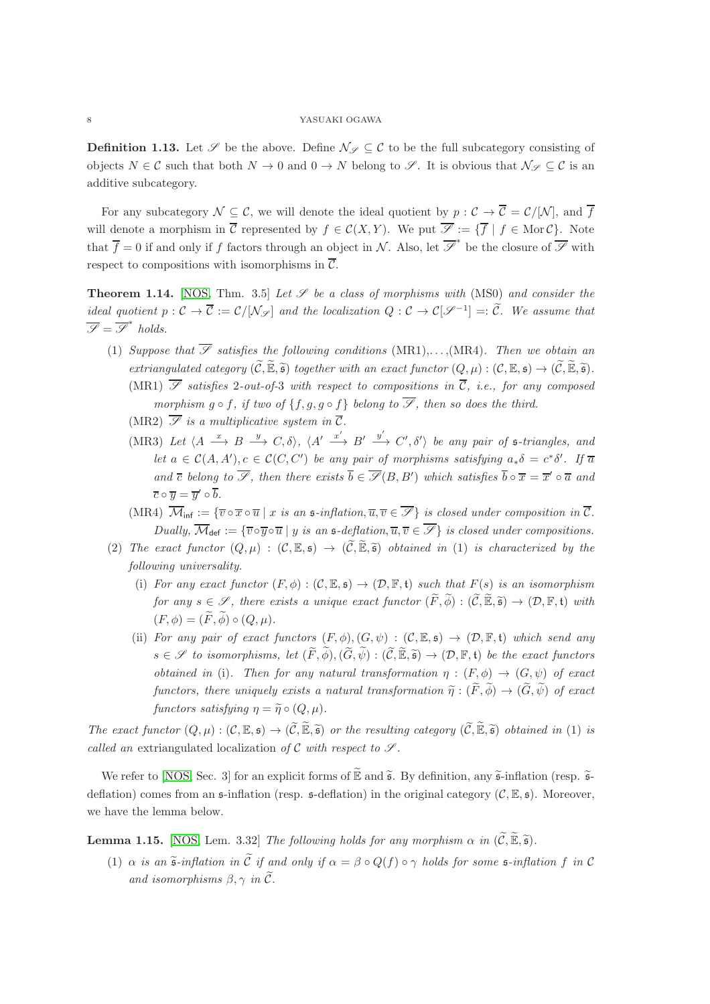**Definition 1.13.** Let  $\mathscr S$  be the above. Define  $\mathcal N_{\mathscr S} \subseteq \mathcal C$  to be the full subcategory consisting of objects  $N \in \mathcal{C}$  such that both  $N \to 0$  and  $0 \to N$  belong to  $\mathcal{S}$ . It is obvious that  $\mathcal{N}_{\mathcal{S}} \subset \mathcal{C}$  is an additive subcategory.

For any subcategory  $\mathcal{N} \subseteq \mathcal{C}$ , we will denote the ideal quotient by  $p : \mathcal{C} \to \overline{\mathcal{C}} = \mathcal{C}/|\mathcal{N}|$ , and  $\overline{f}$ will denote a morphism in  $\overline{\mathcal{C}}$  represented by  $f \in \mathcal{C}(X, Y)$ . We put  $\overline{\mathscr{S}} := \{\overline{f} \mid f \in \text{Mor }\mathcal{C}\}$ . Note that  $\overline{f} = 0$  if and only if f factors through an object in N. Also, let  $\overline{\mathscr{S}}^*$  be the closure of  $\overline{\mathscr{S}}$  with respect to compositions with isomorphisms in  $\overline{\mathcal{C}}$ .

<span id="page-7-0"></span>**Theorem 1.14.** [\[NOS,](#page-30-4) Thm. 3.5] Let  $\mathcal{S}$  be a class of morphisms with (MS0) and consider the *ideal quotient*  $p: \mathcal{C} \to \overline{\mathcal{C}} := \mathcal{C}/[\mathcal{N}_{\mathscr{S}}]$  and the localization  $Q: \mathcal{C} \to \mathcal{C}[\mathcal{S}^{-1}] =: \widetilde{\mathcal{C}}$ . We assume that  $\overline{\mathscr{S}} = \overline{\mathscr{S}}^*$  holds.

- (1) *Suppose that*  $\overline{\mathscr{S}}$  *satisfies the following conditions* (MR1),..., (MR4). Then we obtain an *extriangulated category*  $(\widetilde{C}, \widetilde{\mathbb{E}}, \widetilde{\mathfrak{s}})$  *together with an exact functor*  $(Q, \mu) : (C, \mathbb{E}, \mathfrak{s}) \to (\widetilde{C}, \widetilde{\mathbb{E}}, \widetilde{\mathfrak{s}})$ . (MR1)  $\overline{\mathscr{S}}$  *satisfies* 2-*out-of-3 with respect to compositions in*  $\overline{C}$ *, i.e., for any composed morphism*  $q \circ f$ , *if two of*  $\{f, q, q \circ f\}$  *belong to*  $\overline{\mathscr{S}}$ , *then so does the third.* 
	- (MR2)  $\overline{\mathscr{S}}$  *is a multiplicative system in*  $\overline{\mathcal{C}}$ *.*
	- (MR3) Let  $\langle A \stackrel{x}{\longrightarrow} B \stackrel{y}{\longrightarrow} C, \delta \rangle$ ,  $\langle A' \stackrel{x'}{\longrightarrow} B' \stackrel{y'}{\longrightarrow} C', \delta' \rangle$  be any pair of  $\mathfrak{s}\text{-triangles}$ , and *let*  $a \in C(A, A'), c \in C(C, C')$  *be any pair of morphisms satisfying*  $a_*\delta = c^* \delta'.$  *If*  $\overline{a}$ *and*  $\overline{c}$  *belong to*  $\overline{S}$ *, then there exists*  $\overline{b} \in \overline{S}(B, B')$  *which satisfies*  $\overline{b} \circ \overline{x} = \overline{x}' \circ \overline{a}$  *and*  $\overline{c} \circ \overline{y} = \overline{y}' \circ \overline{b}.$
	- (MR4)  $\overline{\mathcal{M}}_{\text{inf}} := \{ \overline{v} \circ \overline{x} \circ \overline{u} \mid x \text{ is an } \mathfrak{s}\text{-inflation}, \overline{u}, \overline{v} \in \overline{\mathscr{S}} \}$  *is closed under composition in*  $\overline{\mathcal{C}}$ *. Dually,*  $\overline{\mathcal{M}}_{\text{def}} := \{ \overline{v} \circ \overline{y} \circ \overline{u} \mid y \text{ is an } \mathfrak{s}\text{-deflation}, \overline{u}, \overline{v} \in \mathcal{F} \}$  is closed under compositions.
- (2) The exact functor  $(Q, \mu) : (\mathcal{C}, \mathbb{E}, \mathfrak{s}) \to (\widetilde{\mathcal{C}}, \widetilde{\mathbb{E}}, \widetilde{\mathfrak{s}})$  obtained in (1) is characterized by the *following universality.*
	- (i) *For any exact functor*  $(F, \phi) : (\mathcal{C}, \mathbb{E}, \mathfrak{s}) \to (\mathcal{D}, \mathbb{F}, \mathfrak{t})$  *such that*  $F(s)$  *is an isomorphism for any*  $s \in \mathscr{S}$ , *there exists a unique exact functor*  $(\widetilde{F}, \widetilde{\phi}) : (\widetilde{C}, \widetilde{\mathbb{E}}, \widetilde{\mathfrak{s}}) \to (\mathcal{D}, \mathbb{F}, \mathfrak{t})$  *with*  $(F, \phi) = (\widetilde{F}, \widetilde{\phi}) \circ (Q, \mu).$
	- (ii) *For any pair of exact functors*  $(F, \phi), (G, \psi) : (\mathcal{C}, \mathbb{E}, \mathfrak{s}) \to (\mathcal{D}, \mathbb{F}, \mathfrak{t})$  *which send any*  $s \in \mathscr{S}$  *to isomorphisms, let*  $(\widetilde{F}, \widetilde{\phi}), (\widetilde{G}, \widetilde{\psi}) : (\widetilde{C}, \widetilde{\mathbb{E}}, \widetilde{\mathfrak{s}}) \to (\mathcal{D}, \mathbb{F}, \mathfrak{t})$  *be the exact functors obtained in* (i). Then for any natural transformation  $\eta : (F, \phi) \to (G, \psi)$  of exact *functors, there uniquely exists a natural transformation*  $\tilde{\eta}: (\tilde{F}, \tilde{\phi}) \to (\tilde{G}, \tilde{\psi})$  *of exact functors satisfying*  $\eta = \tilde{\eta} \circ (Q, \mu)$ *.*

*The exact functor*  $(Q, \mu) : (\mathcal{C}, \mathbb{E}, \mathfrak{s}) \to (\widetilde{\mathcal{C}}, \widetilde{\mathbb{E}}, \widetilde{\mathfrak{s}})$  *or the resulting category*  $(\widetilde{\mathcal{C}}, \widetilde{\mathbb{E}}, \widetilde{\mathfrak{s}})$  *obtained in* (1) *is called an* extriangulated localization of C with respect to  $\mathscr{S}$ .

We refer to [\[NOS,](#page-30-4) Sec. 3] for an explicit forms of  $\widetilde{\mathbb{E}}$  and  $\widetilde{\mathfrak{s}}$ . By definition, any  $\widetilde{\mathfrak{s}}$ -inflation (resp.  $\widetilde{\mathfrak{s}}$ deflation) comes from an  $\mathfrak{s}$ -inflation (resp.  $\mathfrak{s}$ -deflation) in the original category  $(\mathcal{C}, \mathbb{E}, \mathfrak{s})$ . Moreover, we have the lemma below.

<span id="page-7-1"></span>**Lemma 1.15.** [\[NOS,](#page-30-4) Lem. 3.32] *The following holds for any morphism*  $\alpha$  *in*  $(\widetilde{C}, \widetilde{\mathbb{E}}, \widetilde{\mathfrak{s}})$ .

(1)  $\alpha$  *is an*  $\tilde{\mathfrak{s}}$ -inflation in  $\tilde{\mathfrak{C}}$  if and only if  $\alpha = \beta \circ Q(f) \circ \gamma$  holds for some  $\mathfrak{s}$ -inflation f in C *and isomorphisms*  $\beta$ ,  $\gamma$  *in*  $\tilde{C}$ *.*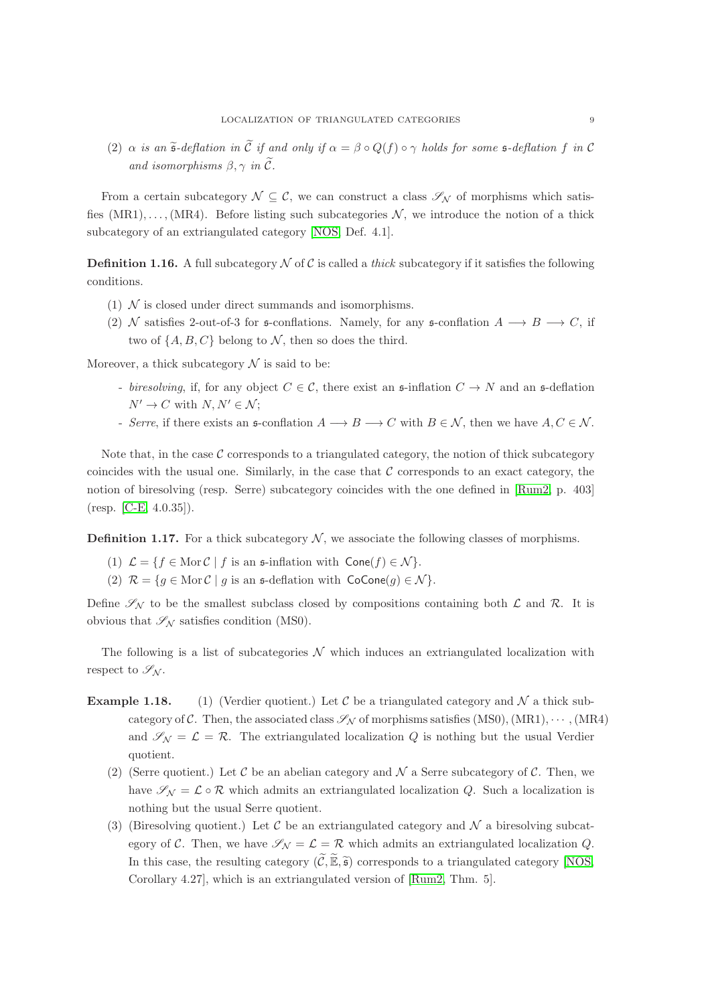(2)  $\alpha$  *is an*  $\tilde{\mathfrak{s}}$ -deflation in  $\tilde{\mathfrak{C}}$  *if and only if*  $\alpha = \beta \circ Q(f) \circ \gamma$  *holds for some*  $\mathfrak{s}$ -deflation f *in* C *and isomorphisms*  $\beta$ ,  $\gamma$  *in*  $\tilde{C}$ *.* 

From a certain subcategory  $\mathcal{N} \subseteq \mathcal{C}$ , we can construct a class  $\mathscr{S}_{\mathcal{N}}$  of morphisms which satisfies  $(MR1), \ldots, (MR4)$ . Before listing such subcategories N, we introduce the notion of a thick subcategory of an extriangulated category [\[NOS,](#page-30-4) Def. 4.1].

**Definition 1.16.** A full subcategory  $N$  of  $C$  is called a *thick* subcategory if it satisfies the following conditions.

- (1)  $\mathcal N$  is closed under direct summands and isomorphisms.
- (2) N satisfies 2-out-of-3 for  $\mathfrak s$ -conflations. Namely, for any  $\mathfrak s$ -conflation  $A \longrightarrow B \longrightarrow C$ , if two of  $\{A, B, C\}$  belong to N, then so does the third.

Moreover, a thick subcategory  $\mathcal N$  is said to be:

- *biresolving*, if, for any object  $C \in \mathcal{C}$ , there exist an  $\mathfrak{s}\text{-inflation } C \rightarrow N$  and an  $\mathfrak{s}\text{-deflation}$  $N' \to C$  with  $N, N' \in \mathcal{N}$ ;
- *Serre*, if there exists an  $\mathfrak{s}$ -conflation  $A \longrightarrow B \longrightarrow C$  with  $B \in \mathcal{N}$ , then we have  $A, C \in \mathcal{N}$ .

Note that, in the case  $\mathcal C$  corresponds to a triangulated category, the notion of thick subcategory coincides with the usual one. Similarly, in the case that  $C$  corresponds to an exact category, the notion of biresolving (resp. Serre) subcategory coincides with the one defined in [\[Rum2,](#page-30-21) p. 403] (resp. [\[C-E,](#page-29-7) 4.0.35]).

<span id="page-8-0"></span>**Definition 1.17.** For a thick subcategory  $\mathcal{N}$ , we associate the following classes of morphisms.

- (1)  $\mathcal{L} = \{f \in \text{Mor }\mathcal{C} \mid f \text{ is an } \mathfrak{s}\text{-inflation with } \text{Cone}(f) \in \mathcal{N}\}.$
- (2)  $\mathcal{R} = \{g \in \text{Mor }\mathcal{C} \mid g \text{ is an } \mathfrak{s}\text{-definition with } \text{CoCone}(g) \in \mathcal{N}\}.$

Define  $\mathscr{S}_{N}$  to be the smallest subclass closed by compositions containing both  $\mathcal{L}$  and  $\mathcal{R}$ . It is obvious that  $\mathscr{S}_{\mathcal{N}}$  satisfies condition (MS0).

The following is a list of subcategories  $\mathcal N$  which induces an extriangulated localization with respect to  $\mathscr{S}_{\mathcal{N}}$ .

- **Example 1.18.** (1) (Verdier quotient.) Let C be a triangulated category and N a thick subcategory of C. Then, the associated class  $\mathcal{S}_{\mathcal{N}}$  of morphisms satisfies (MS0), (MR1),  $\cdots$ , (MR4) and  $\mathscr{S}_{N} = \mathcal{L} = \mathcal{R}$ . The extriangulated localization Q is nothing but the usual Verdier quotient.
	- (2) (Serre quotient.) Let C be an abelian category and  $\mathcal N$  a Serre subcategory of C. Then, we have  $\mathscr{S}_{\mathcal{N}} = \mathcal{L} \circ \mathcal{R}$  which admits an extriangulated localization Q. Such a localization is nothing but the usual Serre quotient.
	- (3) (Biresolving quotient.) Let C be an extriangulated category and  $\mathcal N$  a biresolving subcategory of C. Then, we have  $\mathscr{S}_{N} = \mathcal{L} = \mathcal{R}$  which admits an extriangulated localization Q. In this case, the resulting category  $(\widetilde{\mathcal{C}}, \widetilde{\mathbb{E}}, \widetilde{\mathfrak{s}})$  corresponds to a triangulated category [\[NOS,](#page-30-4) Corollary 4.27], which is an extriangulated version of [\[Rum2,](#page-30-21) Thm. 5].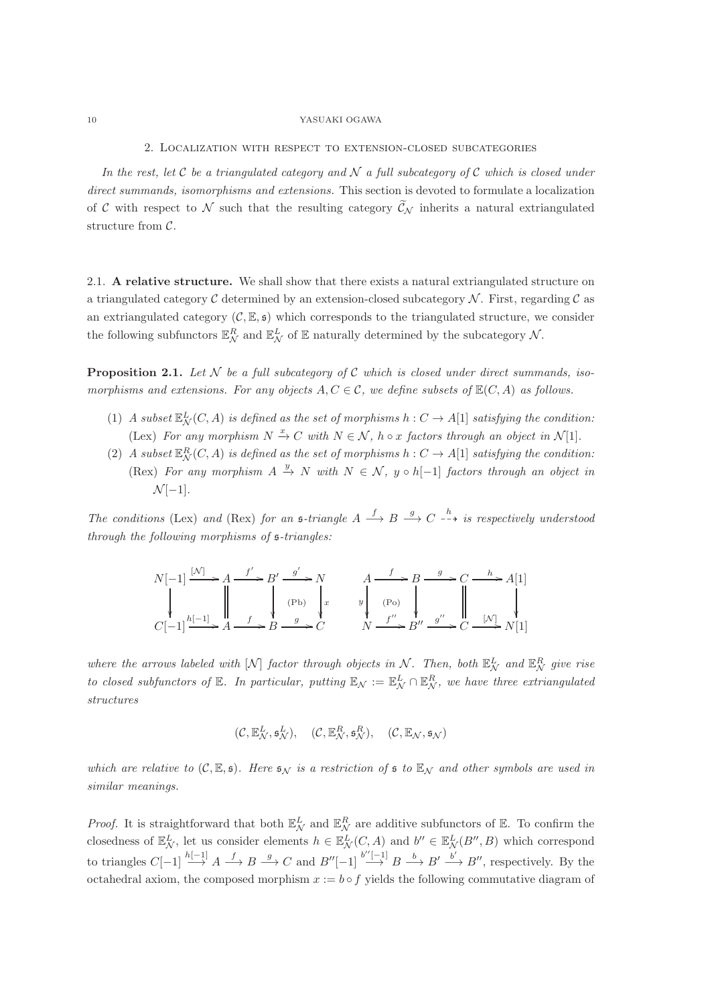2. Localization with respect to extension-closed subcategories

<span id="page-9-0"></span>*In the rest, let* C *be a triangulated category and* N *a full subcategory of* C *which is closed under direct summands, isomorphisms and extensions.* This section is devoted to formulate a localization of C with respect to N such that the resulting category  $\widetilde{\mathcal{C}}_N$  inherits a natural extriangulated structure from C.

<span id="page-9-1"></span>2.1. A relative structure. We shall show that there exists a natural extriangulated structure on a triangulated category C determined by an extension-closed subcategory  $\mathcal N$ . First, regarding C as an extriangulated category  $(C, \mathbb{E}, \mathfrak{s})$  which corresponds to the triangulated structure, we consider the following subfunctors  $\mathbb{E}_{\mathcal{N}}^R$  and  $\mathbb{E}_{\mathcal{N}}^L$  of  $\mathbb E$  naturally determined by the subcategory  $\mathcal{N}$ .

<span id="page-9-2"></span>**Proposition 2.1.** Let  $N$  be a full subcategory of  $C$  which is closed under direct summands, iso*morphisms and extensions. For any objects*  $A, C \in \mathcal{C}$ , we define subsets of  $\mathbb{E}(C, A)$  as follows.

- (1) *A subset*  $\mathbb{E}_{\mathcal{N}}^L(C, A)$  *is defined as the set of morphisms*  $h: C \to A[1]$  *satisfying the condition:* (Lex) For any morphism  $N \stackrel{x}{\to} C$  with  $N \in \mathcal{N}$ ,  $h \circ x$  factors through an object in  $\mathcal{N}[1]$ .
- (2) *A* subset  $\mathbb{E}^R_\mathcal{N}(C, A)$  *is defined as the set of morphisms*  $h: C \to A[1]$  *satisfying the condition:* (Rex) For any morphism  $A \xrightarrow{y} N$  with  $N \in \mathcal{N}$ ,  $y \circ h[-1]$  *factors through an object in*  $\mathcal{N}[-1]$ *.*

*The conditions* (Lex) *and* (Rex) *for an*  $\mathfrak{s}\text{-triangle } A \xrightarrow{f} B \xrightarrow{g} C \xrightarrow{h} i\mathfrak{s}$  respectively understood *through the following morphisms of* s*-triangles:*

N[−1] [N] /A f ′ /B′ g ′ /N x A f / y (Po) B g /C <sup>h</sup> /A[1] <sup>C</sup>[−1]<sup>h</sup>[−1] /A f /B g /C (Pb) N f ′′ /B′′ <sup>g</sup> ′′ /C [N] /N[1]

where the arrows labeled with  $[N]$  *factor through objects in*  $N$ *. Then, both*  $\mathbb{E}^L_N$  *and*  $\mathbb{E}^R_N$  *give rise to closed subfunctors of*  $\mathbb{E}$ *. In particular, putting*  $\mathbb{E}_{\mathcal{N}} := \mathbb{E}_{\mathcal{N}}^L \cap \mathbb{E}_{\mathcal{N}}^R$ *, we have three extriangulated structures*

$$
(\mathcal{C}, \mathbb{E}^L_{\mathcal{N}}, \mathfrak{s}^L_{\mathcal{N}}), \quad (\mathcal{C}, \mathbb{E}^R_{\mathcal{N}}, \mathfrak{s}^R_{\mathcal{N}}), \quad (\mathcal{C}, \mathbb{E}_{\mathcal{N}}, \mathfrak{s}_{\mathcal{N}})
$$

*which are relative to*  $(C, \mathbb{E}, \mathfrak{s})$ *. Here*  $\mathfrak{s}_N$  *is a restriction of*  $\mathfrak{s}$  *to*  $\mathbb{E}_N$  *and other symbols are used in similar meanings.*

*Proof.* It is straightforward that both  $\mathbb{E}^L_N$  and  $\mathbb{E}^R_N$  are additive subfunctors of  $\mathbb{E}$ . To confirm the closedness of  $\mathbb{E}^L_N$ , let us consider elements  $h \in \mathbb{E}^L_N(C, A)$  and  $b'' \in \mathbb{E}^L_N(B'', B)$  which correspond to triangles  $C[-1] \stackrel{h[-1]}{\longrightarrow} A \stackrel{f}{\longrightarrow} B \stackrel{g}{\longrightarrow} C$  and  $B''[-1] \stackrel{b''[-1]}{\longrightarrow} B \stackrel{b}{\longrightarrow} B' \stackrel{b'}{\longrightarrow} B''$ , respectively. By the octahedral axiom, the composed morphism  $x := b \circ f$  yields the following commutative diagram of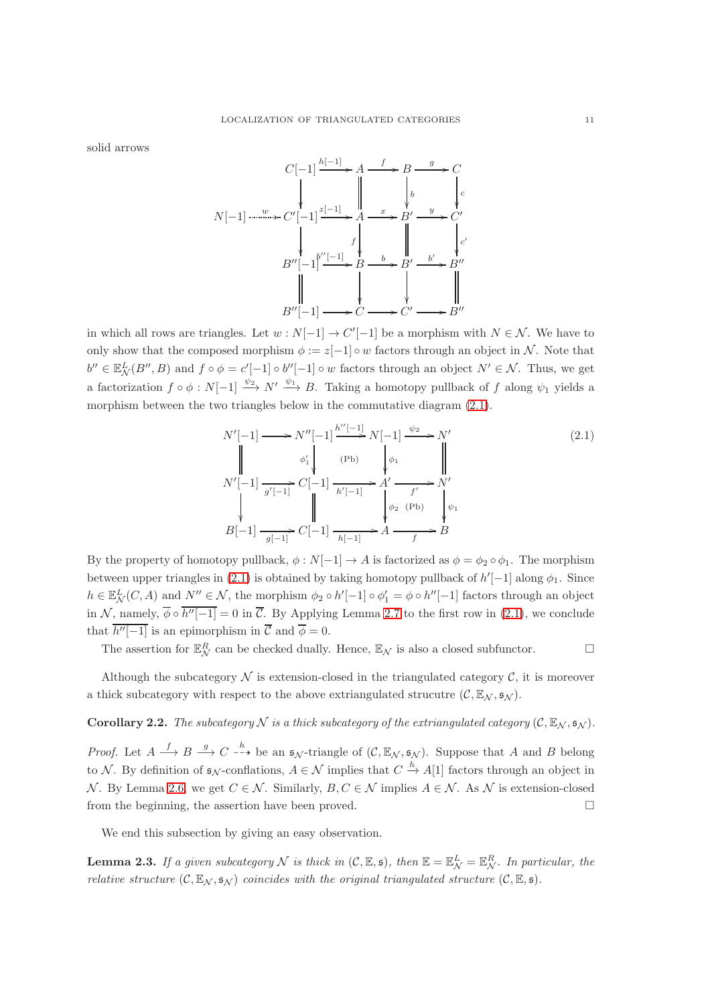solid arrows

$$
C[-1] \xrightarrow{h[-1]} A \xrightarrow{f} B \xrightarrow{g} C
$$
  
\n
$$
N[-1] \xrightarrow{w} C'[-1] \xleftarrow{z[-1]} A \xrightarrow{f} B' \xrightarrow{g} C'
$$
  
\n
$$
\downarrow \qquad \qquad f \qquad \qquad f \qquad \qquad f'
$$
  
\n
$$
B''[-1] \xrightarrow{b} B' \xrightarrow{b'} B''
$$
  
\n
$$
B''[-1] \xrightarrow{f} C \xrightarrow{b'} C' \xrightarrow{h''}
$$

in which all rows are triangles. Let  $w : N[-1] \to C'[-1]$  be a morphism with  $N \in \mathcal{N}$ . We have to only show that the composed morphism  $\phi := z[-1] \circ w$  factors through an object in N. Note that  $b'' \in \mathbb{E}^L_{\mathcal{N}}(B'', B)$  and  $f \circ \phi = c'[-1] \circ b''[-1] \circ w$  factors through an object  $N' \in \mathcal{N}$ . Thus, we get a factorization  $f \circ \phi : N[-1] \xrightarrow{\psi_2} N' \xrightarrow{\psi_1} B$ . Taking a homotopy pullback of f along  $\psi_1$  yields a morphism between the two triangles below in the commutative diagram [\(2.1\)](#page-10-0).

<span id="page-10-0"></span>
$$
N'[-1] \longrightarrow N''[-1] \xrightarrow{\hbar''[-1]} N[-1] \xrightarrow{\psi_2} N'
$$
\n
$$
N'[-1] \xrightarrow{\phi'_1} C[-1] \xrightarrow{\text{(Pb)}} A' \xrightarrow{\phi_1} N'
$$
\n
$$
N'[-1] \xrightarrow{g'[-1]} C[-1] \xrightarrow{\hbar'[-1]} A' \xrightarrow{f'} N'
$$
\n
$$
B[-1] \xrightarrow{g[-1]} C[-1] \xrightarrow{\hbar[-1]} A \xrightarrow{f} A \xrightarrow{f} B
$$
\n(2.1)

By the property of homotopy pullback,  $\phi : N[-1] \to A$  is factorized as  $\phi = \phi_2 \circ \phi_1$ . The morphism between upper triangles in [\(2.1\)](#page-10-0) is obtained by taking homotopy pullback of  $h'[-1]$  along  $\phi_1$ . Since  $h \in \mathbb{E}^L_{\mathcal{N}}(C, A)$  and  $N'' \in \mathcal{N}$ , the morphism  $\phi_2 \circ h'[-1] \circ \phi_1' = \phi \circ h''[-1]$  factors through an object in N, namely,  $\phi \circ h''[-1] = 0$  in  $\overline{\mathcal{C}}$ . By Applying Lemma [2.7](#page-12-0) to the first row in [\(2.1\)](#page-10-0), we conclude that  $h''[-1]$  is an epimorphism in  $\overline{\mathcal{C}}$  and  $\overline{\phi} = 0$ .

The assertion for  $\mathbb{E}_{\mathcal{N}}^R$  can be checked dually. Hence,  $\mathbb{E}_{\mathcal{N}}$  is also a closed subfunctor.

Although the subcategory  $\mathcal N$  is extension-closed in the triangulated category  $\mathcal C$ , it is moreover a thick subcategory with respect to the above extriangulated strucutre  $(C, \mathbb{E}_{\mathcal{N}}, \mathfrak{s}_{\mathcal{N}})$ .

# **Corollary 2.2.** *The subcategory*  $N$  *is a thick subcategory of the extriangulated category*  $(C, \mathbb{E}_N, \mathfrak{s}_N)$ *.*

*Proof.* Let  $A \stackrel{f}{\longrightarrow} B \stackrel{g}{\longrightarrow} C \stackrel{h}{\dashrightarrow}$  be an  $\mathfrak{s}_{\mathcal{N}}$ -triangle of  $(\mathcal{C}, \mathbb{E}_{\mathcal{N}}, \mathfrak{s}_{\mathcal{N}})$ . Suppose that A and B belong to N. By definition of  $\mathfrak{s}_{\mathcal{N}}$ -conflations,  $A \in \mathcal{N}$  implies that  $C \stackrel{h}{\to} A[1]$  factors through an object in N. By Lemma [2.6,](#page-11-1) we get  $C \in \mathcal{N}$ . Similarly,  $B, C \in \mathcal{N}$  implies  $A \in \mathcal{N}$ . As N is extension-closed from the beginning, the assertion have been proved.

We end this subsection by giving an easy observation.

<span id="page-10-1"></span>**Lemma 2.3.** If a given subcategory N is thick in  $(C, \mathbb{E}, \mathfrak{s})$ , then  $\mathbb{E} = \mathbb{E}^L_N = \mathbb{E}^R_N$ . In particular, the *relative structure*  $(C, \mathbb{E}_N, \mathfrak{s}_N)$  *coincides with the original triangulated structure*  $(C, \mathbb{E}, \mathfrak{s})$ *.*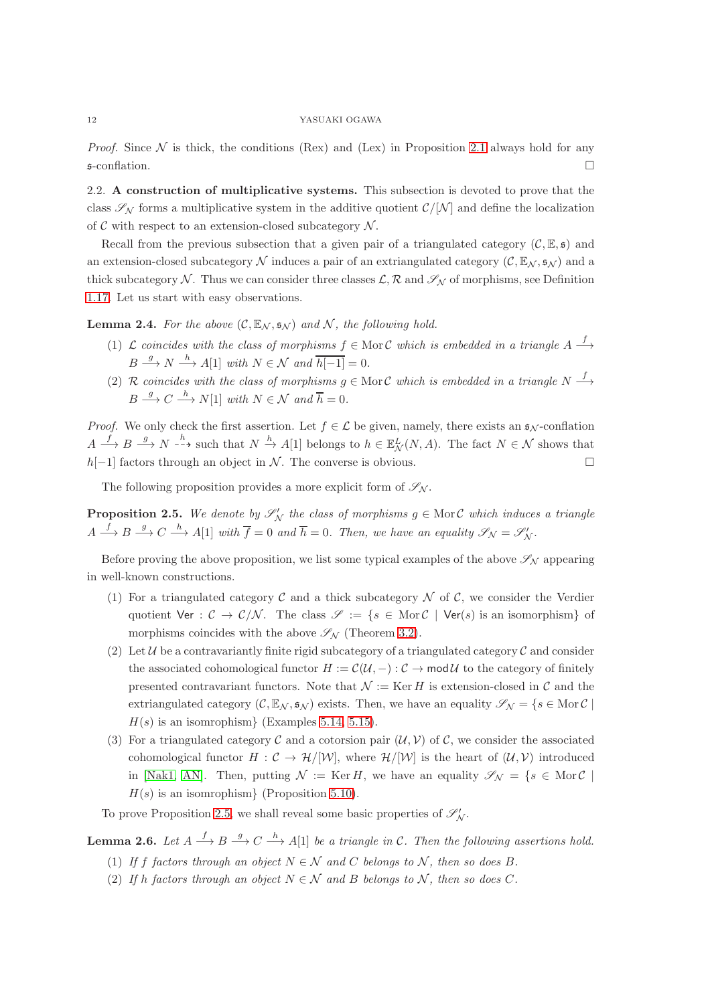<span id="page-11-0"></span>*Proof.* Since  $N$  is thick, the conditions (Rex) and (Lex) in Proposition [2.1](#page-9-2) always hold for any  $\mathfrak{s}\text{-}$ conflation.

2.2. A construction of multiplicative systems. This subsection is devoted to prove that the class  $\mathscr{S}_{\mathcal{N}}$  forms a multiplicative system in the additive quotient  $\mathcal{C}/|\mathcal{N}|$  and define the localization of  $\mathcal C$  with respect to an extension-closed subcategory  $\mathcal N$ .

Recall from the previous subsection that a given pair of a triangulated category  $(C, \mathbb{E}, \mathfrak{s})$  and an extension-closed subcategory N induces a pair of an extriangulated category  $(C, \mathbb{E}_N, s_N)$  and a thick subcategory N. Thus we can consider three classes  $\mathcal{L}, \mathcal{R}$  and  $\mathcal{S}_{\mathcal{N}}$  of morphisms, see Definition [1.17.](#page-8-0) Let us start with easy observations.

**Lemma 2.4.** For the above  $(C, \mathbb{E}_N, \mathfrak{s}_N)$  and N, the following hold.

- (1)  $\mathcal L$  *coincides with the class of morphisms*  $f \in \text{Mor } \mathcal C$  *which is embedded in a triangle*  $A \stackrel{f}{\longrightarrow}$  $B \stackrel{g}{\longrightarrow} N \stackrel{h}{\longrightarrow} A[1]$  *with*  $N \in \mathcal{N}$  *and*  $\overline{h[-1]} = 0$ *.*
- (2) R coincides with the class of morphisms  $g \in \text{Mor } C$  which is embedded in a triangle  $N \stackrel{f}{\longrightarrow}$  $B \stackrel{g}{\longrightarrow} C \stackrel{h}{\longrightarrow} N[1]$  *with*  $N \in \mathcal{N}$  *and*  $\overline{h} = 0$ *.*

*Proof.* We only check the first assertion. Let  $f \in \mathcal{L}$  be given, namely, there exists an  $\mathfrak{s}_N$ -conflation  $A \xrightarrow{f} B \xrightarrow{g} N \xrightarrow{h}$  such that  $N \xrightarrow{h} A[1]$  belongs to  $h \in \mathbb{E}^L_{\mathcal{N}}(N, A)$ . The fact  $N \in \mathcal{N}$  shows that  $h[-1]$  factors through an object in N. The converse is obvious.  $□$ 

The following proposition provides a more explicit form of  $\mathscr{S}_{\mathcal{N}}$ .

<span id="page-11-2"></span>**Proposition 2.5.** We denote by  $\mathscr{S}'_N$  the class of morphisms  $g \in \text{Mor } C$  which induces a triangle  $A \stackrel{f}{\longrightarrow} B \stackrel{g}{\longrightarrow} C \stackrel{h}{\longrightarrow} A[1]$  *with*  $\overline{f} = 0$  *and*  $\overline{h} = 0$ *. Then, we have an equality*  $\mathscr{S}_{\mathcal{N}} = \mathscr{S}'_{\mathcal{N}}$ *.* 

Before proving the above proposition, we list some typical examples of the above  $\mathscr{S}_{N}$  appearing in well-known constructions.

- (1) For a triangulated category  $\mathcal C$  and a thick subcategory  $\mathcal N$  of  $\mathcal C$ , we consider the Verdier quotient Ver :  $C \to C/N$ . The class  $\mathscr{S} := \{ s \in \text{Mor } C \mid \text{Ver}(s) \text{ is an isomorphism} \}$  of morphisms coincides with the above  $\mathscr{S}_{N}$  (Theorem [3.2\)](#page-18-0).
- (2) Let U be a contravariantly finite rigid subcategory of a triangulated category C and consider the associated cohomological functor  $H := \mathcal{C}(\mathcal{U}, -): \mathcal{C} \to \mathsf{mod} \mathcal{U}$  to the category of finitely presented contravariant functors. Note that  $\mathcal{N} := \text{Ker } H$  is extension-closed in C and the extriangulated category  $(C, \mathbb{E}_{\mathcal{N}}, \mathfrak{s}_{\mathcal{N}})$  exists. Then, we have an equality  $\mathscr{S}_{\mathcal{N}} = \{s \in \text{Mor } C \mid$  $H(s)$  is an isomrophism} (Examples [5.14,](#page-28-0) [5.15\)](#page-28-1).
- (3) For a triangulated category  $\mathcal C$  and a cotorsion pair  $(\mathcal U, \mathcal V)$  of  $\mathcal C$ , we consider the associated cohomological functor  $H : \mathcal{C} \to \mathcal{H}/[\mathcal{W}]$ , where  $\mathcal{H}/[\mathcal{W}]$  is the heart of  $(\mathcal{U}, \mathcal{V})$  introduced in [\[Nak1,](#page-30-22) [AN\]](#page-29-8). Then, putting  $\mathcal{N} := \text{Ker } H$ , we have an equality  $\mathscr{S}_{\mathcal{N}} = \{s \in \text{Mor } \mathcal{C} \mid$  $H(s)$  is an isomrophism} (Proposition [5.10\)](#page-26-0).

To prove Proposition [2.5,](#page-11-2) we shall reveal some basic properties of  $\mathscr{S}'_{N}$ .

<span id="page-11-1"></span>**Lemma 2.6.** Let  $A \stackrel{f}{\longrightarrow} B \stackrel{g}{\longrightarrow} C \stackrel{h}{\longrightarrow} A[1]$  be a triangle in C. Then the following assertions hold.

- (1) If f factors through an object  $N \in \mathcal{N}$  and C belongs to N, then so does B.
- (2) *If* h *factors through an object*  $N \in \mathcal{N}$  *and* B *belongs to*  $\mathcal{N}$ *, then so does* C.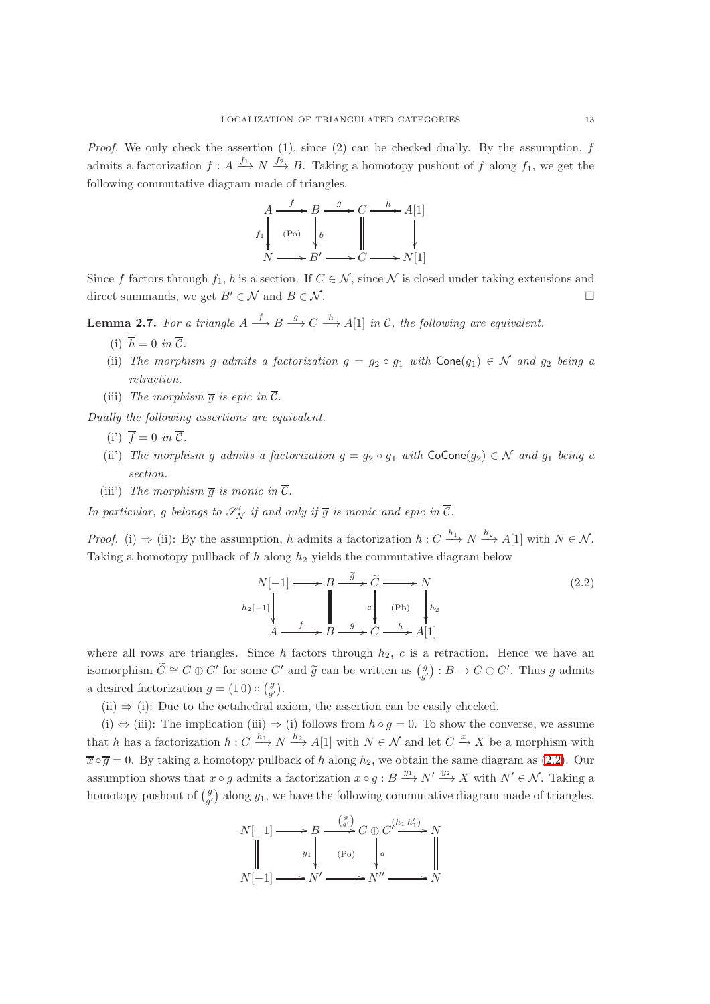*Proof.* We only check the assertion  $(1)$ , since  $(2)$  can be checked dually. By the assumption, f admits a factorization  $f: A \xrightarrow{f_1} N \xrightarrow{f_2} B$ . Taking a homotopy pushout of f along  $f_1$ , we get the following commutative diagram made of triangles.



Since f factors through  $f_1$ , b is a section. If  $C \in \mathcal{N}$ , since N is closed under taking extensions and direct summands, we get  $B' \in \mathcal{N}$  and  $B \in \mathcal{N}$ .

<span id="page-12-0"></span>**Lemma 2.7.** For a triangle  $A \xrightarrow{f} B \xrightarrow{g} C \xrightarrow{h} A[1]$  in C, the following are equivalent.

- (i)  $\overline{h} = 0$  *in*  $\overline{C}$ *.*
- (ii) *The morphism g admits a factorization*  $g = g_2 \circ g_1$  *with*  $Cone(g_1) \in \mathcal{N}$  *and*  $g_2$  *being a retraction.*
- (iii) The morphism  $\overline{q}$  is epic in  $\overline{C}$ .

*Dually the following assertions are equivalent.*

- $(i') \, \bar{f} = 0 \, in \, \bar{\mathcal{C}}$ .
- (ii) *The morphism g admits a factorization*  $g = g_2 \circ g_1$  *with*  $\text{CoCone}(g_2) \in \mathcal{N}$  *and*  $g_1$  *being a section.*
- (iii) *The morphism*  $\overline{q}$  *is monic in*  $\overline{C}$ *.*

*In particular,* g *belongs to*  $\mathscr{S}'_{\mathcal{N}}$  *if and only if*  $\overline{g}$  *is monic and epic in*  $\overline{\mathcal{C}}$ *.* 

*Proof.* (i)  $\Rightarrow$  (ii): By the assumption, h admits a factorization  $h: C \xrightarrow{h_1} N \xrightarrow{h_2} A[1]$  with  $N \in \mathcal{N}$ . Taking a homotopy pullback of h along  $h_2$  yields the commutative diagram below

<span id="page-12-1"></span>
$$
N[-1] \longrightarrow B \xrightarrow{\tilde{g}} \tilde{C} \longrightarrow N
$$
  
\n
$$
h_2[-1] \downarrow \qquad \qquad I \qquad \qquad \downarrow \qquad c \downarrow \qquad (Pb) \qquad \qquad h_2
$$
  
\n
$$
A \xrightarrow{f} B \xrightarrow{g} C \xrightarrow{h} A[1]
$$
  
\n
$$
(2.2)
$$

where all rows are triangles. Since h factors through  $h_2$ , c is a retraction. Hence we have an isomorphism  $\widetilde{C} \cong C \oplus C'$  for some C' and  $\widetilde{g}$  can be written as  $(g') : B \to C \oplus C'$ . Thus g admits a desired factorization  $g = (1 0) \circ \left(\frac{g}{g'}\right)$ .

 $(ii) \Rightarrow (i)$ : Due to the octahedral axiom, the assertion can be easily checked.

(i)  $\Leftrightarrow$  (iii): The implication (iii)  $\Rightarrow$  (i) follows from  $h \circ q = 0$ . To show the converse, we assume that h has a factorization  $h: C \xrightarrow{h_1} N \xrightarrow{h_2} A[1]$  with  $N \in \mathcal{N}$  and let  $C \xrightarrow{x} X$  be a morphism with  $\overline{x} \circ \overline{q} = 0$ . By taking a homotopy pullback of h along  $h_2$ , we obtain the same diagram as [\(2.2\)](#page-12-1). Our assumption shows that  $x \circ g$  admits a factorization  $x \circ g : B \xrightarrow{y_1} N' \xrightarrow{y_2} X$  with  $N' \in \mathcal{N}$ . Taking a homotopy pushout of  $\begin{pmatrix} g \\ g' \end{pmatrix}$  along  $y_1$ , we have the following commutative diagram made of triangles.

$$
N[-1] \longrightarrow B \xrightarrow{\binom{g}{g'}} C \oplus C^{j\frac{h_1 h_1'}{h_1'}} N
$$
  
\n
$$
\parallel \qquad y_1 \qquad \qquad (Po)
$$
  
\n
$$
N[-1] \longrightarrow N' \longrightarrow N'' \longrightarrow N
$$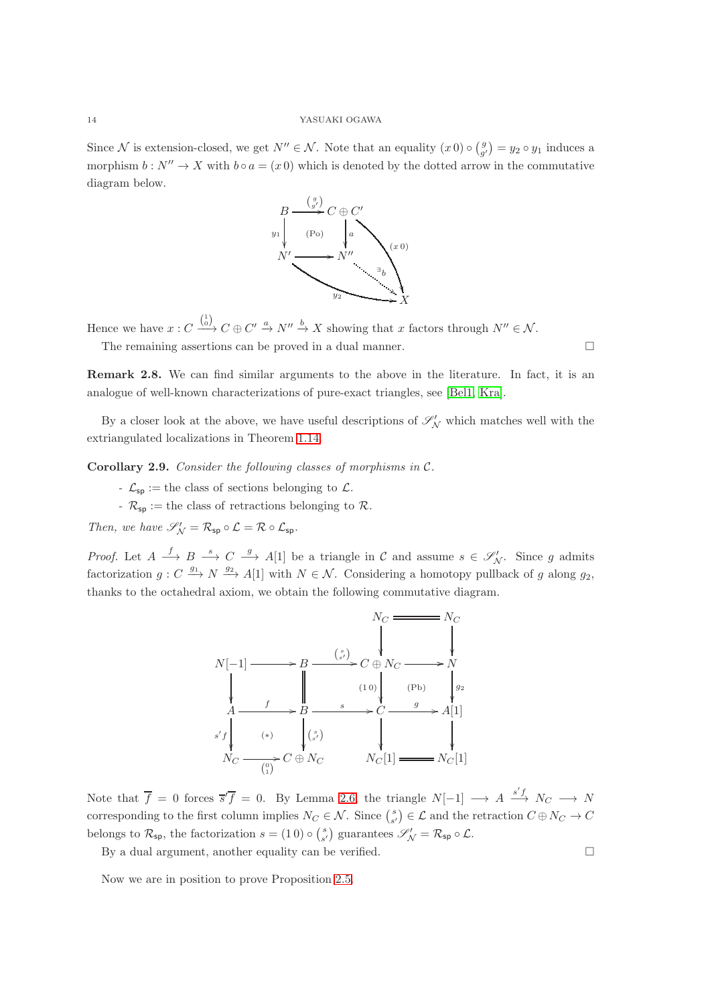Since N is extension-closed, we get  $N'' \in \mathcal{N}$ . Note that an equality  $(x\,0) \circ \begin{pmatrix} g \\ g' \end{pmatrix} = y_2 \circ y_1$  induces a morphism  $b: N'' \to X$  with  $b \circ a = (x \ 0)$  which is denoted by the dotted arrow in the commutative diagram below.



Hence we have  $x: C \xrightarrow{\binom{1}{0}} C \oplus C' \xrightarrow{a} N'' \xrightarrow{b} X$  showing that x factors through  $N'' \in \mathcal{N}$ . The remaining assertions can be proved in a dual manner.

Remark 2.8. We can find similar arguments to the above in the literature. In fact, it is an

analogue of well-known characterizations of pure-exact triangles, see [\[Bel1,](#page-29-4) [Kra\]](#page-30-18).

By a closer look at the above, we have useful descriptions of  $\mathscr{S}'_{\mathcal{N}}$  which matches well with the extriangulated localizations in Theorem [1.14.](#page-7-0)

<span id="page-13-0"></span>Corollary 2.9. *Consider the following classes of morphisms in* C*.*

- $\mathcal{L}_{\mathsf{sp}}:=$  the class of sections belonging to  $\mathcal{L}.$
- *-*  $\mathcal{R}_{\mathsf{sp}}$  := the class of retractions belonging to  $\mathcal{R}$ .

 $\emph{Then, we have $\mathscr{S}'_{\mathcal{N}} = \mathcal{R}_{\mathsf{sp}} \circ \mathcal{L} = \mathcal{R} \circ \mathcal{L}_{\mathsf{sp}}$.}$ 

*Proof.* Let  $A \xrightarrow{f} B \xrightarrow{s} C \xrightarrow{g} A[1]$  be a triangle in C and assume  $s \in \mathscr{S}'_{N}$ . Since g admits factorization  $g: C \stackrel{g_1}{\longrightarrow} N \stackrel{g_2}{\longrightarrow} A[1]$  with  $N \in \mathcal{N}$ . Considering a homotopy pullback of g along  $g_2$ , thanks to the octahedral axiom, we obtain the following commutative diagram.



Note that  $\overline{f} = 0$  forces  $\overline{s'f} = 0$ . By Lemma [2.6,](#page-11-1) the triangle  $N[-1] \longrightarrow A \stackrel{s'f}{\longrightarrow} N_C \longrightarrow N$ corresponding to the first column implies  $N_C \in \mathcal{N}$ . Since  $\binom{s}{s'} \in \mathcal{L}$  and the retraction  $C \oplus N_C \to C$ belongs to  $\mathcal{R}_{sp}$ , the factorization  $s = (1\ 0) \circ {s \choose s'}$  guarantees  $\mathscr{S}'_{\mathcal{N}} = \mathcal{R}_{sp} \circ \mathcal{L}$ .

By a dual argument, another equality can be verified.  $\square$ 

Now we are in position to prove Proposition [2.5.](#page-11-2)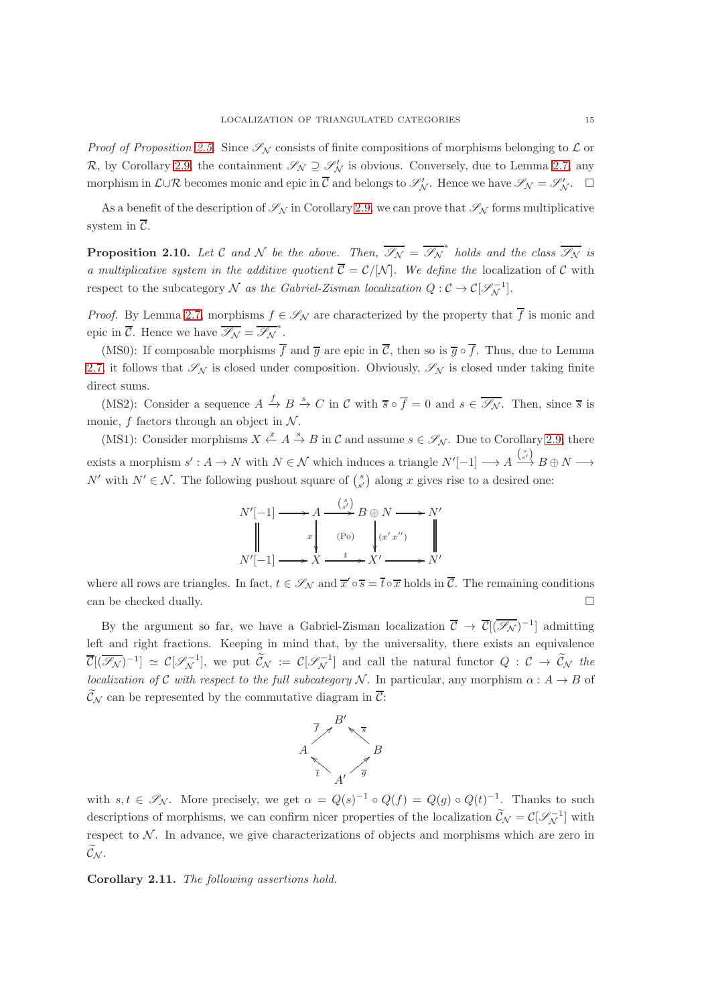*Proof of Proposition [2.5.](#page-11-2)* Since  $\mathscr{S}_{\mathcal{N}}$  consists of finite compositions of morphisms belonging to  $\mathcal{L}$  or R, by Corollary [2.9,](#page-13-0) the containment  $\mathscr{S}_{\mathcal{N}} \supseteq \mathscr{S}'_{\mathcal{N}}$  is obvious. Conversely, due to Lemma [2.7,](#page-12-0) any morphism in  $\mathcal{L} \cup \mathcal{R}$  becomes monic and epic in  $\overline{\mathcal{C}}$  and belongs to  $\mathscr{S}'_{\mathcal{N}}$ . Hence we have  $\mathscr{S}_{\mathcal{N}} = \mathscr{S}'_{\mathcal{N}}$ .  $\Box$ 

As a benefit of the description of  $\mathcal{S}_{\mathcal{N}}$  in Corollary [2.9,](#page-13-0) we can prove that  $\mathcal{S}_{\mathcal{N}}$  forms multiplicative system in  $\overline{\mathcal{C}}$ .

<span id="page-14-1"></span>**Proposition 2.10.** Let C and N be the above. Then,  $\overline{\mathscr{S}_{N}} = \overline{\mathscr{S}_{N}}^{*}$  holds and the class  $\overline{\mathscr{S}_{N}}$  is *a multiplicative system in the additive quotient*  $\overline{C} = C/N$ *. We define the* localization of C with respect to the subcategory N *as the Gabriel-Zisman localization*  $Q: \mathcal{C} \to \mathcal{C}[\mathcal{S}_{\mathcal{N}}^{-1}]$ .

*Proof.* By Lemma [2.7,](#page-12-0) morphisms  $f \in \mathscr{S}_{\mathcal{N}}$  are characterized by the property that  $\overline{f}$  is monic and epic in  $\overline{\mathcal{C}}$ . Hence we have  $\overline{\mathscr{S}_{\mathcal{N}}} = \overline{\mathscr{S}_{\mathcal{N}}}^*$ .

(MS0): If composable morphisms  $\overline{f}$  and  $\overline{q}$  are epic in  $\overline{C}$ , then so is  $\overline{q} \circ \overline{f}$ . Thus, due to Lemma [2.7,](#page-12-0) it follows that  $\mathscr{S}_{\mathcal{N}}$  is closed under composition. Obviously,  $\mathscr{S}_{\mathcal{N}}$  is closed under taking finite direct sums.

(MS2): Consider a sequence  $A \xrightarrow{f} B \xrightarrow{s} C$  in C with  $\overline{s} \circ \overline{f} = 0$  and  $s \in \overline{\mathscr{S}_{\mathcal{N}}}$ . Then, since  $\overline{s}$  is monic,  $f$  factors through an object in  $\mathcal N$ .

(MS1): Consider morphisms  $X \xleftarrow{x} A \xrightarrow{s} B$  in C and assume  $s \in \mathscr{S}_{\mathcal{N}}$ . Due to Corollary [2.9,](#page-13-0) there exists a morphism  $s': A \to N$  with  $N \in \mathcal{N}$  which induces a triangle  $N'[-1] \longrightarrow A \stackrel{s'}{\longrightarrow} B \oplus N \longrightarrow$ N' with N' ∈ N. The following pushout square of  $\binom{s}{s'}$  along x gives rise to a desired one:

$$
N'[-1] \longrightarrow A \xrightarrow{\binom{s'}{s'}} B \oplus N \longrightarrow N'
$$
  
\n
$$
\parallel x \downarrow \qquad \text{(Po)} \qquad \downarrow x' \downarrow \qquad \parallel
$$
  
\n
$$
N'[-1] \longrightarrow X \xrightarrow{t} X' \longrightarrow N'
$$

where all rows are triangles. In fact,  $t \in \mathscr{S}_{\mathcal{N}}$  and  $\overline{x}' \circ \overline{s} = \overline{t} \circ \overline{x}$  holds in  $\overline{\mathcal{C}}$ . The remaining conditions can be checked dually.  $\Box$ 

By the argument so far, we have a Gabriel-Zisman localization  $\overline{C} \to \overline{C}[(\overline{\mathscr{S}_{N}})^{-1}]$  admitting left and right fractions. Keeping in mind that, by the universality, there exists an equivalence  $\overline{\mathcal{C}}[(\overline{\mathscr{S}}_{\mathcal{N}})^{-1}] \simeq \mathcal{C}[\mathscr{S}_{\mathcal{N}}^{-1}]$ , we put  $\widetilde{\mathcal{C}}_{\mathcal{N}} := \mathcal{C}[\mathscr{S}_{\mathcal{N}}^{-1}]$  and call the natural functor  $Q: \mathcal{C} \to \widetilde{\mathcal{C}}_{\mathcal{N}}$  the *localization of* C *with respect to the full subcategory* N. In particular, any morphism  $\alpha : A \rightarrow B$  of  $\widetilde{\mathcal{C}}_{\mathcal{N}}$  can be represented by the commutative diagram in  $\overline{\mathcal{C}}$ :



with  $s, t \in \mathscr{S}_{\mathcal{N}}$ . More precisely, we get  $\alpha = Q(s)^{-1} \circ Q(f) = Q(g) \circ Q(t)^{-1}$ . Thanks to such descriptions of morphisms, we can confirm nicer properties of the localization  $\tilde{\mathcal{C}}_{\mathcal{N}} = \mathcal{C}[\mathcal{S}_{\mathcal{N}}^{-1}]$  with respect to  $N$ . In advance, we give characterizations of objects and morphisms which are zero in  $\widetilde{\mathcal{C}}_{\mathcal{N}}$ .

<span id="page-14-0"></span>Corollary 2.11. *The following assertions hold.*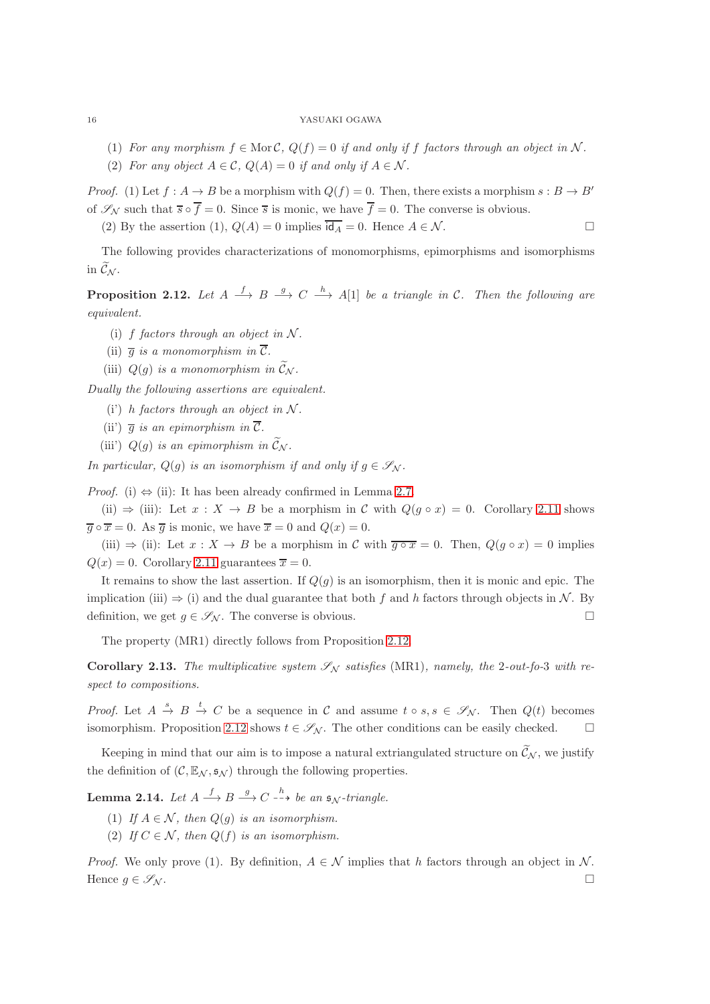- (1) *For any morphism*  $f \in \text{Mor } C$ ,  $Q(f) = 0$  *if and only if*  $f$  *factors through an object in*  $N$ *.*
- (2) For any object  $A \in \mathcal{C}$ ,  $Q(A) = 0$  if and only if  $A \in \mathcal{N}$ .

*Proof.* (1) Let  $f : A \to B$  be a morphism with  $Q(f) = 0$ . Then, there exists a morphism  $s : B \to B'$ of  $\mathscr{S}_{\mathcal{N}}$  such that  $\overline{s} \circ \overline{f} = 0$ . Since  $\overline{s}$  is monic, we have  $\overline{f} = 0$ . The converse is obvious.

(2) By the assertion (1),  $Q(A) = 0$  implies  $\overline{dq_A} = 0$ . Hence  $A \in \mathcal{N}$ .

The following provides characterizations of monomorphisms, epimorphisms and isomorphisms in  $\widetilde{\mathcal{C}}_{\mathcal{N}}$ .

<span id="page-15-0"></span>**Proposition 2.12.** Let  $A \stackrel{f}{\longrightarrow} B \stackrel{g}{\longrightarrow} C \stackrel{h}{\longrightarrow} A[1]$  be a triangle in C. Then the following are *equivalent.*

- (i) f *factors through an object in*  $N$ *.*
- (ii)  $\overline{q}$  *is a monomorphism in*  $\overline{C}$ *.*
- (iii)  $Q(q)$  *is a monomorphism in*  $\widetilde{\mathcal{C}}_{\mathcal{N}}$ *.*

*Dually the following assertions are equivalent.*

- (i) h *factors through an object in*  $N$ *.*
- (ii)  $\overline{g}$  *is an epimorphism in*  $\overline{C}$ *.*
- (iii)  $Q(g)$  *is an epimorphism in*  $\mathcal{C}_N$ *.*

*In particular,*  $Q(g)$  *is an isomorphism if and only if*  $g \in \mathscr{S}_N$ *.* 

*Proof.* (i)  $\Leftrightarrow$  (ii): It has been already confirmed in Lemma [2.7.](#page-12-0)

(ii)  $\Rightarrow$  (iii): Let  $x : X \rightarrow B$  be a morphism in C with  $Q(g \circ x) = 0$ . Corollary [2.11](#page-14-0) shows  $\overline{g} \circ \overline{x} = 0$ . As  $\overline{g}$  is monic, we have  $\overline{x} = 0$  and  $Q(x) = 0$ .

(iii)  $\Rightarrow$  (ii): Let  $x : X \to B$  be a morphism in C with  $\overline{g \circ x} = 0$ . Then,  $Q(g \circ x) = 0$  implies  $Q(x) = 0$ . Corollary [2.11](#page-14-0) guarantees  $\overline{x} = 0$ .

It remains to show the last assertion. If  $Q(g)$  is an isomorphism, then it is monic and epic. The implication (iii)  $\Rightarrow$  (i) and the dual guarantee that both f and h factors through objects in N. By definition, we get  $g \in \mathscr{S}_{\mathcal{N}}$ . The converse is obvious.

The property (MR1) directly follows from Proposition [2.12.](#page-15-0)

<span id="page-15-1"></span>Corollary 2.13. The multiplicative system  $\mathscr{S}_{\mathcal{N}}$  satisfies (MR1), namely, the 2-out-fo-3 with re*spect to compositions.*

*Proof.* Let  $A \stackrel{s}{\to} B \stackrel{t}{\to} C$  be a sequence in C and assume  $t \circ s, s \in \mathscr{S}_{\mathcal{N}}$ . Then  $Q(t)$  becomes isomorphism. Proposition [2.12](#page-15-0) shows  $t \in \mathscr{S}_{\mathcal{N}}$ . The other conditions can be easily checked.

Keeping in mind that our aim is to impose a natural extriangulated structure on  $\tilde{\mathcal{C}}_{\mathcal{N}}$ , we justify the definition of  $(C, \mathbb{E}_{\mathcal{N}}, s_{\mathcal{N}})$  through the following properties.

Lemma 2.14. Let  $A \stackrel{f}{\longrightarrow} B \stackrel{g}{\longrightarrow} C \stackrel{h}{\dashrightarrow}$  be an  $\mathfrak{s}_{\mathcal{N}}$ -triangle.

- (1) *If*  $A \in \mathcal{N}$ *, then*  $Q(g)$  *is an isomorphism.*
- (2) *If*  $C \in \mathcal{N}$ *, then*  $Q(f)$  *is an isomorphism.*

*Proof.* We only prove (1). By definition,  $A \in \mathcal{N}$  implies that h factors through an object in N. Hence  $g \in \mathscr{S}_{\mathcal{N}}$ .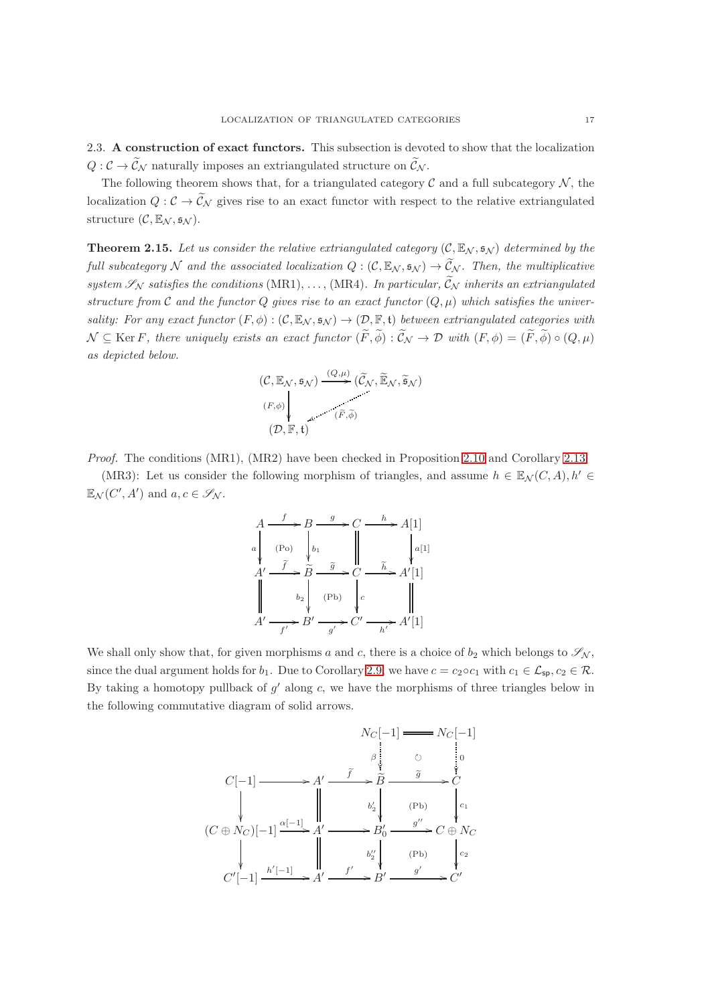<span id="page-16-0"></span>2.3. A construction of exact functors. This subsection is devoted to show that the localization  $Q: \mathcal{C} \to \widetilde{\mathcal{C}}_{\mathcal{N}}$  naturally imposes an extriangulated structure on  $\widetilde{\mathcal{C}}_{\mathcal{N}}$ .

The following theorem shows that, for a triangulated category  $\mathcal C$  and a full subcategory  $\mathcal N$ , the localization  $Q: \mathcal{C} \to \widetilde{\mathcal{C}}_N$  gives rise to an exact functor with respect to the relative extriangulated structure  $(C, \mathbb{E}_N, \mathfrak{s}_N)$ .

<span id="page-16-1"></span>**Theorem 2.15.** Let us consider the relative extriangulated category  $(C, \mathbb{E}_N, \mathfrak{s}_N)$  determined by the *full subcategory* N and the associated localization  $Q : (\mathcal{C}, \mathbb{E}_N, \mathfrak{s}_N) \to \widetilde{C}_N$ . Then, the multiplicative *system*  $\mathscr{S}_{\mathcal{N}}$  *satisfies the conditions* (MR1), ..., (MR4). In particular,  $\widetilde{\mathcal{C}}_{\mathcal{N}}$  *inherits an extriangulated structure from*  $C$  *and the functor*  $Q$  *gives rise to an exact functor*  $(Q, \mu)$  *which satisfies the universality: For any exact functor*  $(F, \phi) : (\mathcal{C}, \mathbb{E}_{\mathcal{N}}, \mathfrak{s}_{\mathcal{N}}) \to (\mathcal{D}, \mathbb{F}, \mathfrak{t})$  *between extriangulated categories with*  $\mathcal{N} \subseteq \text{Ker } F$ , there uniquely exists an exact functor  $(\widetilde{F}, \widetilde{\phi}) : \widetilde{\mathcal{C}}_{\mathcal{N}} \to \mathcal{D}$  with  $(F, \phi) = (\widetilde{F}, \widetilde{\phi}) \circ (Q, \mu)$ *as depicted below.*

$$
(\mathcal{C}, \mathbb{E}_{\mathcal{N}}, \mathfrak{s}_{\mathcal{N}}) \xrightarrow{(Q, \mu)} (\widetilde{\mathcal{C}}_{\mathcal{N}}, \widetilde{\mathbb{E}}_{\mathcal{N}}, \widetilde{\mathfrak{s}}_{\mathcal{N}})
$$
  
\n
$$
\downarrow (\widetilde{F}, \widetilde{\phi})
$$
  
\n
$$
(\mathcal{D}, \mathbb{F}, \mathfrak{t})
$$

*Proof.* The conditions (MR1), (MR2) have been checked in Proposition [2.10](#page-14-1) and Corollary [2.13.](#page-15-1)

(MR3): Let us consider the following morphism of triangles, and assume  $h \in \mathbb{E}_{\mathcal{N}}(C, A), h' \in$  $\mathbb{E}_{\mathcal{N}}(C', A')$  and  $a, c \in \mathscr{S}_{\mathcal{N}}$ .

$$
A \xrightarrow{f} B \xrightarrow{g} C \xrightarrow{h} A[1]
$$
\n
$$
A' \xrightarrow{f} \widetilde{B} \xrightarrow{\widetilde{g}} C \xrightarrow{\widetilde{h}} A'[1]
$$
\n
$$
A' \xrightarrow{f} B' \xrightarrow{g} C' \xrightarrow{\widetilde{h}} A'[1]
$$
\n
$$
A' \xrightarrow{h'} B' \xrightarrow{g'} C' \xrightarrow{h'} A'[1]
$$

We shall only show that, for given morphisms a and c, there is a choice of  $b_2$  which belongs to  $\mathscr{S}_{\mathcal{N}}$ , since the dual argument holds for  $b_1$ . Due to Corollary [2.9,](#page-13-0) we have  $c = c_2 \circ c_1$  with  $c_1 \in \mathcal{L}_{sp}$ ,  $c_2 \in \mathcal{R}$ . By taking a homotopy pullback of  $g'$  along  $c$ , we have the morphisms of three triangles below in the following commutative diagram of solid arrows.

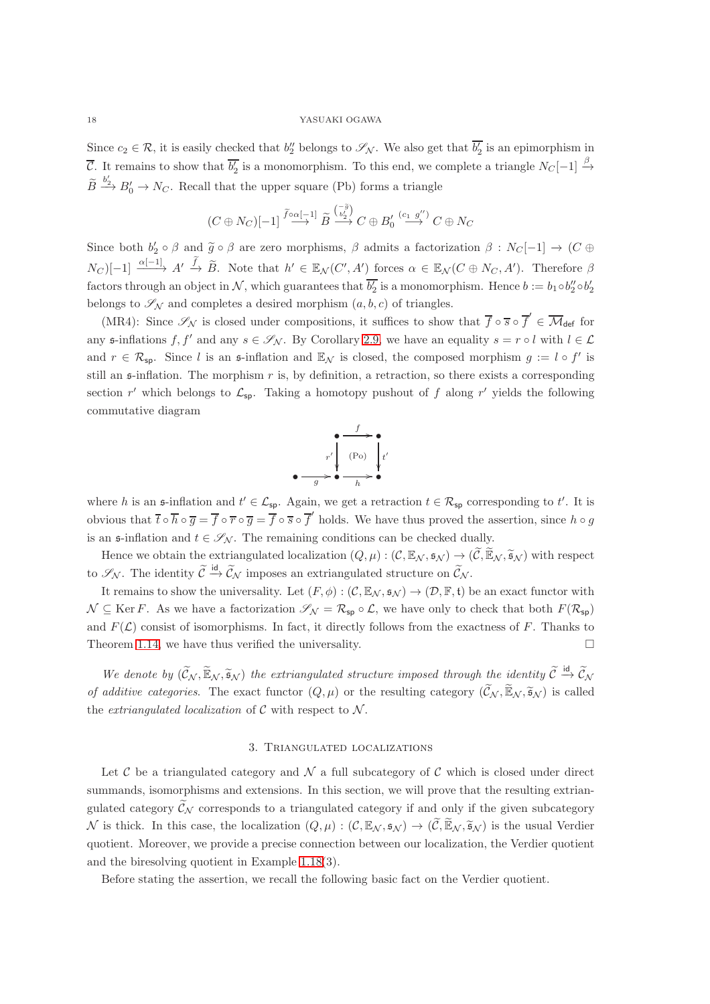Since  $c_2 \in \mathcal{R}$ , it is easily checked that  $b''_2$  belongs to  $\mathscr{S}_{\mathcal{N}}$ . We also get that  $\overline{b'_2}$  is an epimorphism in  $\overline{\mathcal{C}}$ . It remains to show that  $\overline{b'_2}$  is a monomorphism. To this end, we complete a triangle  $N_C[-1] \stackrel{\beta}{\rightarrow}$  $\widetilde{B} \xrightarrow{b'_2} B'_0 \to N_C$ . Recall that the upper square (Pb) forms a triangle

$$
(C \oplus N_C)[-1] \stackrel{\widetilde{f} \circ \alpha[-1]}{\longrightarrow} \widetilde{B} \stackrel{\binom{-\widetilde{g}}{b_2^j}}{\longrightarrow} C \oplus B_0' \stackrel{(c_1 g'')}{\longrightarrow} C \oplus N_C
$$

Since both  $b'_2 \circ \beta$  and  $\tilde{g} \circ \beta$  are zero morphisms,  $\beta$  admits a factorization  $\beta : N_C[-1] \to (C \oplus$  $N_C$ [-1]  $\xrightarrow{\alpha[-1]}$   $A' \xrightarrow{\tilde{f}} \tilde{B}$ . Note that  $h' \in \mathbb{E}_{\mathcal{N}}(C', A')$  forces  $\alpha \in \mathbb{E}_{\mathcal{N}}(C \oplus N_C, A')$ . Therefore  $\beta$ factors through an object in N, which guarantees that  $\overline{b'_2}$  is a monomorphism. Hence  $b := b_1 \circ b''_2 \circ b'_2$ belongs to  $\mathscr{S}_{N}$  and completes a desired morphism  $(a, b, c)$  of triangles.

(MR4): Since  $\mathscr{S}_{\mathcal{N}}$  is closed under compositions, it suffices to show that  $\overline{f} \circ \overline{s} \circ \overline{f}' \in \overline{\mathcal{M}}_{def}$  for any  $\mathfrak{s}$ -inflations  $f, f'$  and any  $s \in \mathscr{S}_{\mathcal{N}}$ . By Corollary [2.9,](#page-13-0) we have an equality  $s = r \circ l$  with  $l \in \mathcal{L}$ and  $r \in \mathcal{R}_{sp}$ . Since l is an s-inflation and  $\mathbb{E}_{\mathcal{N}}$  is closed, the composed morphism  $g := l \circ f'$  is still an s-inflation. The morphism r is, by definition, a retraction, so there exists a corresponding section r' which belongs to  $\mathcal{L}_{sp}$ . Taking a homotopy pushout of f along r' yields the following commutative diagram

$$
\begin{array}{c}\n f \\
\hline\n r' \\
\hline\n g\n \end{array}\n \begin{array}{c}\n f \\
\hline\n (Po) \\
\hline\n h\n \end{array}\n \begin{array}{c}\n t' \\
t' \\
\hline\n \end{array}
$$

where h is an  $\mathfrak{s}$ -inflation and  $t' \in \mathcal{L}_{\mathsf{sp}}$ . Again, we get a retraction  $t \in \mathcal{R}_{\mathsf{sp}}$  corresponding to t'. It is obvious that  $\overline{t} \circ \overline{h} \circ \overline{g} = \overline{f} \circ \overline{r} \circ \overline{g} = \overline{f} \circ \overline{s} \circ \overline{f}'$  holds. We have thus proved the assertion, since  $h \circ g$ is an  $\mathfrak{s}\text{-inflation}$  and  $t \in \mathscr{S}_{\mathcal{N}}$ . The remaining conditions can be checked dually.

Hence we obtain the extriangulated localization  $(Q, \mu) : (\mathcal{C}, \mathbb{E}_{\mathcal{N}}, \mathfrak{s}_{\mathcal{N}}) \to (\widetilde{\mathcal{C}}, \widetilde{\mathbb{E}}_{\mathcal{N}}, \widetilde{\mathfrak{s}}_{\mathcal{N}})$  with respect to  $\mathscr{S}_{\mathcal{N}}$ . The identity  $\widetilde{\mathcal{C}} \stackrel{\text{id}}{\rightarrow} \widetilde{\mathcal{C}}_{\mathcal{N}}$  imposes an extriangulated structure on  $\widetilde{\mathcal{C}}_{\mathcal{N}}$ .

It remains to show the universality. Let  $(F, \phi) : (\mathcal{C}, \mathbb{E}_{\mathcal{N}}, \mathfrak{s}_{\mathcal{N}}) \to (\mathcal{D}, \mathbb{F}, \mathfrak{t})$  be an exact functor with  $\mathcal{N} \subseteq \text{Ker } F$ . As we have a factorization  $\mathscr{S}_{\mathcal{N}} = \mathcal{R}_{\text{sp}} \circ \mathcal{L}$ , we have only to check that both  $F(\mathcal{R}_{\text{sp}})$ and  $F(\mathcal{L})$  consist of isomorphisms. In fact, it directly follows from the exactness of F. Thanks to Theorem [1.14,](#page-7-0) we have thus verified the universality.  $\Box$ 

We denote by  $(\widetilde{C}_N, \widetilde{\mathbb{E}}_N, \widetilde{\mathfrak{s}}_N)$  the extriangulated structure imposed through the identity  $\widetilde{C} \stackrel{\text{id}}{\rightarrow} \widetilde{C}_N$ *of additive categories*. The exact functor  $(Q, \mu)$  or the resulting category  $(\widetilde{\mathcal{C}}_{\mathcal{N}}, \widetilde{\mathbb{E}}_{\mathcal{N}}, \widetilde{\mathfrak{s}}_{\mathcal{N}})$  is called the *extriangulated localization* of  $C$  with respect to  $N$ .

## 3. Triangulated localizations

<span id="page-17-0"></span>Let C be a triangulated category and  $\mathcal N$  a full subcategory of C which is closed under direct summands, isomorphisms and extensions. In this section, we will prove that the resulting extriangulated category  $\widetilde{\mathcal{C}}_{\mathcal{N}}$  corresponds to a triangulated category if and only if the given subcategory N is thick. In this case, the localization  $(Q, \mu) : (\mathcal{C}, \mathbb{E}_{\mathcal{N}}, \mathfrak{s}_{\mathcal{N}}) \to (\widetilde{\mathcal{C}}, \widetilde{\mathbb{E}}_{\mathcal{N}}, \widetilde{\mathfrak{s}}_{\mathcal{N}})$  is the usual Verdier quotient. Moreover, we provide a precise connection between our localization, the Verdier quotient and the biresolving quotient in Example 1.18(3).

Before stating the assertion, we recall the following basic fact on the Verdier quotient.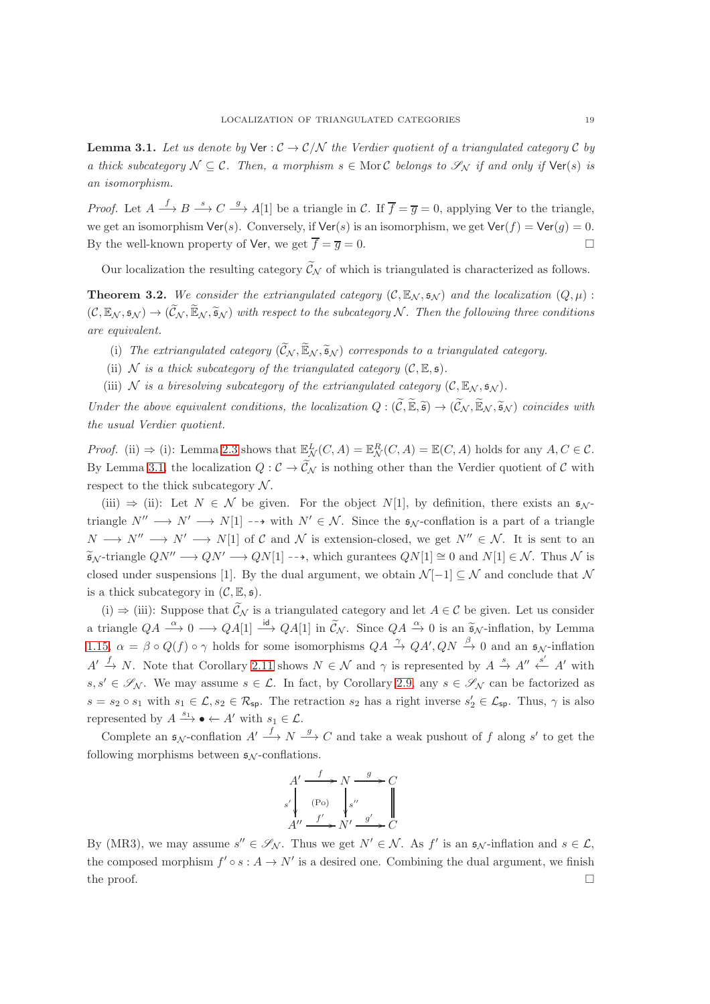<span id="page-18-1"></span>**Lemma 3.1.** Let us denote by  $\forall e : C \rightarrow C/N$  the Verdier quotient of a triangulated category C by *a thick subcategory*  $N \subseteq \mathcal{C}$ *. Then, a morphism*  $s \in \text{Mor } \mathcal{C}$  *belongs to*  $\mathcal{S}_N$  *if and only if*  $\text{Ver}(s)$  *is an isomorphism.*

*Proof.* Let  $A \stackrel{f}{\longrightarrow} B \stackrel{s}{\longrightarrow} C \stackrel{g}{\longrightarrow} A[1]$  be a triangle in C. If  $\overline{f} = \overline{g} = 0$ , applying Ver to the triangle, we get an isomorphism  $\text{Ver}(s)$ . Conversely, if  $\text{Ver}(s)$  is an isomorphism, we get  $\text{Ver}(f) = \text{Ver}(g) = 0$ . By the well-known property of Ver, we get  $\overline{f} = \overline{g} = 0$ .

Our localization the resulting category  $\widetilde{\mathcal{C}}_{\mathcal{N}}$  of which is triangulated is characterized as follows.

<span id="page-18-0"></span>**Theorem 3.2.** We consider the extriangulated category  $(C, \mathbb{E}_{N}, \mathfrak{s}_{N})$  and the localization  $(Q, \mu)$ :  $(C, \mathbb{E}_\mathcal{N}, \mathfrak{s}_\mathcal{N}) \to (\mathcal{C}_\mathcal{N}, \mathbb{E}_\mathcal{N}, \mathfrak{s}_\mathcal{N})$  with respect to the subcategory N. Then the following three conditions *are equivalent.*

- (i) The extriangulated category  $(\widetilde{C}_N, \widetilde{\mathbb{E}}_N, \widetilde{\mathfrak{s}}_N)$  corresponds to a triangulated category.
- (ii) N *is a thick subcategory of the triangulated category*  $(C, \mathbb{E}, \mathfrak{s})$ *.*
- (iii) N *is a biresolving subcategory of the extriangulated category*  $(C, \mathbb{E}_N, \mathfrak{s}_N)$ *.*

*Under the above equivalent conditions, the localization*  $Q : (\widetilde{C}, \widetilde{\mathbb{E}}, \widetilde{\mathfrak{s}}) \to (\widetilde{C}_{\mathcal{N}}, \widetilde{\mathbb{E}}_{\mathcal{N}}, \widetilde{\mathfrak{s}}_{\mathcal{N}})$  *coincides with the usual Verdier quotient.*

*Proof.* (ii)  $\Rightarrow$  (i): Lemma [2.3](#page-10-1) shows that  $\mathbb{E}_{\mathcal{N}}^L(C, A) = \mathbb{E}_{\mathcal{N}}^R(C, A) = \mathbb{E}(C, A)$  holds for any  $A, C \in \mathcal{C}$ . By Lemma [3.1,](#page-18-1) the localization  $Q: \mathcal{C} \to \widetilde{\mathcal{C}}_{\mathcal{N}}$  is nothing other than the Verdier quotient of  $\mathcal{C}$  with respect to the thick subcategory  $N$ .

(iii)  $\Rightarrow$  (ii): Let  $N \in \mathcal{N}$  be given. For the object  $N[1]$ , by definition, there exists an  $\mathfrak{s}_{\mathcal{N}}$ triangle  $N'' \longrightarrow N' \longrightarrow N[1] \longrightarrow$  with  $N' \in \mathcal{N}$ . Since the  $\mathfrak{s}_{N}$ -conflation is a part of a triangle  $N \longrightarrow N'' \longrightarrow N' \longrightarrow N[1]$  of C and N is extension-closed, we get  $N'' \in \mathcal{N}$ . It is sent to an  $\widetilde{\mathfrak{s}}_{\mathcal{N}}$ -triangle  $QN'' \longrightarrow QN' \longrightarrow QN[1] \longrightarrow$ , which gurantees  $QN[1] \cong 0$  and  $N[1] \in \mathcal{N}$ . Thus N is closed under suspensions [1]. By the dual argument, we obtain  $\mathcal{N}[-1] \subseteq \mathcal{N}$  and conclude that  $\mathcal{N}$ is a thick subcategory in  $(C, \mathbb{E}, \mathfrak{s})$ .

(i)  $\Rightarrow$  (iii): Suppose that  $\widetilde{\mathcal{C}}_{\mathcal{N}}$  is a triangulated category and let  $A \in \mathcal{C}$  be given. Let us consider a triangle  $QA \xrightarrow{\alpha} 0 \longrightarrow QA[1] \xrightarrow{id} QA[1]$  in  $\widetilde{C}_{\mathcal{N}}$ . Since  $QA \xrightarrow{\alpha} 0$  is an  $\widetilde{\mathfrak{s}}_{\mathcal{N}}$ -inflation, by Lemma [1.15,](#page-7-1)  $\alpha = \beta \circ Q(f) \circ \gamma$  holds for some isomorphisms  $QA \stackrel{\gamma}{\to} QA', QN \stackrel{\beta}{\to} 0$  and an  $\mathfrak{s}_{\mathcal{N}}$ -inflation  $A' \stackrel{f}{\to} N$ . Note that Corollary [2.11](#page-14-0) shows  $N \in \mathcal{N}$  and  $\gamma$  is represented by  $A \stackrel{s}{\to} A'' \stackrel{s'}{\leftarrow} A'$  with  $s, s' \in \mathscr{S}_{\mathcal{N}}$ . We may assume  $s \in \mathcal{L}$ . In fact, by Corollary [2.9,](#page-13-0) any  $s \in \mathscr{S}_{\mathcal{N}}$  can be factorized as  $s = s_2 \circ s_1$  with  $s_1 \in \mathcal{L}, s_2 \in \mathcal{R}_{\mathsf{sp}}$ . The retraction  $s_2$  has a right inverse  $s_2' \in \mathcal{L}_{\mathsf{sp}}$ . Thus,  $\gamma$  is also represented by  $A \xrightarrow{s_1} \bullet \leftarrow A'$  with  $s_1 \in \mathcal{L}$ .

Complete an  $\mathfrak{s}_{\mathcal{N}}$ -conflation  $A' \stackrel{f}{\longrightarrow} N \stackrel{g}{\longrightarrow} C$  and take a weak pushout of f along s' to get the following morphisms between  $\mathfrak{s}_N$ -conflations.

$$
A' \xrightarrow{f} N \xrightarrow{g} C
$$
  
\n
$$
s' \downarrow \text{(Po)} \qquad s'' \downarrow \qquad \qquad \parallel
$$
  
\n
$$
A'' \xrightarrow{f'} N' \xrightarrow{g'} C
$$

By (MR3), we may assume  $s'' \in \mathscr{S}_{\mathcal{N}}$ . Thus we get  $N' \in \mathcal{N}$ . As  $f'$  is an  $\mathfrak{s}_{\mathcal{N}}$ -inflation and  $s \in \mathcal{L}$ , the composed morphism  $f' \circ s : A \to N'$  is a desired one. Combining the dual argument, we finish the proof.  $\Box$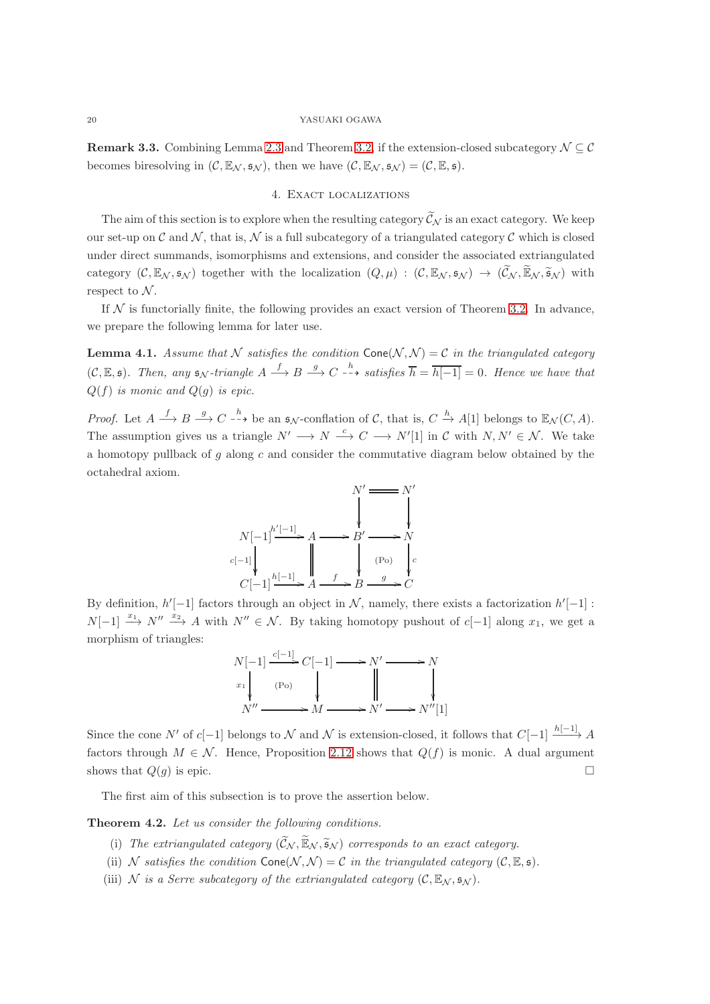<span id="page-19-0"></span>**Remark 3.3.** Combining Lemma [2.3](#page-10-1) and Theorem [3.2,](#page-18-0) if the extension-closed subcategory  $\mathcal{N} \subseteq \mathcal{C}$ becomes biresolving in  $(C, \mathbb{E}_{\mathcal{N}}, \mathfrak{s}_{\mathcal{N}})$ , then we have  $(C, \mathbb{E}_{\mathcal{N}}, \mathfrak{s}_{\mathcal{N}}) = (C, \mathbb{E}, \mathfrak{s}).$ 

# 4. Exact localizations

The aim of this section is to explore when the resulting category  $\tilde{\mathcal{C}}_N$  is an exact category. We keep our set-up on  $\mathcal C$  and  $\mathcal N$ , that is,  $\mathcal N$  is a full subcategory of a triangulated category  $\mathcal C$  which is closed under direct summands, isomorphisms and extensions, and consider the associated extriangulated category  $(C, \mathbb{E}_{\mathcal{N}}, \mathfrak{s}_{\mathcal{N}})$  together with the localization  $(Q, \mu) : (C, \mathbb{E}_{\mathcal{N}}, \mathfrak{s}_{\mathcal{N}}) \to (\widetilde{C}_{\mathcal{N}}, \widetilde{\mathbb{E}}_{\mathcal{N}}, \widetilde{\mathfrak{s}}_{\mathcal{N}})$  with respect to  $N$ .

If  $N$  is functorially finite, the following provides an exact version of Theorem [3.2.](#page-18-0) In advance, we prepare the following lemma for later use.

<span id="page-19-2"></span>**Lemma 4.1.** Assume that N satisfies the condition  $Cone(N, N) = C$  in the triangulated category  $(C, \mathbb{E}, \mathfrak{s})$ *. Then, any*  $\mathfrak{s}_{\mathcal{N}}$ -triangle  $A \xrightarrow{f} B \xrightarrow{g} C \xrightarrow{h} satisfies \overline{h} = \overline{h[-1]} = 0$ *. Hence we have that*  $Q(f)$  *is monic and*  $Q(g)$  *is epic.* 

*Proof.* Let  $A \xrightarrow{f} B \xrightarrow{g} C \xrightarrow{h}$  be an  $\mathfrak{s}_{\mathcal{N}}$ -conflation of C, that is,  $C \xrightarrow{h} A[1]$  belongs to  $\mathbb{E}_{\mathcal{N}}(C, A)$ . The assumption gives us a triangle  $N' \longrightarrow N \stackrel{c}{\longrightarrow} C \longrightarrow N'[1]$  in C with  $N, N' \in \mathcal{N}$ . We take a homotopy pullback of  $g$  along  $c$  and consider the commutative diagram below obtained by the octahedral axiom.



By definition,  $h'[-1]$  factors through an object in N, namely, there exists a factorization  $h'[-1]$ :  $N[-1] \stackrel{x_1}{\longrightarrow} N'' \stackrel{x_2}{\longrightarrow} A$  with  $N'' \in \mathcal{N}$ . By taking homotopy pushout of c[-1] along  $x_1$ , we get a morphism of triangles:



Since the cone N' of c[−1] belongs to N and N is extension-closed, it follows that  $C[-1] \xrightarrow{h[-1]} A$ factors through  $M \in \mathcal{N}$ . Hence, Proposition [2.12](#page-15-0) shows that  $Q(f)$  is monic. A dual argument shows that  $Q(g)$  is epic.

The first aim of this subsection is to prove the assertion below.

<span id="page-19-1"></span>Theorem 4.2. *Let us consider the following conditions.*

- (i) The extriangulated category  $(\widetilde{C}_N, \widetilde{\mathbb{E}}_N, \widetilde{\mathfrak{s}}_N)$  corresponds to an exact category.
- (ii) N *satisfies the condition*  $Cone(N, N) = C$  *in the triangulated category*  $(C, \mathbb{E}, \mathfrak{s})$ *.*
- (iii) N *is a Serre subcategory of the extriangulated category*  $(C, \mathbb{E}_N, \mathfrak{s}_N)$ *.*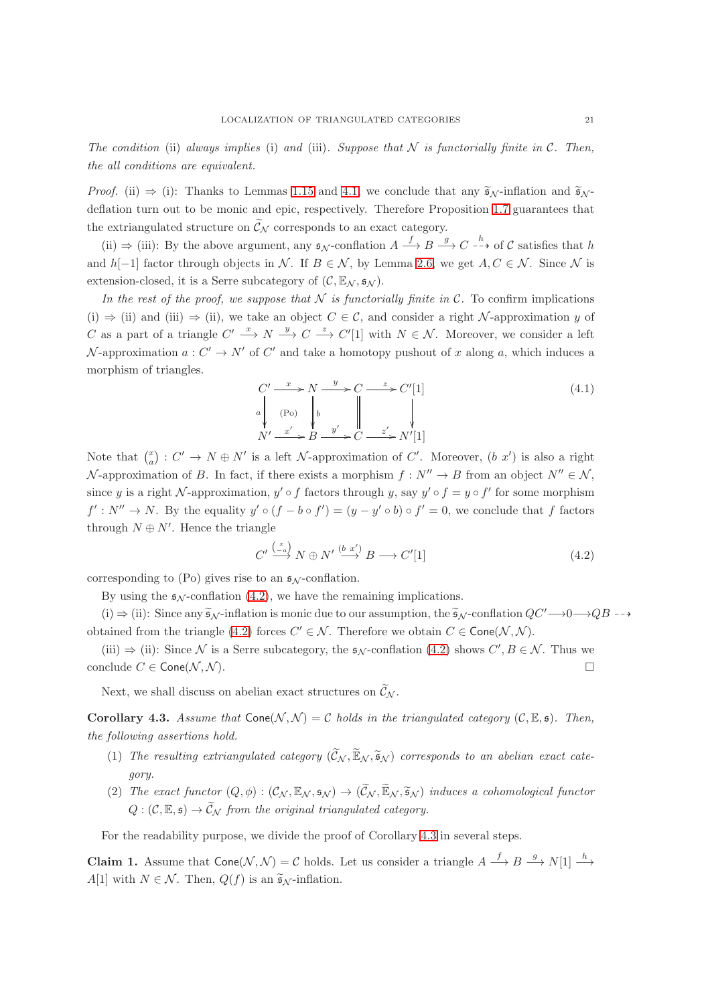*The condition* (ii) *always implies* (i) *and* (iii). Suppose that  $N$  *is functorially finite in*  $C$ *. Then, the all conditions are equivalent.*

*Proof.* (ii)  $\Rightarrow$  (i): Thanks to Lemmas [1.15](#page-7-1) and [4.1,](#page-19-2) we conclude that any  $\tilde{\mathfrak{s}}_{\mathcal{N}}$ -inflation and  $\tilde{\mathfrak{s}}_{\mathcal{N}}$ deflation turn out to be monic and epic, respectively. Therefore Proposition [1.7](#page-5-0) guarantees that the extriangulated structure on  $\tilde{\mathcal{C}}_N$  corresponds to an exact category.

(ii)  $\Rightarrow$  (iii): By the above argument, any  $\mathfrak{s}_{\mathcal{N}}$ -conflation  $A \xrightarrow{f} B \xrightarrow{g} C \xrightarrow{h}$  of C satisfies that h and h[−1] factor through objects in N. If  $B \in \mathcal{N}$ , by Lemma [2.6,](#page-11-1) we get  $A, C \in \mathcal{N}$ . Since N is extension-closed, it is a Serre subcategory of  $(C, \mathbb{E}_{\mathcal{N}}, s_{\mathcal{N}})$ .

*In the rest of the proof, we suppose that*  $N$  *is functorially finite in*  $C$ . To confirm implications (i)  $\Rightarrow$  (ii) and (iii)  $\Rightarrow$  (ii), we take an object  $C \in \mathcal{C}$ , and consider a right N-approximation y of C as a part of a triangle  $C' \stackrel{x}{\longrightarrow} N \stackrel{y}{\longrightarrow} C \stackrel{z}{\longrightarrow} C'[1]$  with  $N \in \mathcal{N}$ . Moreover, we consider a left N-approximation  $a: C' \to N'$  of C' and take a homotopy pushout of x along a, which induces a morphism of triangles.

$$
C' \xrightarrow{x} N \xrightarrow{y} C \xrightarrow{z} C'[1]
$$
\n
$$
a \downarrow \text{(Po)} \downarrow b \qquad \qquad \qquad \downarrow
$$
\n
$$
N' \xrightarrow{x'} B \xrightarrow{y'} C \xrightarrow{z'} N'[1]
$$
\n
$$
(4.1)
$$

Note that  $\binom{x}{a}$ :  $C' \rightarrow N \oplus N'$  is a left  $\mathcal N$ -approximation of  $C'$ . Moreover,  $(b x')$  is also a right N-approximation of B. In fact, if there exists a morphism  $f: N'' \to B$  from an object  $N'' \in \mathcal{N}$ , since y is a right N-approximation,  $y' \circ f$  factors through y, say  $y' \circ f = y \circ f'$  for some morphism  $f': N'' \to N$ . By the equality  $y' \circ (f - b \circ f') = (y - y' \circ b) \circ f' = 0$ , we conclude that f factors through  $N \oplus N'$ . Hence the triangle

<span id="page-20-0"></span>
$$
C' \xrightarrow{\binom{x}{-a}} N \oplus N' \xrightarrow{(b x')} B \longrightarrow C'[1]
$$
\n
$$
(4.2)
$$

corresponding to (Po) gives rise to an  $\mathfrak{s}_N$ -conflation.

By using the  $\epsilon_N$ -conflation [\(4.2\)](#page-20-0), we have the remaining implications.

(i)  $\Rightarrow$  (ii): Since any  $\tilde{\mathfrak{s}}_{\mathcal{N}}$ -inflation is monic due to our assumption, the  $\tilde{\mathfrak{s}}_{\mathcal{N}}$ -conflation  $QC' \rightarrow 0 \rightarrow QB$  -- $\rightarrow$ obtained from the triangle [\(4.2\)](#page-20-0) forces  $C' \in \mathcal{N}$ . Therefore we obtain  $C \in \mathsf{Cone}(\mathcal{N}, \mathcal{N})$ .

(iii)  $\Rightarrow$  (ii): Since N is a Serre subcategory, the  $\mathfrak{s}_{\mathcal{N}}$ -conflation [\(4.2\)](#page-20-0) shows  $C', B \in \mathcal{N}$ . Thus we conclude  $C \in \mathsf{Cone}(\mathcal{N}, \mathcal{N}).$ 

Next, we shall discuss on abelian exact structures on  $\widetilde{\mathcal{C}}_{\mathcal{N}}$ .

<span id="page-20-1"></span>**Corollary 4.3.** Assume that  $Cone(N, N) = C$  holds in the triangulated category  $(C, \mathbb{E}, \mathfrak{s})$ . Then, *the following assertions hold.*

- (1) The resulting extriangulated category  $(\widetilde{C}_N, \widetilde{\mathbb{E}}_N, \widetilde{\mathfrak{s}}_N)$  corresponds to an abelian exact cate*gory.*
- (2) *The exact functor*  $(Q, \phi) : (\mathcal{C}_{\mathcal{N}}, \mathbb{E}_{\mathcal{N}}, \mathfrak{s}_{\mathcal{N}}) \rightarrow (\widetilde{\mathcal{C}}_{\mathcal{N}}, \widetilde{\mathbb{E}}_{\mathcal{N}}, \widetilde{\mathfrak{s}}_{\mathcal{N}})$  *induces a cohomological functor*  $Q: (\mathcal{C}, \mathbb{E}, \mathfrak{s}) \to \widetilde{\mathcal{C}}_{\mathcal{N}}$  *from the original triangulated category.*

For the readability purpose, we divide the proof of Corollary [4.3](#page-20-1) in several steps.

<span id="page-20-2"></span>**Claim 1.** Assume that  $\mathsf{Cone}(\mathcal{N}, \mathcal{N}) = \mathcal{C}$  holds. Let us consider a triangle  $A \stackrel{f}{\longrightarrow} B \stackrel{g}{\longrightarrow} N[1] \stackrel{h}{\longrightarrow}$ A[1] with  $N \in \mathcal{N}$ . Then,  $Q(f)$  is an  $\widetilde{\mathfrak{s}}_{\mathcal{N}}$ -inflation.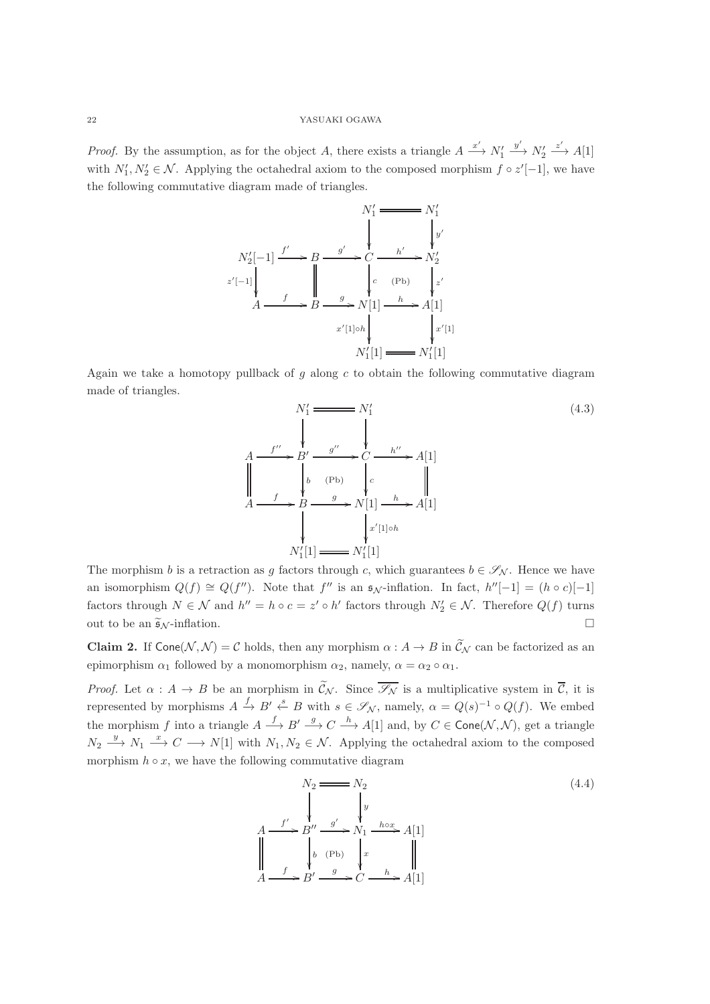*Proof.* By the assumption, as for the object A, there exists a triangle  $A \xrightarrow{x'} N'_1$  $\stackrel{y'}{\longrightarrow} N'_2$  $\xrightarrow{z'} A[1]$ with  $N'_1, N'_2 \in \mathcal{N}$ . Applying the octahedral axiom to the composed morphism  $f \circ z'[-1]$ , we have the following commutative diagram made of triangles.

$$
N'_1 \xrightarrow{N'_1} N'_1
$$
\n
$$
N'_2[-1] \xrightarrow{f'} B \xrightarrow{g'} C \xrightarrow{h'} N'_2
$$
\n
$$
z'[-1] \xleftarrow{f} B \xrightarrow{g} N[1] \xleftarrow{h} A[1]
$$
\n
$$
x'[1] \circ h \xleftarrow{h'} k'[1]
$$
\n
$$
N'_1[1] \xleftarrow{N'_1[1]}
$$

Again we take a homotopy pullback of g along c to obtain the following commutative diagram made of triangles.

$$
N'_{1} \longrightarrow N'_{1}
$$
\n
$$
A \longrightarrow B' \longrightarrow B' \longrightarrow C \longrightarrow h'' \longrightarrow A[1]
$$
\n
$$
A \longrightarrow B \longrightarrow B \longrightarrow N[1] \longrightarrow A[1]
$$
\n
$$
N'_{1}[1] \longrightarrow N'_{1}[1]
$$
\n
$$
N'_{1}[1] \longrightarrow N'_{1}[1]
$$
\n
$$
N'_{1}[1] \longrightarrow N'_{1}[1]
$$
\n
$$
(4.3)
$$
\n
$$
(4.3)
$$

The morphism b is a retraction as g factors through c, which guarantees  $b \in \mathscr{S}_{\mathcal{N}}$ . Hence we have an isomorphism  $Q(f) \cong Q(f'')$ . Note that f'' is an  $\mathfrak{s}_{\mathcal{N}}$ -inflation. In fact,  $h''[-1] = (h \circ c)[-1]$ factors through  $N \in \mathcal{N}$  and  $h'' = h \circ c = z' \circ h'$  factors through  $N'_2 \in \mathcal{N}$ . Therefore  $Q(f)$  turns out to be an  $\tilde{\mathfrak{s}}_{\mathcal{N}}$ -inflation.

<span id="page-21-0"></span>**Claim 2.** If  $\text{Cone}(\mathcal{N}, \mathcal{N}) = \mathcal{C}$  holds, then any morphism  $\alpha : A \to B$  in  $\widetilde{\mathcal{C}}_{\mathcal{N}}$  can be factorized as an epimorphism  $\alpha_1$  followed by a monomorphism  $\alpha_2$ , namely,  $\alpha = \alpha_2 \circ \alpha_1$ .

*Proof.* Let  $\alpha : A \to B$  be an morphism in  $\widetilde{\mathcal{C}}_{\mathcal{N}}$ . Since  $\overline{\mathcal{S}_{\mathcal{N}}}$  is a multiplicative system in  $\overline{\mathcal{C}}$ , it is represented by morphisms  $A \xrightarrow{f} B' \xleftarrow{s} B$  with  $s \in \mathscr{S}_{\mathcal{N}}$ , namely,  $\alpha = Q(s)^{-1} \circ Q(f)$ . We embed the morphism f into a triangle  $A \stackrel{f}{\longrightarrow} B' \stackrel{g}{\longrightarrow} C \stackrel{h}{\longrightarrow} A[1]$  and, by  $C \in \text{Cone}(\mathcal{N}, \mathcal{N})$ , get a triangle  $N_2 \stackrel{y}{\longrightarrow} N_1 \stackrel{x}{\longrightarrow} C \longrightarrow N[1]$  with  $N_1, N_2 \in \mathcal{N}$ . Applying the octahedral axiom to the composed morphism  $h \circ x$ , we have the following commutative diagram

<span id="page-21-1"></span>
$$
N_2 \longrightarrow N_2
$$
\n
$$
A \longrightarrow f' \longrightarrow B'' \longrightarrow g' \longrightarrow N_1 \longrightarrow h \circ x
$$
\n
$$
\downarrow \downarrow
$$
\n
$$
\downarrow
$$
\n
$$
\downarrow
$$
\n
$$
\downarrow
$$
\n
$$
\downarrow
$$
\n
$$
\downarrow
$$
\n
$$
\downarrow
$$
\n
$$
\downarrow
$$
\n
$$
\downarrow
$$
\n
$$
\downarrow
$$
\n
$$
\downarrow
$$
\n
$$
\downarrow
$$
\n
$$
\downarrow
$$
\n
$$
\downarrow
$$
\n
$$
\downarrow
$$
\n
$$
\downarrow
$$
\n
$$
\downarrow
$$
\n
$$
\downarrow
$$
\n
$$
\downarrow
$$
\n
$$
\downarrow
$$
\n
$$
\downarrow
$$
\n
$$
\downarrow
$$
\n
$$
\downarrow
$$
\n
$$
\downarrow
$$
\n
$$
\downarrow
$$
\n
$$
\downarrow
$$
\n
$$
\downarrow
$$
\n
$$
\downarrow
$$
\n
$$
\downarrow
$$
\n
$$
\downarrow
$$
\n
$$
\downarrow
$$
\n
$$
\downarrow
$$
\n
$$
\downarrow
$$
\n
$$
\downarrow
$$
\n
$$
\downarrow
$$
\n
$$
\downarrow
$$
\n
$$
\downarrow
$$
\n
$$
\downarrow
$$
\n
$$
\downarrow
$$
\n
$$
\downarrow
$$
\n
$$
\downarrow
$$
\n
$$
\downarrow
$$
\n
$$
\downarrow
$$
\n
$$
\downarrow
$$
\n
$$
\downarrow
$$
\n
$$
\downarrow
$$
\n
$$
\downarrow
$$
\n
$$
\downarrow
$$
\n
$$
\downarrow
$$
\n
$$
\downarrow
$$
\n
$$
\downarrow
$$
\n
$$
\downarrow
$$
\n
$$
\downarrow
$$
\n
$$
\downarrow
$$
\n
$$
\downarrow
$$
\n
$$
\downarrow
$$
\n
$$
\downarrow
$$
\n
$$
\downarrow
$$
\n
$$
\downarrow
$$
\n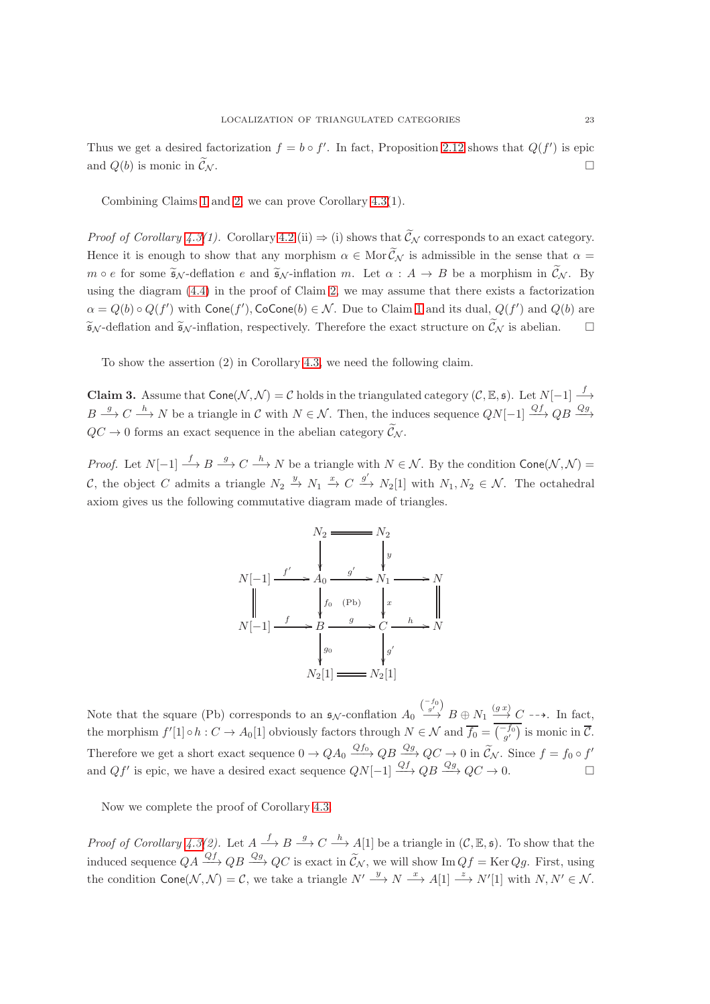Thus we get a desired factorization  $f = b \circ f'$ . In fact, Proposition [2.12](#page-15-0) shows that  $Q(f')$  is epic and  $Q(b)$  is monic in  $\widetilde{\mathcal{C}}_{\mathcal{N}}$ .

Combining Claims [1](#page-20-2) and [2,](#page-21-0) we can prove Corollary [4.3\(](#page-20-1)1).

*Proof of Corollary [4.3\(](#page-20-1)1).* Corollary [4.2](#page-19-1) (ii)  $\Rightarrow$  (i) shows that  $\widetilde{\mathcal{C}}_{\mathcal{N}}$  corresponds to an exact category. Hence it is enough to show that any morphism  $\alpha \in \text{Mor}\,\widetilde{\mathcal{C}}_{\mathcal{N}}$  is admissible in the sense that  $\alpha =$  $m \circ e$  for some  $\widetilde{\mathfrak{s}}_{\mathcal{N}}$ -deflation e and  $\widetilde{\mathfrak{s}}_{\mathcal{N}}$ -inflation m. Let  $\alpha : A \to B$  be a morphism in  $\widetilde{\mathcal{C}}_{\mathcal{N}}$ . By using the diagram [\(4.4\)](#page-21-1) in the proof of Claim [2,](#page-21-0) we may assume that there exists a factorization  $\alpha = Q(b) \circ Q(f')$  with  $\mathsf{Cone}(f'), \mathsf{CoCone}(b) \in \mathcal{N}$ . Due to Claim [1](#page-20-2) and its dual,  $Q(f')$  and  $Q(b)$  are  $\widetilde{\mathfrak{s}}_{\mathcal{N}}$ -deflation and  $\widetilde{\mathfrak{s}}_{\mathcal{N}}$ -inflation, respectively. Therefore the exact structure on  $\widetilde{\mathcal{C}}_{\mathcal{N}}$  is abelian.

To show the assertion (2) in Corollary [4.3,](#page-20-1) we need the following claim.

<span id="page-22-0"></span>**Claim 3.** Assume that  $\text{Cone}(\mathcal{N}, \mathcal{N}) = \mathcal{C}$  holds in the triangulated category  $(\mathcal{C}, \mathbb{E}, \mathfrak{s})$ . Let  $N[-1] \stackrel{f}{\longrightarrow}$  $B \xrightarrow{g} C \xrightarrow{h} N$  be a triangle in C with  $N \in \mathcal{N}$ . Then, the induces sequence  $QN[-1] \xrightarrow{Qf} QB \xrightarrow{Qg}$  $QC \rightarrow 0$  forms an exact sequence in the abelian category  $\widetilde{\mathcal{C}}_{N}$ .

*Proof.* Let  $N[-1] \stackrel{f}{\longrightarrow} B \stackrel{g}{\longrightarrow} C \stackrel{h}{\longrightarrow} N$  be a triangle with  $N \in \mathcal{N}$ . By the condition Cone( $\mathcal{N}, \mathcal{N}$ ) = C, the object C admits a triangle  $N_2 \stackrel{y}{\to} N_1 \stackrel{x}{\to} C \stackrel{g'}{\to} N_2[1]$  with  $N_1, N_2 \in \mathcal{N}$ . The octahedral axiom gives us the following commutative diagram made of triangles.



Note that the square (Pb) corresponds to an  $\mathfrak{s}_{\mathcal{N}}$ -conflation  $A_0 \xrightarrow{\binom{-f_0}{g'}} B \oplus N_1 \xrightarrow{(g x)} C \dashrightarrow$ . In fact, the morphism  $f'[1] \circ h : C \to A_0[1]$  obviously factors through  $N \in \mathcal{N}$  and  $\overline{f_0} = \overline{\binom{-f_0}{g'}}$  is monic in  $\overline{\mathcal{C}}$ . Therefore we get a short exact sequence  $0 \to QA_0 \stackrel{Qf_0}{\longrightarrow} QB \stackrel{Qg}{\longrightarrow} QC \to 0$  in  $\widetilde{\mathcal{C}}_{\mathcal{N}}$ . Since  $f = f_0 \circ f'$ and  $Qf'$  is epic, we have a desired exact sequence  $QN[-1] \stackrel{Qf}{\longrightarrow} QB \stackrel{Qg}{\longrightarrow} QC \rightarrow 0.$ 

Now we complete the proof of Corollary [4.3.](#page-20-1)

*Proof of Corollary* [4.3\(](#page-20-1)2). Let  $A \xrightarrow{f} B \xrightarrow{g} C \xrightarrow{h} A[1]$  be a triangle in  $(C, \mathbb{E}, \mathfrak{s})$ . To show that the induced sequence  $QA \xrightarrow{Qf} QB \xrightarrow{Qg} QC$  is exact in  $\widetilde{C}_N$ , we will show Im  $Qf = \text{Ker }Qg$ . First, using the condition  $\mathsf{Cone}(\mathcal{N}, \mathcal{N}) = \mathcal{C}$ , we take a triangle  $N' \xrightarrow{y} N \xrightarrow{x} A[1] \xrightarrow{z} N'[1]$  with  $N, N' \in \mathcal{N}$ .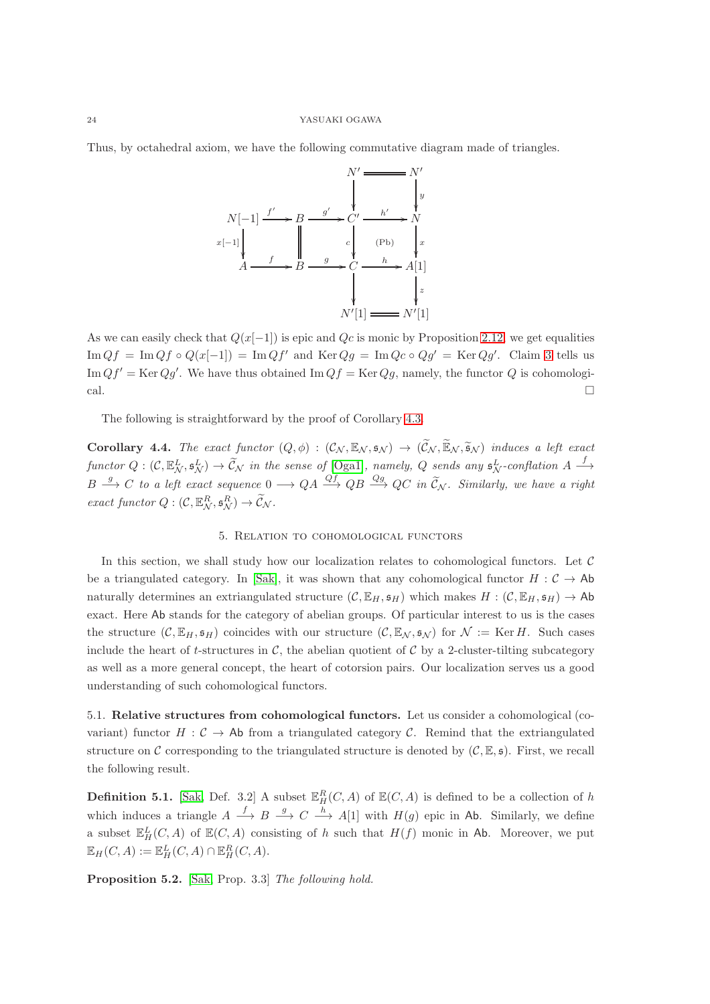Thus, by octahedral axiom, we have the following commutative diagram made of triangles.



As we can easily check that  $Q(x[-1])$  is epic and  $Qc$  is monic by Proposition [2.12,](#page-15-0) we get equalities  $\text{Im }Qf = \text{Im }Qf \circ Q(x[-1]) = \text{Im }Qf'$  and  $\text{Ker }Qg = \text{Im }Qc \circ Qg' = \text{Ker }Qg'.$  Claim [3](#page-22-0) tells us Im  $Qf' = \text{Ker }Qg'$ . We have thus obtained Im  $Qf = \text{Ker }Qg$ , namely, the functor Q is cohomological.

The following is straightforward by the proof of Corollary [4.3.](#page-20-1)

<span id="page-23-2"></span>**Corollary 4.4.** *The exact functor*  $(Q, \phi) : (\mathcal{C}_{\mathcal{N}}, \mathbb{E}_{\mathcal{N}}, \mathfrak{s}_{\mathcal{N}}) \rightarrow (\widetilde{\mathcal{C}}_{\mathcal{N}}, \widetilde{\mathbb{E}}_{\mathcal{N}}, \widetilde{\mathfrak{s}}_{\mathcal{N}})$  *induces a left exact*  $functor Q: (\mathcal{C}, \mathbb{E}^L_N, \mathfrak{s}^L_N) \to \widetilde{\mathcal{C}}_N$  in the sense of [\[Oga1\]](#page-30-23), namely, Q sends any  $\mathfrak{s}^L_N$ -conflation  $A \stackrel{f}{\longrightarrow}$  $B \stackrel{g}{\longrightarrow} C$  *to a left exact sequence*  $0 \longrightarrow QA \stackrel{Qf}{\longrightarrow} QB \stackrel{Qg}{\longrightarrow} QC$  *in*  $\widetilde{C}_{\mathcal{N}}$ *. Similarly, we have a right exact functor*  $Q: (\mathcal{C}, \mathbb{E}_{\mathcal{N}}^R, \mathfrak{s}_{\mathcal{N}}^R) \to \widetilde{\mathcal{C}}_{\mathcal{N}}.$ 

## 5. Relation to cohomological functors

<span id="page-23-0"></span>In this section, we shall study how our localization relates to cohomological functors. Let  $\mathcal C$ be a triangulated category. In [\[Sak\]](#page-30-24), it was shown that any cohomological functor  $H : \mathcal{C} \to \mathsf{Ab}$ naturally determines an extriangulated structure  $(C, \mathbb{E}_H, \mathfrak{s}_H)$  which makes  $H : (C, \mathbb{E}_H, \mathfrak{s}_H) \to \text{Ab}$ exact. Here Ab stands for the category of abelian groups. Of particular interest to us is the cases the structure  $(C, \mathbb{E}_H, \mathfrak{s}_H)$  coincides with our structure  $(C, \mathbb{E}_N, \mathfrak{s}_N)$  for  $\mathcal{N} := \text{Ker } H$ . Such cases include the heart of t-structures in  $\mathcal{C}$ , the abelian quotient of  $\mathcal{C}$  by a 2-cluster-tilting subcategory as well as a more general concept, the heart of cotorsion pairs. Our localization serves us a good understanding of such cohomological functors.

<span id="page-23-1"></span>5.1. Relative structures from cohomological functors. Let us consider a cohomological (covariant) functor  $H: \mathcal{C} \to \mathsf{Ab}$  from a triangulated category  $\mathcal{C}$ . Remind that the extriangulated structure on C corresponding to the triangulated structure is denoted by  $(C, \mathbb{E}, \mathfrak{s})$ . First, we recall the following result.

**Definition 5.1.** [\[Sak,](#page-30-24) Def. 3.2] A subset  $\mathbb{E}_H^R(C, A)$  of  $\mathbb{E}(C, A)$  is defined to be a collection of h which induces a triangle  $A \stackrel{f}{\longrightarrow} B \stackrel{g}{\longrightarrow} C \stackrel{h}{\longrightarrow} A[1]$  with  $H(g)$  epic in Ab. Similarly, we define a subset  $\mathbb{E}_{H}^{L}(C, A)$  of  $\mathbb{E}(C, A)$  consisting of h such that  $H(f)$  monic in Ab. Moreover, we put  $\mathbb{E}_H(C, A) := \mathbb{E}_H^L(C, A) \cap \mathbb{E}_H^R(C, A).$ 

Proposition 5.2. [\[Sak,](#page-30-24) Prop. 3.3] *The following hold.*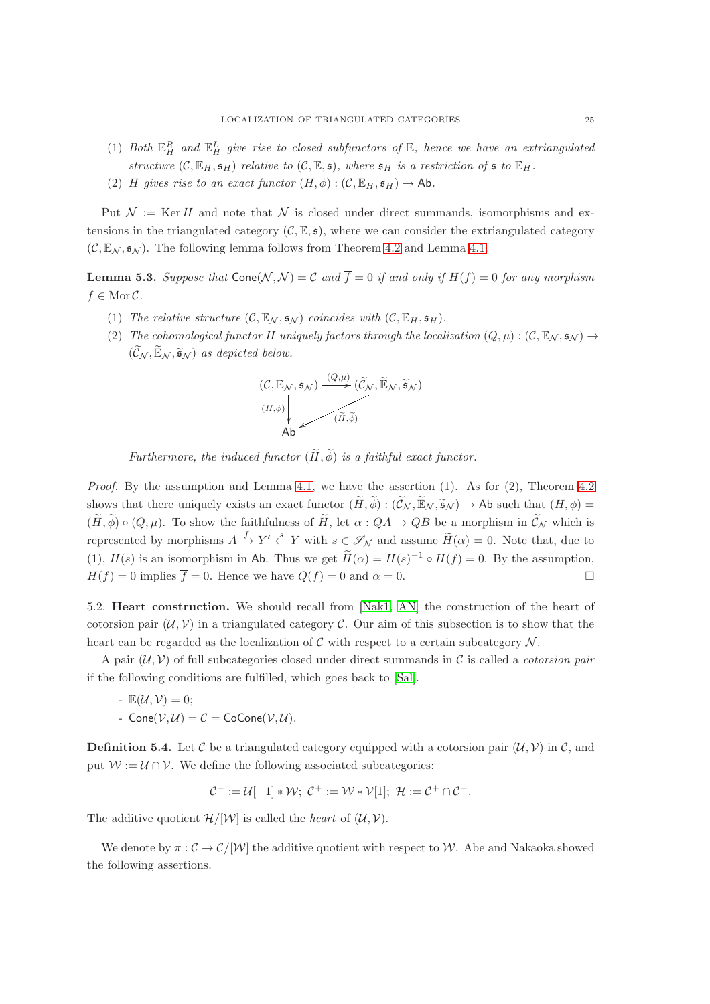- (1) Both  $\mathbb{E}_{H}^{R}$  and  $\mathbb{E}_{H}^{L}$  give rise to closed subfunctors of  $\mathbb{E}$ , hence we have an extriangulated *structure*  $(C, \mathbb{E}_H, \mathfrak{s}_H)$  *relative to*  $(C, \mathbb{E}, \mathfrak{s})$ *, where*  $\mathfrak{s}_H$  *is a restriction of*  $\mathfrak{s}$  *to*  $\mathbb{E}_H$ *.*
- (2) H gives rise to an exact functor  $(H, \phi) : (\mathcal{C}, \mathbb{E}_H, \mathfrak{s}_H) \to \text{Ab}.$

Put  $\mathcal{N} := \text{Ker } H$  and note that  $\mathcal{N}$  is closed under direct summands, isomorphisms and extensions in the triangulated category  $(C, \mathbb{E}, \mathfrak{s})$ , where we can consider the extriangulated category  $(C, \mathbb{E}_N, \mathfrak{s}_N)$ . The following lemma follows from Theorem [4.2](#page-19-1) and Lemma [4.1.](#page-19-2)

<span id="page-24-1"></span>**Lemma 5.3.** Suppose that  $\text{Cone}(\mathcal{N}, \mathcal{N}) = C$  and  $\overline{f} = 0$  if and only if  $H(f) = 0$  for any morphism  $f \in \text{Mor }\mathcal{C}$ .

- (1) *The relative structure*  $(C, \mathbb{E}_{\mathcal{N}}, \mathfrak{s}_{\mathcal{N}})$  *coincides with*  $(C, \mathbb{E}_{H}, \mathfrak{s}_{H})$ *.*
- (2) *The cohomological functor* H *uniquely factors through the localization*  $(Q, \mu) : (C, \mathbb{E}_N, \mathfrak{s}_N) \rightarrow$  $(\widetilde{\mathcal{C}}_{\mathcal{N}}, \widetilde{\mathbb{E}}_{\mathcal{N}}, \widetilde{\mathfrak{s}}_{\mathcal{N}})$  *as depicted below.*

$$
(\mathcal{C}, \mathbb{E}_{\mathcal{N}}, \mathfrak{s}_{\mathcal{N}}) \xrightarrow{(Q, \mu)} (\widetilde{\mathcal{C}}_{\mathcal{N}}, \widetilde{\mathbb{E}}_{\mathcal{N}}, \widetilde{\mathfrak{s}}_{\mathcal{N}})
$$
  
\n
$$
\downarrow (\widetilde{H}, \widetilde{\phi})
$$
  
\n
$$
\downarrow \qquad (\widetilde{H}, \widetilde{\phi})
$$

*Furthermore, the induced functor*  $(\widetilde{H}, \widetilde{\phi})$  *is a faithful exact functor.* 

*Proof.* By the assumption and Lemma [4.1,](#page-19-2) we have the assertion (1). As for (2), Theorem [4.2](#page-19-1) shows that there uniquely exists an exact functor  $(\widetilde{H}, \widetilde{\phi}) : (\widetilde{\mathcal{C}}_{\mathcal{N}}, \widetilde{\mathbb{E}}_{\mathcal{N}}, \widetilde{\mathfrak{s}}_{\mathcal{N}}) \to \mathsf{Ab}$  such that  $(H, \phi) =$  $(\widetilde{H}, \widetilde{\phi}) \circ (Q, \mu)$ . To show the faithfulness of  $\widetilde{H}$ , let  $\alpha : QA \to QB$  be a morphism in  $\widetilde{C}_{\mathcal{N}}$  which is represented by morphisms  $A \xrightarrow{f} Y' \xleftarrow{s} Y$  with  $s \in \mathscr{S}_{\mathcal{N}}$  and assume  $\widetilde{H}(\alpha) = 0$ . Note that, due to (1),  $H(s)$  is an isomorphism in Ab. Thus we get  $\widetilde{H}(\alpha) = H(s)^{-1} \circ H(f) = 0$ . By the assumption,  $H(f) = 0$  implies  $\overline{f} = 0$ . Hence we have  $Q(f) = 0$  and  $\alpha = 0$ .

<span id="page-24-0"></span>5.2. Heart construction. We should recall from [\[Nak1,](#page-30-22) [AN\]](#page-29-8) the construction of the heart of cotorsion pair  $(U, V)$  in a triangulated category C. Our aim of this subsection is to show that the heart can be regarded as the localization of  $\mathcal C$  with respect to a certain subcategory  $\mathcal N$ .

A pair  $(U, V)$  of full subcategories closed under direct summands in C is called a *cotorsion pair* if the following conditions are fulfilled, which goes back to [\[Sal\]](#page-30-25).

- 
$$
\mathbb{E}(\mathcal{U}, \mathcal{V}) = 0;
$$
  
- Cone( $\mathcal{V}, \mathcal{U}$ ) =  $\mathcal{C}$  = CoCone( $\mathcal{V}, \mathcal{U}$ ).

**Definition 5.4.** Let C be a triangulated category equipped with a cotorsion pair  $(\mathcal{U}, \mathcal{V})$  in C, and put  $W := U \cap V$ . We define the following associated subcategories:

$$
\mathcal{C}^- := \mathcal{U}[-1] * \mathcal{W}; \ \mathcal{C}^+ := \mathcal{W} * \mathcal{V}[1]; \ \mathcal{H} := \mathcal{C}^+ \cap \mathcal{C}^-.
$$

The additive quotient  $\mathcal{H}/[\mathcal{W}]$  is called the *heart* of  $(\mathcal{U}, \mathcal{V})$ .

We denote by  $\pi: \mathcal{C} \to \mathcal{C}/|\mathcal{W}|$  the additive quotient with respect to W. Abe and Nakaoka showed the following assertions.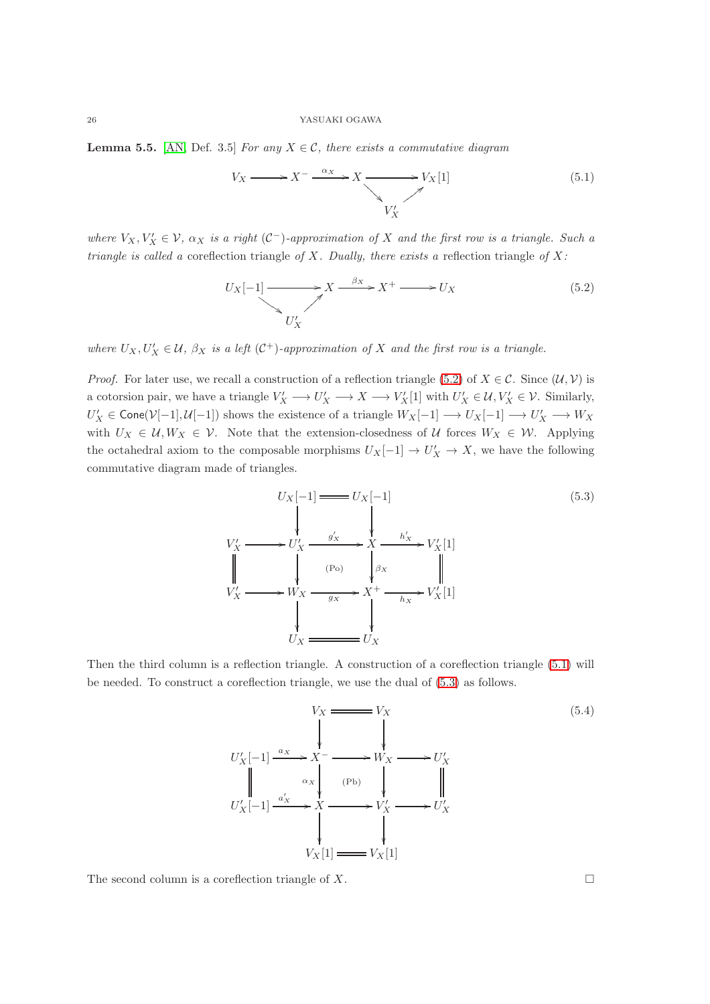**Lemma 5.5.** [\[AN,](#page-29-8) Def. 3.5] *For any*  $X \in \mathcal{C}$ *, there exists a commutative diagram* 

<span id="page-25-1"></span>
$$
V_X \longrightarrow X^- \xrightarrow{\alpha_X} X \longrightarrow V_X[1] \tag{5.1}
$$

*where*  $V_X, V'_X \in \mathcal{V}$ ,  $\alpha_X$  *is a right* (C<sup>-</sup>)-approximation of X and the first row is a triangle. Such a *triangle is called a* coreflection triangle *of* X*. Dually, there exists a* reflection triangle *of* X*:*

<span id="page-25-0"></span>
$$
U_X[-1] \longrightarrow X \xrightarrow{\beta_X} X^+ \longrightarrow U_X \tag{5.2}
$$

*where*  $U_X, U'_X \in \mathcal{U}, \beta_X$  *is a left*  $(\mathcal{C}^+)$ *-approximation of* X *and the first row is a triangle.* 

*Proof.* For later use, we recall a construction of a reflection triangle [\(5.2\)](#page-25-0) of  $X \in \mathcal{C}$ . Since  $(\mathcal{U}, \mathcal{V})$  is a cotorsion pair, we have a triangle  $V'_X \longrightarrow U'_X \longrightarrow X \longrightarrow V'_X[1]$  with  $U'_X \in \mathcal{U}, V'_X \in \mathcal{V}$ . Similarly,  $U'_X \in \mathsf{Cone}(\mathcal{V}[-1], \mathcal{U}[-1])$  shows the existence of a triangle  $W_X[-1] \longrightarrow U_X[-1] \longrightarrow U'_X \longrightarrow W_X$ with  $U_X \in \mathcal{U}, W_X \in \mathcal{V}$ . Note that the extension-closedness of  $\mathcal{U}$  forces  $W_X \in \mathcal{W}$ . Applying the octahedral axiom to the composable morphisms  $U_X[-1] \to U'_X \to X$ , we have the following commutative diagram made of triangles.

<span id="page-25-2"></span>
$$
U_X[-1] \longrightarrow U_X[-1]
$$
\n
$$
V'_X \longrightarrow U'_X \longrightarrow g'_X \longrightarrow X \longrightarrow h'_X
$$
\n
$$
V'_X \longrightarrow g'_X \longrightarrow g_X \longrightarrow g_X
$$
\n
$$
V'_X \longrightarrow W_X \longrightarrow g_X \longrightarrow X + \longrightarrow h_X \longrightarrow V'_X[1]
$$
\n
$$
U_X \longrightarrow U_X
$$
\n
$$
U_X \longrightarrow U_X
$$
\n(5.3)

Then the third column is a reflection triangle. A construction of a coreflection triangle [\(5.1\)](#page-25-1) will be needed. To construct a coreflection triangle, we use the dual of [\(5.3\)](#page-25-2) as follows.

<span id="page-25-3"></span>
$$
V_X = V_X
$$
\n
$$
U'_X[-1] \xrightarrow{a_X} X^- \longrightarrow W_X \longrightarrow U'_X
$$
\n
$$
U'_X[-1] \xrightarrow{a'_X} X \longrightarrow (Pb) \qquad \qquad W_X \longrightarrow U'_X
$$
\n
$$
U'_X[-1] \xrightarrow{a'_X} X \longrightarrow V'_X \longrightarrow U'_X
$$
\n
$$
V_X[1] \longrightarrow V_X[1]
$$
\n
$$
(5.4)
$$

The second column is a coreflection triangle of X.  $\Box$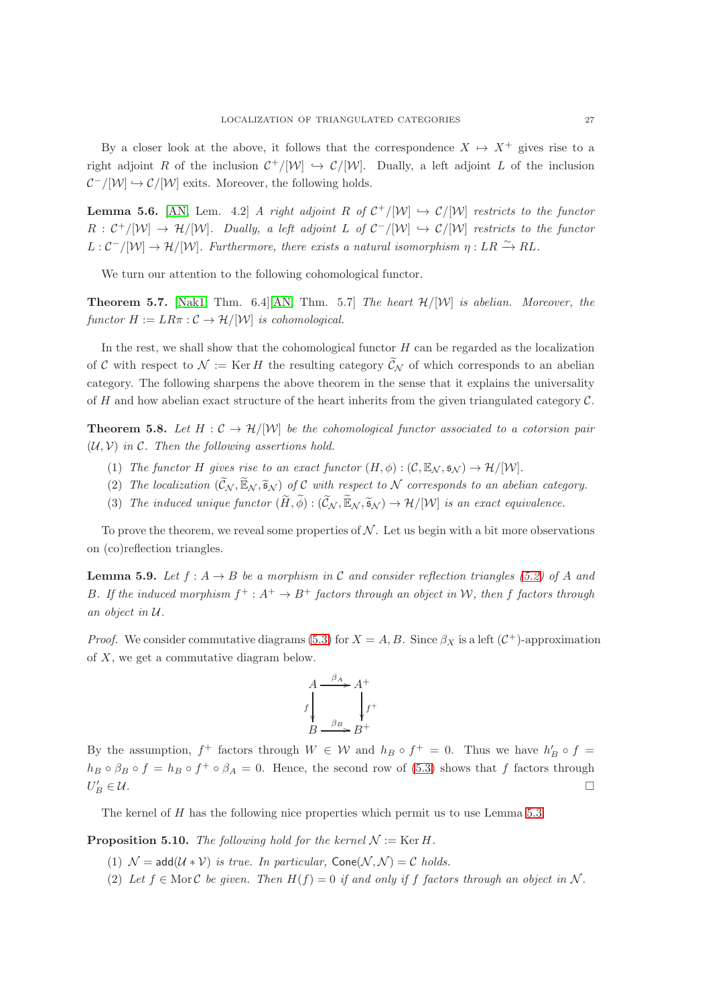By a closer look at the above, it follows that the correspondence  $X \mapsto X^+$  gives rise to a right adjoint R of the inclusion  $C^+/[\mathcal{W}] \hookrightarrow C/[\mathcal{W}]$ . Dually, a left adjoint L of the inclusion  $\mathcal{C}^-/[\mathcal{W}] \hookrightarrow \mathcal{C}/[\mathcal{W}]$  exits. Moreover, the following holds.

**Lemma 5.6.** [\[AN,](#page-29-8) Lem. 4.2] *A right adjoint* R of  $C^+/[W] \hookrightarrow C/[W]$  *restricts to the functor*  $R: C^+/[W] \to H/[W]$ . Dually, a left adjoint L of  $C^-/[W] \hookrightarrow C/[W]$  restricts to the functor  $L: \mathcal{C}^{-}/[W] \to \mathcal{H}/[W]$ . Furthermore, there exists a natural isomorphism  $\eta: LR \xrightarrow{\sim} RL$ .

We turn our attention to the following cohomological functor.

Theorem 5.7. [\[Nak1,](#page-30-22) Thm. 6.4][\[AN,](#page-29-8) Thm. 5.7] *The heart* H/[W] *is abelian. Moreover, the functor*  $H := LR\pi : C \to \mathcal{H}/[\mathcal{W}]$  *is cohomological.* 

In the rest, we shall show that the cohomological functor  $H$  can be regarded as the localization of C with respect to  $\mathcal{N} := \text{Ker } H$  the resulting category  $\widetilde{\mathcal{C}}_{\mathcal{N}}$  of which corresponds to an abelian category. The following sharpens the above theorem in the sense that it explains the universality of H and how abelian exact structure of the heart inherits from the given triangulated category  $\mathcal{C}$ .

<span id="page-26-2"></span>**Theorem 5.8.** Let  $H: \mathcal{C} \to \mathcal{H}/|\mathcal{W}|$  be the cohomological functor associated to a cotorsion pair (U, V) *in* C*. Then the following assertions hold.*

- (1) *The functor* H *gives rise to an exact functor*  $(H, \phi) : (\mathcal{C}, \mathbb{E}_N, \mathfrak{s}_N) \to \mathcal{H}/[W]$ .
- (2) The localization  $(\widetilde{\mathcal{C}}_{\mathcal{N}}, \widetilde{\mathbb{E}}_{\mathcal{N}}, \widetilde{\mathfrak{s}}_{\mathcal{N}})$  of C with respect to N corresponds to an abelian category.
- (3) The induced unique functor  $(\widetilde{H}, \widetilde{\phi}) : (\widetilde{C}_{\mathcal{N}}, \widetilde{\mathbb{E}}_{\mathcal{N}}, \widetilde{\mathfrak{s}}_{\mathcal{N}}) \to \mathcal{H}/[\mathcal{W}]$  is an exact equivalence.

To prove the theorem, we reveal some properties of  $\mathcal N$ . Let us begin with a bit more observations on (co)reflection triangles.

<span id="page-26-1"></span>**Lemma 5.9.** Let  $f : A \rightarrow B$  be a morphism in C and consider reflection triangles [\(5.2\)](#page-25-0) of A and B. If the induced morphism  $f^+ : A^+ \to B^+$  factors through an object in W, then f factors through *an object in* U*.*

*Proof.* We consider commutative diagrams [\(5.3\)](#page-25-2) for  $X = A, B$ . Since  $\beta_X$  is a left  $(C^+)$ -approximation of X, we get a commutative diagram below.

$$
A \xrightarrow{\beta_A} A^+
$$
  

$$
f \downarrow_{\beta_B} A^+
$$
  

$$
B \xrightarrow{\beta_B} B^+
$$

By the assumption,  $f^+$  factors through  $W \in W$  and  $h_B \circ f^+ = 0$ . Thus we have  $h'_B \circ f =$  $h_B \circ \beta_B \circ f = h_B \circ f^+ \circ \beta_A = 0$ . Hence, the second row of [\(5.3\)](#page-25-2) shows that f factors through  $U_I'$  $B'_B \in \mathcal{U}.$ 

The kernel of H has the following nice properties which permit us to use Lemma [5.3.](#page-24-1)

<span id="page-26-0"></span>**Proposition 5.10.** *The following hold for the kernel*  $\mathcal{N} := \text{Ker } H$ .

- (1)  $\mathcal{N} = \text{add}(\mathcal{U} * \mathcal{V})$  *is true. In particular,*  $\text{Cone}(\mathcal{N}, \mathcal{N}) = \mathcal{C}$  *holds.*
- (2) Let  $f \in \text{Mor } C$  *be given. Then*  $H(f) = 0$  *if and only if* f factors through an object in N.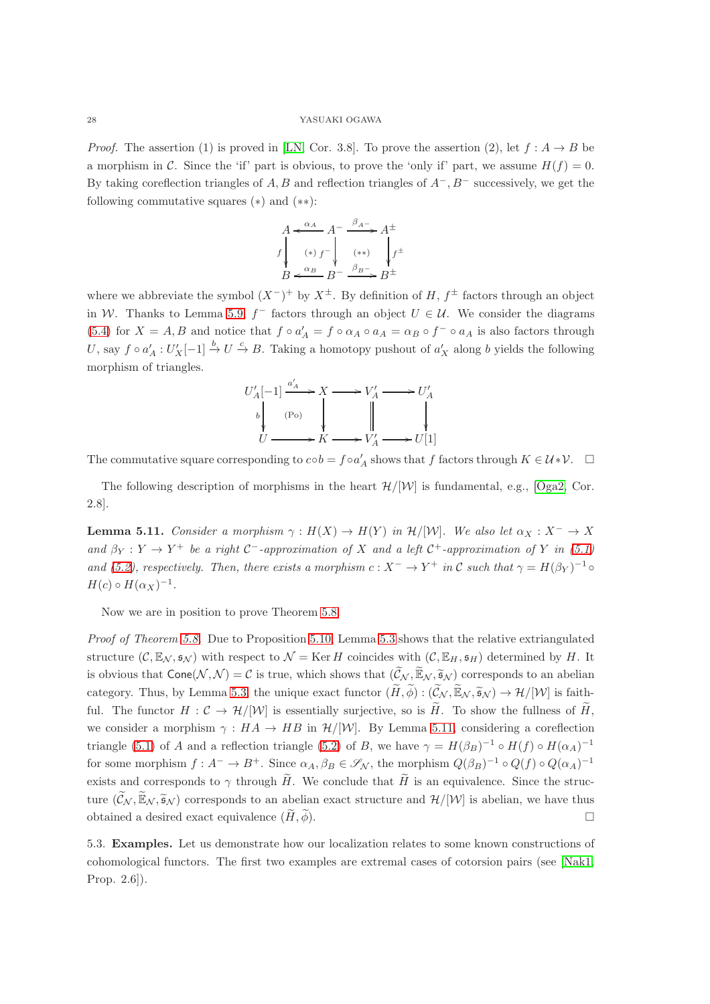*Proof.* The assertion (1) is proved in [\[LN,](#page-30-7) Cor. 3.8]. To prove the assertion (2), let  $f : A \rightarrow B$  be a morphism in C. Since the 'if' part is obvious, to prove the 'only if' part, we assume  $H(f) = 0$ . By taking coreflection triangles of A, B and reflection triangles of  $A^-$ , B<sup>−</sup> successively, we get the following commutative squares (∗) and (∗∗):

$$
A \xleftarrow{\alpha_A} A^{-} \xrightarrow{\beta_A -} A^{\pm}
$$
  

$$
f \downarrow \qquad (*) \qquad f^{-} \downarrow \qquad (*) \qquad f^{\pm}
$$
  

$$
B \xleftarrow{\alpha_B} B^{-} \xrightarrow{\beta_B -} B^{\pm}
$$

where we abbreviate the symbol  $(X^-)^+$  by  $X^{\pm}$ . By definition of H,  $f^{\pm}$  factors through an object in W. Thanks to Lemma [5.9,](#page-26-1)  $f^-$  factors through an object  $U \in \mathcal{U}$ . We consider the diagrams [\(5.4\)](#page-25-3) for  $X = A, B$  and notice that  $f \circ a'_{A} = f \circ a_{A} \circ a_{A} = a_{B} \circ f^{-} \circ a_{A}$  is also factors through U, say  $f \circ a'_A : U'_X[-1] \stackrel{b}{\to} U \stackrel{c}{\to} B$ . Taking a homotopy pushout of  $a'_X$  along b yields the following morphism of triangles.



The commutative square corresponding to  $\cosh = f \circ a'_A$  shows that f factors through  $K \in \mathcal{U} * \mathcal{V}$ .  $\Box$ 

The following description of morphisms in the heart  $\mathcal{H}/|\mathcal{W}|$  is fundamental, e.g., [\[Oga2,](#page-30-10) Cor. 2.8].

<span id="page-27-1"></span>**Lemma 5.11.** *Consider a morphism*  $\gamma : H(X) \to H(Y)$  *in*  $\mathcal{H}/[W]$ *. We also let*  $\alpha_X : X^- \to X$ and  $\beta_Y : Y \to Y^+$  be a right  $C^-$ -approximation of X and a left  $C^+$ -approximation of Y in [\(5.1\)](#page-25-1) *and* [\(5.2\)](#page-25-0), respectively. Then, there exists a morphism  $c: X^- \to Y^+$  in C such that  $\gamma = H(\beta_Y)^{-1} \circ$  $H(c) \circ H(\alpha_X)^{-1}.$ 

Now we are in position to prove Theorem [5.8.](#page-26-2)

*Proof of Theorem [5.8.](#page-26-2)* Due to Proposition [5.10,](#page-26-0) Lemma [5.3](#page-24-1) shows that the relative extriangulated structure  $(C, \mathbb{E}_{\mathcal{N}}, \mathfrak{s}_{\mathcal{N}})$  with respect to  $\mathcal{N} = \text{Ker } H$  coincides with  $(C, \mathbb{E}_{H}, \mathfrak{s}_{H})$  determined by H. It is obvious that  $Cone(\mathcal{N}, \mathcal{N}) = \mathcal{C}$  is true, which shows that  $(\widetilde{\mathcal{C}}_{\mathcal{N}}, \widetilde{\mathbb{E}}_{\mathcal{N}}, \widetilde{\mathfrak{s}}_{\mathcal{N}})$  corresponds to an abelian category. Thus, by Lemma [5.3,](#page-24-1) the unique exact functor  $(\widetilde{H}, \widetilde{\phi}) : (\widetilde{\mathcal{C}}_{\mathcal{N}}, \widetilde{\mathbb{E}}_{\mathcal{N}}, \widetilde{\mathfrak{s}}_{\mathcal{N}}) \to \mathcal{H}/[\mathcal{W}]$  is faithful. The functor  $H: \mathcal{C} \to \mathcal{H}/|\mathcal{W}|$  is essentially surjective, so is  $\widetilde{H}$ . To show the fullness of  $\widetilde{H}$ , we consider a morphism  $\gamma : HA \to HB$  in  $\mathcal{H}/|\mathcal{W}|$ . By Lemma [5.11,](#page-27-1) considering a coreflection triangle [\(5.1\)](#page-25-1) of A and a reflection triangle [\(5.2\)](#page-25-0) of B, we have  $\gamma = H(\beta_B)^{-1} \circ H(f) \circ H(\alpha_A)^{-1}$ for some morphism  $f: A^- \to B^+$ . Since  $\alpha_A, \beta_B \in \mathscr{S}_{\mathcal{N}}$ , the morphism  $Q(\beta_B)^{-1} \circ Q(f) \circ Q(\alpha_A)^{-1}$ exists and corresponds to  $\gamma$  through  $\tilde{H}$ . We conclude that  $\tilde{H}$  is an equivalence. Since the structure  $(\widetilde{C}_N, \widetilde{\mathbb{E}}_N, \widetilde{\mathfrak{s}}_N)$  corresponds to an abelian exact structure and  $\mathcal{H}/[\mathcal{W}]$  is abelian, we have thus obtained a desired exact equivalence  $(\tilde{H}, \tilde{\phi})$ .

<span id="page-27-0"></span>5.3. Examples. Let us demonstrate how our localization relates to some known constructions of cohomological functors. The first two examples are extremal cases of cotorsion pairs (see [\[Nak1,](#page-30-22) Prop. 2.6]).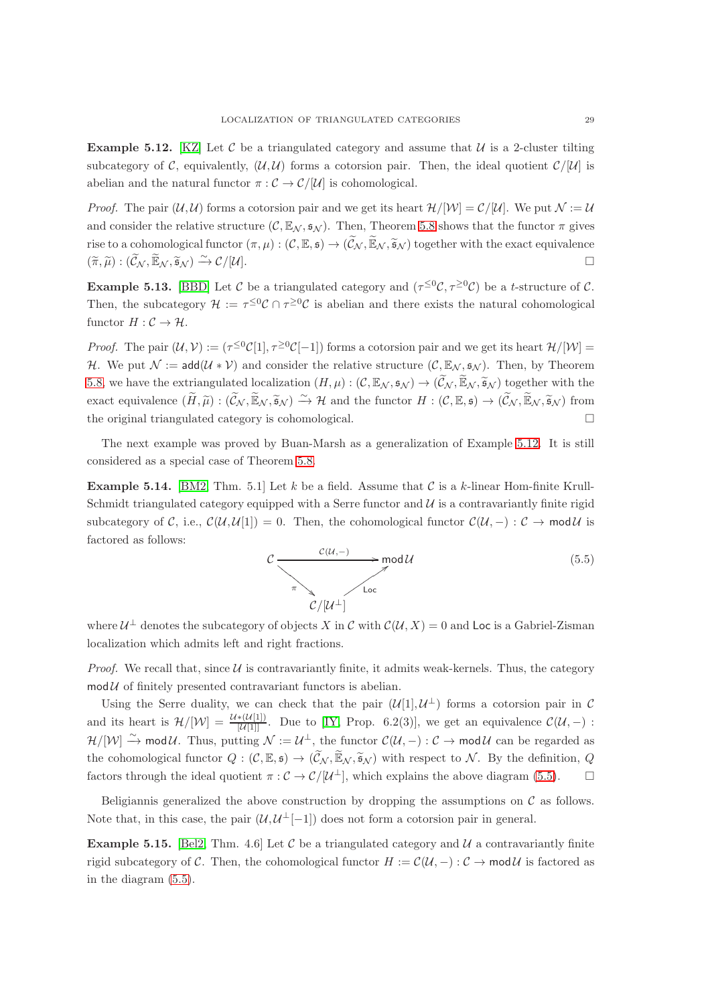<span id="page-28-2"></span>**Example 5.12.** [\[KZ\]](#page-30-26) Let C be a triangulated category and assume that  $U$  is a 2-cluster tilting subcategory of C, equivalently,  $(U, U)$  forms a cotorsion pair. Then, the ideal quotient  $C/|U|$  is abelian and the natural functor  $\pi : \mathcal{C} \to \mathcal{C}/[\mathcal{U}]$  is cohomological.

*Proof.* The pair  $(\mathcal{U}, \mathcal{U})$  forms a cotorsion pair and we get its heart  $\mathcal{H}/[\mathcal{W}] = \mathcal{C}/[\mathcal{U}]$ . We put  $\mathcal{N} := \mathcal{U}$ and consider the relative structure  $(C, \mathbb{E}_N, \mathfrak{s}_N)$ . Then, Theorem [5.8](#page-26-2) shows that the functor  $\pi$  gives rise to a cohomological functor  $(\pi, \mu): (\mathcal{C}, \mathbb{E}, \mathfrak{s}) \to (\widetilde{\mathcal{C}}_{\mathcal{N}}, \widetilde{\mathbb{E}}_{\mathcal{N}}, \widetilde{\mathfrak{s}}_{\mathcal{N}})$  together with the exact equivalence  $(\widetilde{\pi}, \widetilde{\mu}) : (\widetilde{\mathcal{C}}_{\mathcal{N}}, \widetilde{\mathbb{E}}_{\mathcal{N}}, \widetilde{\mathfrak{s}}_{\mathcal{N}}) \xrightarrow{\sim} \mathcal{C}/[\mathcal{U}].$ 

**Example 5.13.** [\[BBD\]](#page-29-9) Let C be a triangulated category and  $(\tau^{\leq 0}C, \tau^{\geq 0}C)$  be a t-structure of C. Then, the subcategory  $\mathcal{H} := \tau^{\leq 0} C \cap \tau^{\geq 0} C$  is abelian and there exists the natural cohomological functor  $H: \mathcal{C} \to \mathcal{H}$ .

*Proof.* The pair  $(\mathcal{U}, \mathcal{V}) := (\tau^{\leq 0} C[1], \tau^{\geq 0} C[-1])$  forms a cotorsion pair and we get its heart  $\mathcal{H}/[\mathcal{W}] =$ H. We put  $\mathcal{N} := \mathsf{add}(\mathcal{U} * \mathcal{V})$  and consider the relative structure  $(\mathcal{C}, \mathbb{E}_{\mathcal{N}}, \mathfrak{s}_{\mathcal{N}})$ . Then, by Theorem [5.8,](#page-26-2) we have the extriangulated localization  $(H, \mu) : (\mathcal{C}, \mathbb{E}_{\mathcal{N}}, \mathfrak{s}_{\mathcal{N}}) \to (\widetilde{\mathcal{C}}_{\mathcal{N}}, \widetilde{\mathbb{E}}_{\mathcal{N}}, \widetilde{\mathfrak{s}}_{\mathcal{N}})$  together with the exact equivalence  $(\widetilde{H}, \widetilde{\mu}) : (\widetilde{C}_{\mathcal{N}}, \widetilde{\mathbb{E}}_{\mathcal{N}}, \widetilde{\mathfrak{s}}_{\mathcal{N}}) \xrightarrow{\sim} \mathcal{H}$  and the functor  $H : (\mathcal{C}, \mathbb{E}, \mathfrak{s}) \to (\widetilde{C}_{\mathcal{N}}, \widetilde{\mathbb{E}}_{\mathcal{N}}, \widetilde{\mathfrak{s}}_{\mathcal{N}})$  from the original triangulated category is cohomological.

The next example was proved by Buan-Marsh as a generalization of Example [5.12.](#page-28-2) It is still considered as a special case of Theorem [5.8.](#page-26-2)

<span id="page-28-0"></span>**Example 5.14.** [\[BM2,](#page-29-3) Thm. 5.1] Let k be a field. Assume that C is a k-linear Hom-finite Krull-Schmidt triangulated category equipped with a Serre functor and  $\mathcal{U}$  is a contravariantly finite rigid subcategory of C, i.e.,  $\mathcal{C}(\mathcal{U}, \mathcal{U}[1]) = 0$ . Then, the cohomological functor  $\mathcal{C}(\mathcal{U}, -) : \mathcal{C} \to \mathsf{mod} \mathcal{U}$  is factored as follows:

<span id="page-28-3"></span>

where  $\mathcal{U}^{\perp}$  denotes the subcategory of objects X in C with  $\mathcal{C}(\mathcal{U},X)=0$  and Loc is a Gabriel-Zisman localization which admits left and right fractions.

*Proof.* We recall that, since  $U$  is contravariantly finite, it admits weak-kernels. Thus, the category  $mod \mathcal{U}$  of finitely presented contravariant functors is abelian.

Using the Serre duality, we can check that the pair  $(U[1], U^{\perp})$  forms a cotorsion pair in C and its heart is  $\mathcal{H}/[\mathcal{W}] = \frac{\mathcal{U} * (\mathcal{U}[1])}{[\mathcal{U}[1]]}$ . Due to [\[IY,](#page-30-27) Prop. 6.2(3)], we get an equivalence  $\mathcal{C}(\mathcal{U},-)$ :  $\mathcal{H}/[\mathcal{W}] \stackrel{\sim}{\to} \text{mod}\,\mathcal{U}$ . Thus, putting  $\mathcal{N} := \mathcal{U}^{\perp}$ , the functor  $\mathcal{C}(\mathcal{U}, -) : \mathcal{C} \to \text{mod}\,\mathcal{U}$  can be regarded as the cohomological functor  $Q: (\mathcal{C}, \mathbb{E}, \mathfrak{s}) \to (\widetilde{\mathcal{C}}_{\mathcal{N}}, \widetilde{\mathbb{E}}_{\mathcal{N}}, \widetilde{\mathfrak{s}}_{\mathcal{N}})$  with respect to  $\mathcal{N}$ . By the definition,  $Q$ factors through the ideal quotient  $\pi : \mathcal{C} \to \mathcal{C}/[\mathcal{U}^{\perp}],$  which explains the above diagram [\(5.5\)](#page-28-3).  $\square$ 

Beligiannis generalized the above construction by dropping the assumptions on  $\mathcal C$  as follows. Note that, in this case, the pair  $(\mathcal{U}, \mathcal{U}^{\perp}[-1])$  does not form a cotorsion pair in general.

<span id="page-28-1"></span>**Example 5.15.** [\[Bel2,](#page-29-1) Thm. 4.6] Let C be a triangulated category and U a contravariantly finite rigid subcategory of C. Then, the cohomological functor  $H := \mathcal{C}(\mathcal{U}, -): \mathcal{C} \to \mathsf{mod}\,\mathcal{U}$  is factored as in the diagram [\(5.5\)](#page-28-3).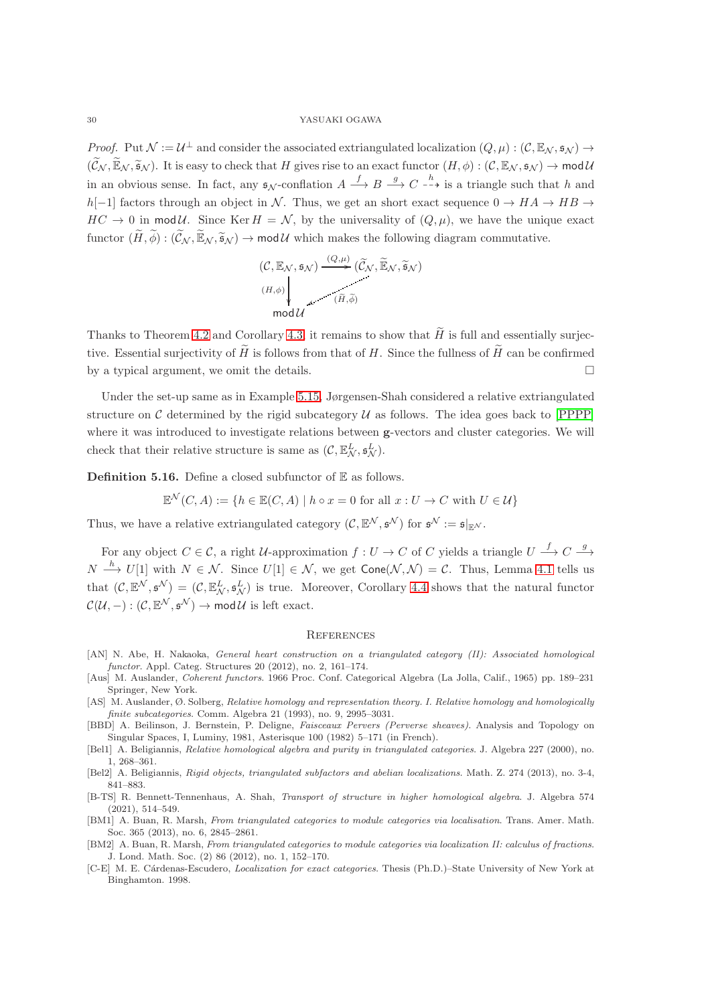*Proof.* Put  $\mathcal{N} := \mathcal{U}^{\perp}$  and consider the associated extriangulated localization  $(Q, \mu) : (\mathcal{C}, \mathbb{E}_{\mathcal{N}}, \mathfrak{s}_{\mathcal{N}}) \rightarrow$  $(\widetilde{C}_N, \widetilde{\mathbb{E}}_N, \widetilde{\mathfrak{s}}_N)$ . It is easy to check that H gives rise to an exact functor  $(H, \phi) : (C, \mathbb{E}_N, \mathfrak{s}_N) \to \mathsf{mod}\,\mathcal{U}$ in an obvious sense. In fact, any  $\mathfrak{s}_{\mathcal{N}}$ -conflation  $A \xrightarrow{f} B \xrightarrow{g} C \xrightarrow{h}$  is a triangle such that h and h[−1] factors through an object in N. Thus, we get an short exact sequence  $0 \to HA \to HB \to$  $HC \rightarrow 0$  in mod U. Since Ker  $H = \mathcal{N}$ , by the universality of  $(Q, \mu)$ , we have the unique exact functor  $(\widetilde{H}, \widetilde{\phi}) : (\widetilde{\mathcal{C}}_{\mathcal{N}}, \widetilde{\mathbb{E}}_{\mathcal{N}}, \widetilde{\mathfrak{s}}_{\mathcal{N}}) \to \text{mod}\,\mathcal{U}$  which makes the following diagram commutative.

$$
(\mathcal{C}, \mathbb{E}_{\mathcal{N}}, \mathfrak{s}_{\mathcal{N}}) \xrightarrow{(Q, \mu)} (\widetilde{\mathcal{C}}_{\mathcal{N}}, \widetilde{\mathbb{E}}_{\mathcal{N}}, \widetilde{\mathfrak{s}}_{\mathcal{N}})
$$
  
\n
$$
\downarrow (\widetilde{H}, \widetilde{\phi})
$$
  
\n
$$
\text{mod } \mathcal{U}
$$

Thanks to Theorem [4.2](#page-19-1) and Corollary [4.3,](#page-20-1) it remains to show that  $\widetilde{H}$  is full and essentially surjective. Essential surjectivity of  $\widetilde{H}$  is follows from that of H. Since the fullness of  $\widetilde{H}$  can be confirmed by a typical argument, we omit the details.

Under the set-up same as in Example [5.15,](#page-28-1) Jørgensen-Shah considered a relative extriangulated structure on C determined by the rigid subcategory  $U$  as follows. The idea goes back to [\[PPPP\]](#page-30-14) where it was introduced to investigate relations between g-vectors and cluster categories. We will check that their relative structure is same as  $(C, \mathbb{E}^L_N, \mathfrak{s}^L_N)$ .

**Definition 5.16.** Define a closed subfunctor of  $E$  as follows.

$$
\mathbb{E}^{\mathcal{N}}(C, A) := \{ h \in \mathbb{E}(C, A) \mid h \circ x = 0 \text{ for all } x : U \to C \text{ with } U \in \mathcal{U} \}
$$

Thus, we have a relative extriangulated category  $(C, \mathbb{E}^N, \mathfrak{s}^N)$  for  $\mathfrak{s}^N := \mathfrak{s}|_{\mathbb{E}^N}$ .

For any object  $C \in \mathcal{C}$ , a right U-approximation  $f: U \to C$  of C yields a triangle  $U \stackrel{f}{\longrightarrow} C \stackrel{g}{\longrightarrow}$  $N \stackrel{h}{\longrightarrow} U[1]$  with  $N \in \mathcal{N}$ . Since  $U[1] \in \mathcal{N}$ , we get  $\mathsf{Cone}(\mathcal{N}, \mathcal{N}) = \mathcal{C}$ . Thus, Lemma [4.1](#page-19-2) tells us that  $(C, \mathbb{E}^N, \mathfrak{s}^N) = (C, \mathbb{E}^L_N, \mathfrak{s}^L_N)$  is true. Moreover, Corollary [4.4](#page-23-2) shows that the natural functor  $\mathcal{C}(\mathcal{U}, -): (\mathcal{C}, \mathbb{E}^{\mathcal{N}}, \mathfrak{s}^{\mathcal{N}}) \to \mathsf{mod} \, \mathcal{U}$  is left exact.

#### <span id="page-29-0"></span>**REFERENCES**

- <span id="page-29-8"></span>[AN] N. Abe, H. Nakaoka, *General heart construction on a triangulated category (II): Associated homological functor*. Appl. Categ. Structures 20 (2012), no. 2, 161–174.
- [Aus] M. Auslander, *Coherent functors*. 1966 Proc. Conf. Categorical Algebra (La Jolla, Calif., 1965) pp. 189–231 Springer, New York.
- <span id="page-29-5"></span>[AS] M. Auslander, Ø. Solberg, *Relative homology and representation theory. I. Relative homology and homologically finite subcategories*. Comm. Algebra 21 (1993), no. 9, 2995–3031.
- <span id="page-29-9"></span>[BBD] A. Beilinson, J. Bernstein, P. Deligne, *Faisceaux Pervers (Perverse sheaves)*. Analysis and Topology on Singular Spaces, I, Luminy, 1981, Asterisque 100 (1982) 5–171 (in French).
- <span id="page-29-4"></span>[Bel1] A. Beligiannis, *Relative homological algebra and purity in triangulated categories*. J. Algebra 227 (2000), no. 1, 268–361.
- <span id="page-29-1"></span>[Bel2] A. Beligiannis, *Rigid objects, triangulated subfactors and abelian localizations*. Math. Z. 274 (2013), no. 3-4, 841–883.
- <span id="page-29-6"></span>[B-TS] R. Bennett-Tennenhaus, A. Shah, *Transport of structure in higher homological algebra*. J. Algebra 574 (2021), 514–549.
- <span id="page-29-2"></span>[BM1] A. Buan, R. Marsh, *From triangulated categories to module categories via localisation*. Trans. Amer. Math. Soc. 365 (2013), no. 6, 2845–2861.
- <span id="page-29-3"></span>[BM2] A. Buan, R. Marsh, *From triangulated categories to module categories via localization II: calculus of fractions*. J. Lond. Math. Soc. (2) 86 (2012), no. 1, 152–170.
- <span id="page-29-7"></span>[C-E] M. E. C´ardenas-Escudero, *Localization for exact categories*. Thesis (Ph.D.)–State University of New York at Binghamton. 1998.